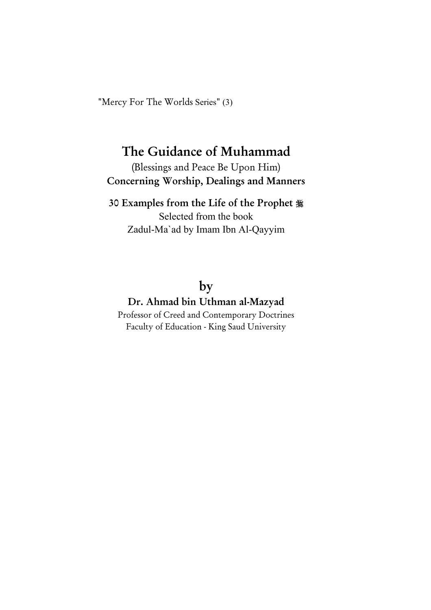"Mercy For The Worlds Series" (3)

# The Guidance of Muhammad

(Blessings and Peace Be Upon Him) Concerning Worship, Dealings and Manners

## 30 Examples from the Life of the Prophet

Selected from the book Zadul-Ma`ad by Imam Ibn Al-Qayyim

# by

# Dr. Ahmad bin Uthman al-Mazyad

Professor of Creed and Contemporary Doctrines Faculty of Education - King Saud University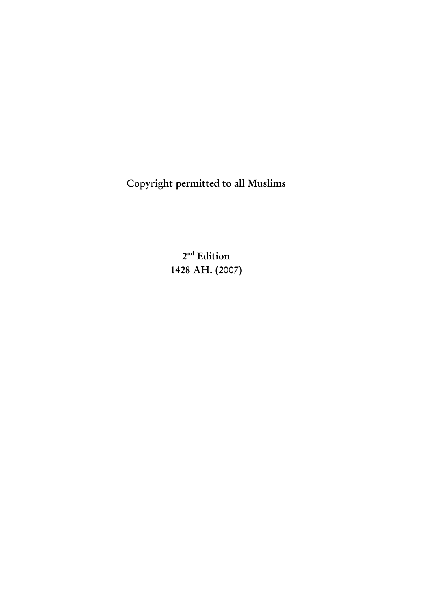Copyright permitted to all Muslims

2<sup>nd</sup> Edition 1428 AH. (2007)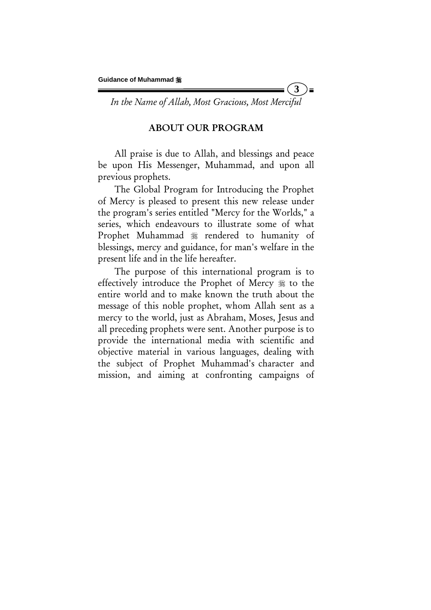*In the Name of Allah, Most Gracious, Most Merciful* 

**3** 

 $\blacksquare$ 

#### ABOUT OUR PROGRAM

All praise is due to Allah, and blessings and peace be upon His Messenger, Muhammad, and upon all previous prophets.

The Global Program for Introducing the Prophet of Mercy is pleased to present this new release under the program's series entitled "Mercy for the Worlds," a series, which endeavours to illustrate some of what Prophet Muhammad  $*$  rendered to humanity of blessings, mercy and guidance, for man's welfare in the present life and in the life hereafter.

The purpose of this international program is to effectively introduce the Prophet of Mercy  $\frac{1}{20}$  to the entire world and to make known the truth about the message of this noble prophet, whom Allah sent as a mercy to the world, just as Abraham, Moses, Jesus and all preceding prophets were sent. Another purpose is to provide the international media with scientific and objective material in various languages, dealing with the subject of Prophet Muhammad's character and mission, and aiming at confronting campaigns of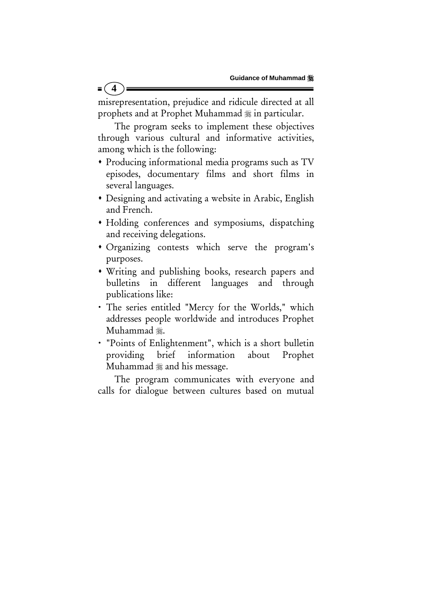misrepresentation, prejudice and ridicule directed at all prophets and at Prophet Muhammad  $\frac{1}{20}$  in particular.

**4** 

The program seeks to implement these objectives through various cultural and informative activities, among which is the following:

- Producing informational media programs such as TV episodes, documentary films and short films in several languages.
- Designing and activating a website in Arabic, English and French.
- Holding conferences and symposiums, dispatching and receiving delegations.
- Organizing contests which serve the program's purposes.
- Writing and publishing books, research papers and bulletins in different languages and through publications like:
- x The series entitled "Mercy for the Worlds," which addresses people worldwide and introduces Prophet Muhammad ...
- x "Points of Enlightenment", which is a short bulletin providing brief information about Prophet Muhammad  $\frac{1}{2}$  and his message.

The program communicates with everyone and calls for dialogue between cultures based on mutual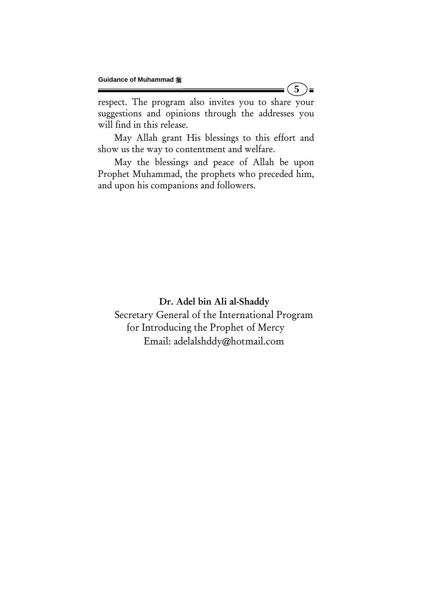respect. The program also invites you to share your suggestions and opinions through the addresses you will find in this release.

**5** 

)≡

May Allah grant His blessings to this effort and show us the way to contentment and welfare.

May the blessings and peace of Allah be upon Prophet Muhammad, the prophets who preceded him, and upon his companions and followers.

Dr. Adel bin Ali al-Shaddy Secretary General of the International Program for Introducing the Prophet of Mercy Email: adelalshddy@hotmail.com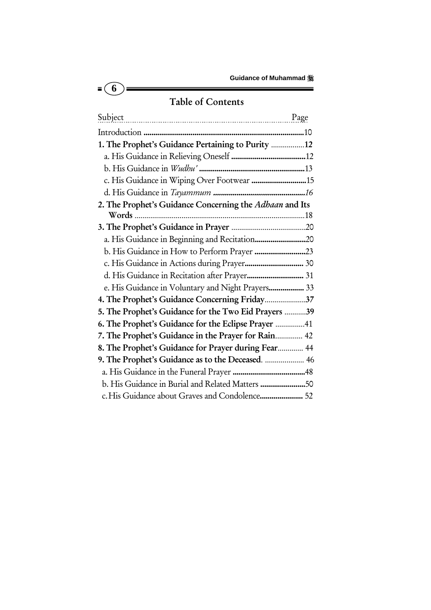# Table of Contents

 $\overline{\bullet}$   $\overline{\bullet}$ 

ة (

| Subject                                                 |  |
|---------------------------------------------------------|--|
|                                                         |  |
| 1. The Prophet's Guidance Pertaining to Purity 12       |  |
|                                                         |  |
|                                                         |  |
| c. His Guidance in Wiping Over Footwear  15             |  |
|                                                         |  |
| 2. The Prophet's Guidance Concerning the Adhaan and Its |  |
|                                                         |  |
|                                                         |  |
|                                                         |  |
|                                                         |  |
|                                                         |  |
| d. His Guidance in Recitation after Prayer 31           |  |
| e. His Guidance in Voluntary and Night Prayers 33       |  |
| 4. The Prophet's Guidance Concerning Friday37           |  |
| 5. The Prophet's Guidance for the Two Eid Prayers 39    |  |
| 6. The Prophet's Guidance for the Eclipse Prayer 41     |  |
| 7. The Prophet's Guidance in the Prayer for Rain 42     |  |
| 8. The Prophet's Guidance for Prayer during Fear 44     |  |
| 9. The Prophet's Guidance as to the Deceased.  46       |  |
|                                                         |  |
| b. His Guidance in Burial and Related Matters 50        |  |
| c. His Guidance about Graves and Condolence 52          |  |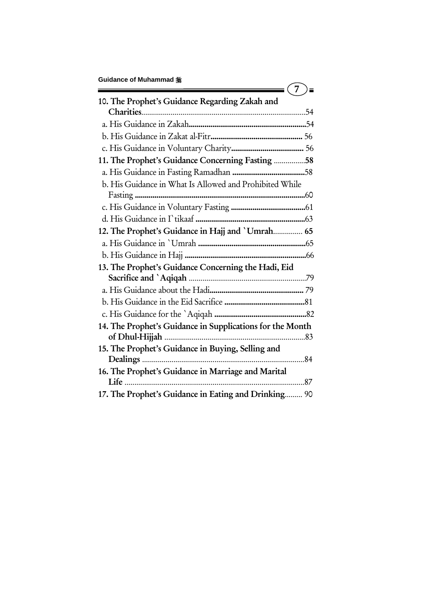| <b>Guidance of Muhammad ※</b>                             |  |
|-----------------------------------------------------------|--|
| 10. The Prophet's Guidance Regarding Zakah and            |  |
|                                                           |  |
|                                                           |  |
|                                                           |  |
|                                                           |  |
| 11. The Prophet's Guidance Concerning Fasting 58          |  |
|                                                           |  |
| b. His Guidance in What Is Allowed and Prohibited While   |  |
|                                                           |  |
|                                                           |  |
|                                                           |  |
| 12. The Prophet's Guidance in Hajj and 'Umrah 65          |  |
|                                                           |  |
|                                                           |  |
| 13. The Prophet's Guidance Concerning the Hadi, Eid       |  |
|                                                           |  |
|                                                           |  |
|                                                           |  |
|                                                           |  |
| 14. The Prophet's Guidance in Supplications for the Month |  |
|                                                           |  |
| 15. The Prophet's Guidance in Buying, Selling and         |  |
|                                                           |  |
| 16. The Prophet's Guidance in Marriage and Marital        |  |
|                                                           |  |
| 17. The Prophet's Guidance in Eating and Drinking 90      |  |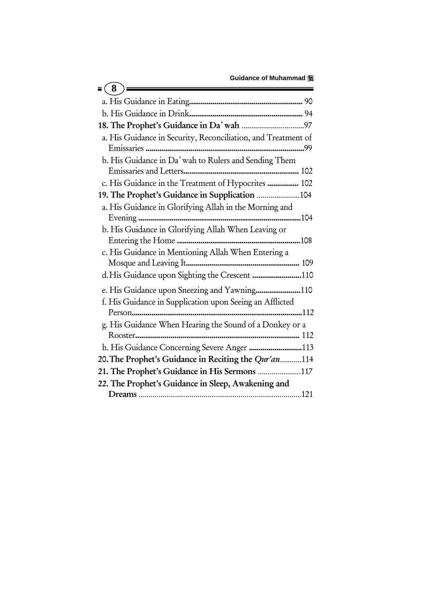| 8                                                             |
|---------------------------------------------------------------|
|                                                               |
|                                                               |
|                                                               |
| a. His Guidance in Security, Reconciliation, and Treatment of |
| b. His Guidance in Da' wah to Rulers and Sending Them         |
|                                                               |
| c. His Guidance in the Treatment of Hypocrites  102           |
| 19. The Prophet's Guidance in Supplication 104                |
| a. His Guidance in Glorifying Allah in the Morning and        |
| b. His Guidance in Glorifying Allah When Leaving or           |
|                                                               |
| c. His Guidance in Mentioning Allah When Entering a           |
|                                                               |
| e. His Guidance upon Sneezing and Yawning110                  |
| f. His Guidance in Supplication upon Seeing an Afflicted      |
|                                                               |
| g. His Guidance When Hearing the Sound of a Donkey or a       |
|                                                               |
|                                                               |
| 20. The Prophet's Guidance in Reciting the Qur'an114          |
| 21. The Prophet's Guidance in His Sermons 117                 |
| 22. The Prophet's Guidance in Sleep, Awakening and            |
|                                                               |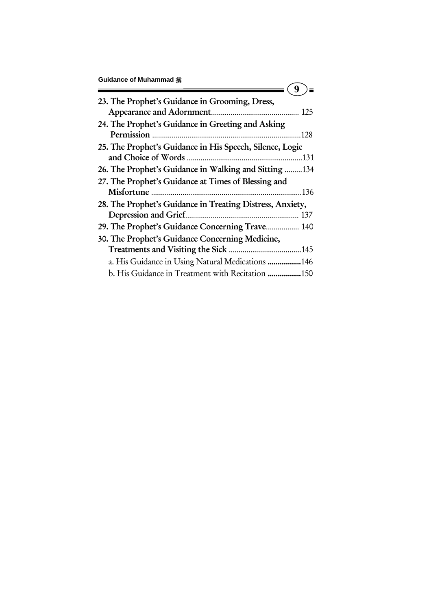|  |  | Guidance of Muhammad : |  |
|--|--|------------------------|--|
|--|--|------------------------|--|

| Guluanue Ol Munannnau <sub>‰</sub>                                                                           |     |
|--------------------------------------------------------------------------------------------------------------|-----|
| 23. The Prophet's Guidance in Grooming, Dress,<br>Appearance and Adornment                                   | 125 |
| 24. The Prophet's Guidance in Greeting and Asking<br>Permission                                              | 128 |
| 25. The Prophet's Guidance in His Speech, Silence, Logic                                                     | 131 |
| 26. The Prophet's Guidance in Walking and Sitting 134<br>27. The Prophet's Guidance at Times of Blessing and |     |
| Misfortune                                                                                                   | 136 |
| 28. The Prophet's Guidance in Treating Distress, Anxiety,                                                    | 137 |
| 29. The Prophet's Guidance Concerning Trave 140<br>30. The Prophet's Guidance Concerning Medicine,           |     |
|                                                                                                              |     |
| a. His Guidance in Using Natural Medications 146                                                             |     |
| b. His Guidance in Treatment with Recitation 150                                                             |     |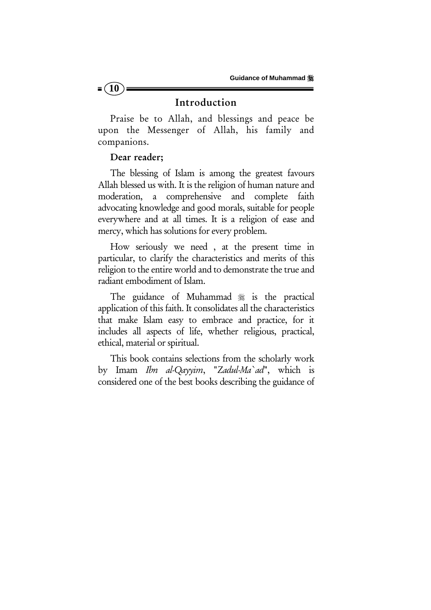

#### Introduction

Praise be to Allah, and blessings and peace be upon the Messenger of Allah, his family and companions.

#### Dear reader;

The blessing of Islam is among the greatest favours Allah blessed us with. It is the religion of human nature and moderation, a comprehensive and complete faith advocating knowledge and good morals, suitable for people everywhere and at all times. It is a religion of ease and mercy, which has solutions for every problem.

How seriously we need , at the present time in particular, to clarify the characteristics and merits of this religion to the entire world and to demonstrate the true and radiant embodiment of Islam.

The guidance of Muhammad is the practical application of this faith. It consolidates all the characteristics that make Islam easy to embrace and practice, for it includes all aspects of life, whether religious, practical, ethical, material or spiritual.

This book contains selections from the scholarly work by Imam *Ibn al-Qayyim*, "*Zadul-Ma`ad*", which is considered one of the best books describing the guidance of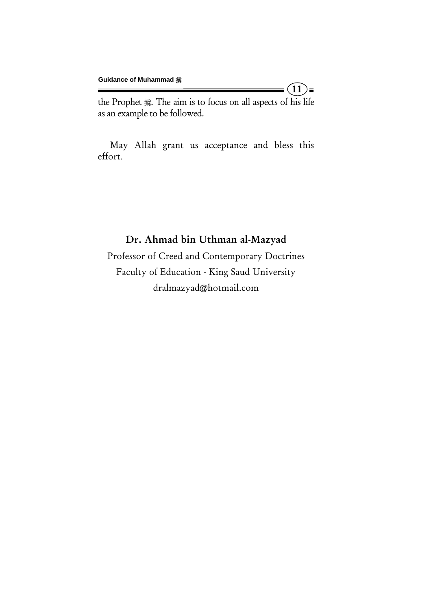the Prophet . The aim is to focus on all aspects of his life as an example to be followed.

 $(11)$ =

May Allah grant us acceptance and bless this effort.

## Dr. Ahmad bin Uthman al-Mazyad

Professor of Creed and Contemporary Doctrines Faculty of Education - King Saud University dralmazyad@hotmail.com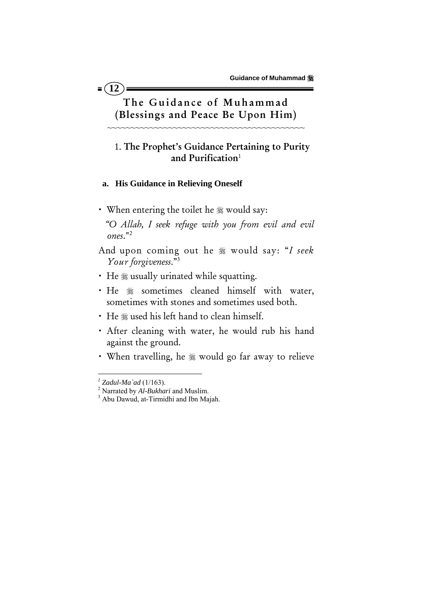## The Guidance of Muhammad (Blessings and Peace Be Upon Him)

~~~~~~~~~~~~~~~~~~~~~~~~~~~~~~~~~~~~~~~~~~

### 1. The Prophet's Guidance Pertaining to Purity and Purification $1$

#### **a. His Guidance in Relieving Oneself**

 $= (12)$ 

• When entering the toilet he  $\frac{1}{20}$  would say:

 *"O Allah, I seek refuge with you from evil and evil ones*."2

- And upon coming out he  $*$  would say: "*I seek Your forgiveness*."3
- He  $*$  usually urinated while squatting.
- He  $*$  sometimes cleaned himself with water, sometimes with stones and sometimes used both.
- He  $*$  used his left hand to clean himself.
- · After cleaning with water, he would rub his hand against the ground.
- When travelling, he  $*$  would go far away to relieve

*<sup>1</sup> Zadul-Ma`ad* (1/163). 2 Narrated by *Al-Bukhari* and Muslim. 3 Abu Dawud, at-Tirmidhi and Ibn Majah.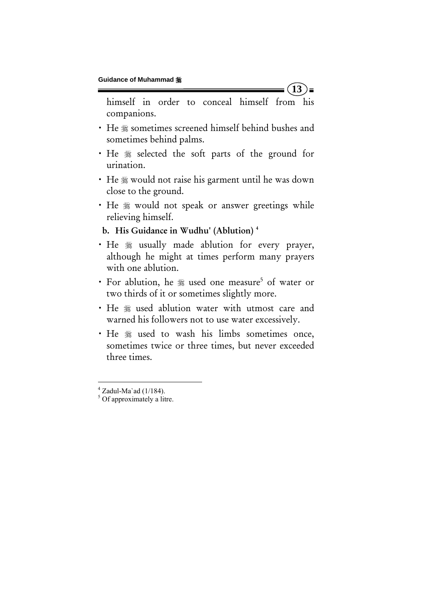himself in order to conceal himself from his companions.

**13** 

 $=$ 

- He  $*$  sometimes screened himself behind bushes and sometimes behind palms.
- $\cdot$  He  $\frac{1}{20}$  selected the soft parts of the ground for urination.
- He  $*$  would not raise his garment until he was down close to the ground.
- He  $*$  would not speak or answer greetings while relieving himself.

b. His Guidance in Wudhu' (Ablution) 4

- · He  $*$  usually made ablution for every prayer, although he might at times perform many prayers with one ablution.
- For ablution, he \* used one measure<sup>5</sup> of water or two thirds of it or sometimes slightly more.
- He  $*$  used ablution water with utmost care and warned his followers not to use water excessively.
- He  $*$  used to wash his limbs sometimes once, sometimes twice or three times, but never exceeded three times.

 $^4$  Zadul-Ma`ad (1/184).<br><sup>5</sup> Of approximately a litre.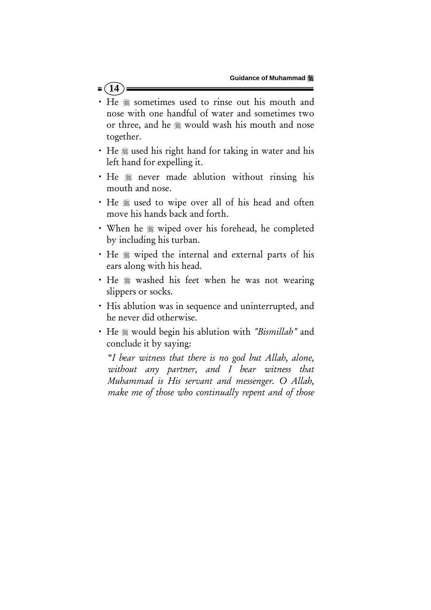### $= (14)$

- He  $*$  sometimes used to rinse out his mouth and nose with one handful of water and sometimes two or three, and he  $*$  would wash his mouth and nose together.
- He ※ used his right hand for taking in water and his left hand for expelling it.
- He  $*$  never made ablution without rinsing his mouth and nose.
- He  $*$  used to wipe over all of his head and often move his hands back and forth.
- When he  $*$  wiped over his forehead, he completed by including his turban.
- He  $\frac{1}{2}$  wiped the internal and external parts of his ears along with his head.
- · He  $*$  washed his feet when he was not wearing slippers or socks.
- His ablution was in sequence and uninterrupted, and he never did otherwise.
- x He would begin his ablution with *"Bismillah"* and conclude it by saying:

 "*I bear witness that there is no god but Allah, alone, without any partner, and I bear witness that Muhammad is His servant and messenger. O Allah, make me of those who continually repent and of those*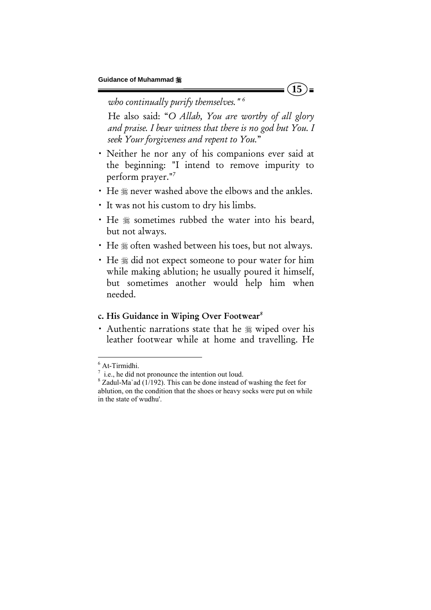#### *who continually purify themselves." 6*

 He also said: "*O Allah, You are worthy of all glory and praise. I bear witness that there is no god but You. I seek Your forgiveness and repent to You.*"

 $15$   $\equiv$ 

- Neither he nor any of his companions ever said at the beginning: "I intend to remove impurity to perform prayer."7
- He  $*$  never washed above the elbows and the ankles.
- x It was not his custom to dry his limbs.
- He  $*$  sometimes rubbed the water into his beard, but not always.
- He  $*$  often washed between his toes, but not always.
- He  $*$  did not expect someone to pour water for him while making ablution; he usually poured it himself, but sometimes another would help him when needed.

#### c. His Guidance in Wiping Over Footwear*<sup>8</sup>*

• Authentic narrations state that he  $\frac{1}{20}$  wiped over his leather footwear while at home and travelling. He

<sup>6</sup> At-Tirmidhi.

 $\frac{7}{1}$  i.e., he did not pronounce the intention out loud.

 $8$  Zadul-Ma`ad (1/192). This can be done instead of washing the feet for ablution, on the condition that the shoes or heavy socks were put on while in the state of wudhu'.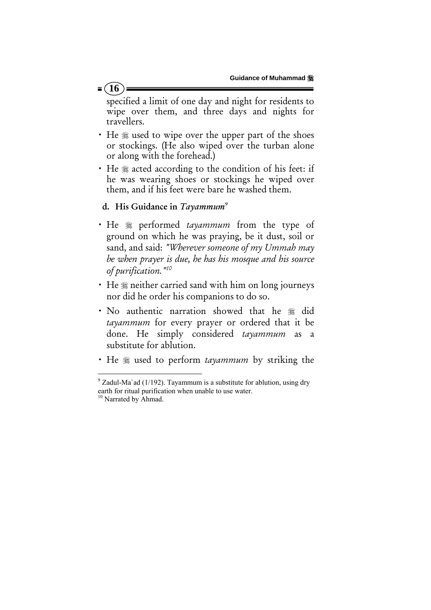#### $= (16)$

specified a limit of one day and night for residents to wipe over them, and three days and nights for travellers.

- He  $\frac{1}{2}$  used to wipe over the upper part of the shoes or stockings. (He also wiped over the turban alone or along with the forehead.)
- He  $*$  acted according to the condition of his feet: if he was wearing shoes or stockings he wiped over them, and if his feet were bare he washed them.

#### d. His Guidance in *Tayammum9*

- He  $*$  performed *tayammum* from the type of ground on which he was praying, be it dust, soil or sand, and said: *"Wherever someone of my Ummah may be when prayer is due, he has his mosque and his source of purification."10*
- He  $*$  neither carried sand with him on long journeys nor did he order his companions to do so.
- · No authentic narration showed that he # did *tayammum* for every prayer or ordered that it be done. He simply considered *tayammum* as a substitute for ablution.
- He  $\frac{1}{2}$  used to perform *tayammum* by striking the

 $9^9$  Zadul-Ma`ad (1/192). Tayammum is a substitute for ablution, using dry earth for ritual purification when unable to use water.<br><sup>10</sup> Narrated by Ahmad.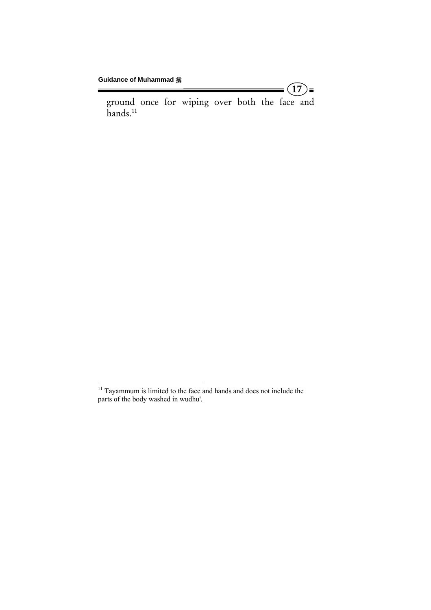Ė

ground once for wiping over both the face and hands.<sup>11</sup>

 $(17)$ =

 $11$  Tayammum is limited to the face and hands and does not include the parts of the body washed in wudhu'.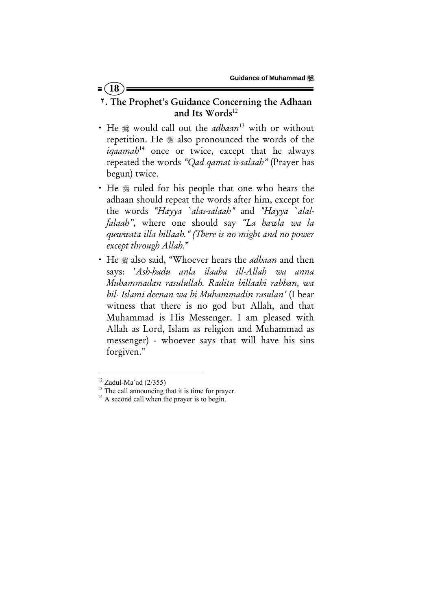## ٢. The Prophet's Guidance Concerning the Adhaan and Its Words $^{12}$

- x He would call out the *adhaan*13 with or without repetition. He  $*$  also pronounced the words of the *iqaamah*14 once or twice, except that he always repeated the words *"Qad qamat is-salaah"* (Prayer has begun) twice.
- He  $\frac{1}{2}$  ruled for his people that one who hears the adhaan should repeat the words after him, except for the words *"Hayya `alas-salaah"* and *"Hayya `alalfalaah"*, where one should say *"La hawla wa la quwwata illa billaah." (There is no might and no power except through Allah.*"
- He  $*$  also said, "Whoever hears the *adhaan* and then says: '*Ash-hadu anla ilaaha ill-Allah wa anna Muhammadan rasulullah. Raditu billaahi rabban, wa bil- Islami deenan wa bi Muhammadin rasulan'* (I bear witness that there is no god but Allah, and that Muhammad is His Messenger. I am pleased with Allah as Lord, Islam as religion and Muhammad as messenger) - whoever says that will have his sins forgiven."

 $12$  Zadul-Ma`ad (2/355)

<sup>&</sup>lt;sup>13</sup> The call announcing that it is time for prayer.<br><sup>14</sup> A second call when the prayer is to begin.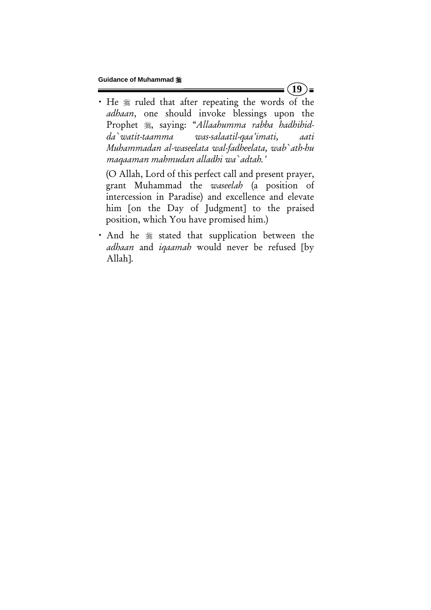• He  $*$  ruled that after repeating the words of the *adhaan*, one should invoke blessings upon the Prophet , saying: "Allaahumma rabba hadhihid*da`watit-taamma was-salaatil-qaa'imati, aati Muhammadan al-waseelata wal-fadheelata, wab`ath-hu maqaaman mahmudan alladhi wa`adtah.'*

 (O Allah, Lord of this perfect call and present prayer, grant Muhammad the *waseelah* (a position of intercession in Paradise) and excellence and elevate him [on the Day of Judgment] to the praised position, which You have promised him.)

• And he  $*$  stated that supplication between the *adhaan* and *iqaamah* would never be refused [by Allah].

 $(19)$  =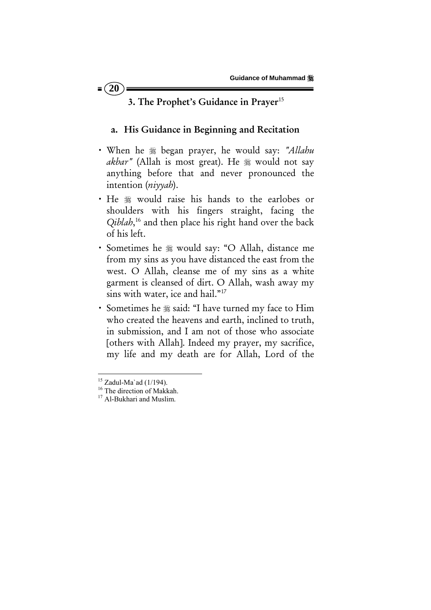## 3. The Prophet's Guidance in Prayer<sup>15</sup>

#### a. His Guidance in Beginning and Recitation

- x When he began prayer, he would say: *"Allahu*  akbar" (Allah is most great). He **\$** would not say anything before that and never pronounced the intention (*niyyah*).
- He  $*$  would raise his hands to the earlobes or shoulders with his fingers straight, facing the *Qiblah*, 16 and then place his right hand over the back of his left.
- x Sometimes he would say: "O Allah, distance me from my sins as you have distanced the east from the west. O Allah, cleanse me of my sins as a white garment is cleansed of dirt. O Allah, wash away my sins with water, ice and hail."<sup>17</sup>
- Sometimes he  $*$  said: "I have turned my face to Him who created the heavens and earth, inclined to truth, in submission, and I am not of those who associate [others with Allah]. Indeed my prayer, my sacrifice, my life and my death are for Allah, Lord of the

 $15$  Zadul-Ma'ad (1/194).

<sup>&</sup>lt;sup>16</sup> The direction of Makkah.

<sup>&</sup>lt;sup>17</sup> Al-Bukhari and Muslim.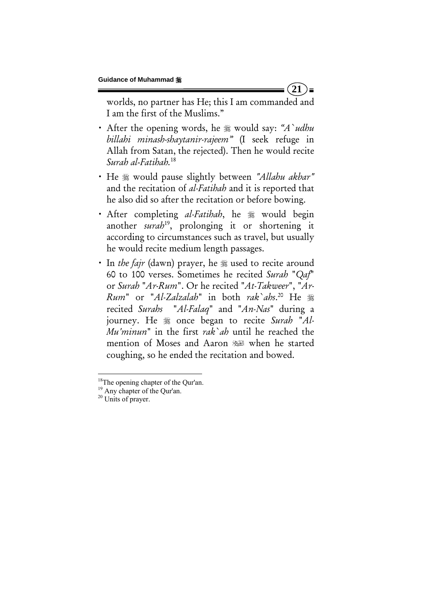worlds, no partner has He; this I am commanded and I am the first of the Muslims."

**21** 

 $) =$ 

- After the opening words, he  $*$  would say: "A`udhu *billahi minash-shaytanir-rajeem"* (I seek refuge in Allah from Satan, the rejected). Then he would recite *Surah al*-*Fatihah.*18
- x He would pause slightly between *"Allahu akbar"* and the recitation of *al-Fatihah* and it is reported that he also did so after the recitation or before bowing.
- After completing *al-Fatihah*, he  $\frac{1}{20}$  would begin another *surah*<sup>19</sup>, prolonging it or shortening it according to circumstances such as travel, but usually he would recite medium length passages.
- In *the fajr* (dawn) prayer, he  $\frac{1}{20}$  used to recite around 60 to 100 verses. Sometimes he recited *Surah* "*Qaf*" or *Surah* "*Ar-Rum*". Or he recited "*At-Takweer*", "*Ar-Rum*" or "*Al-Zalzalah*" in both *rak`ahs*. 20 He recited *Surahs* "*Al-Falaq*" and "*An-Nas*" during a journey. He  $\frac{1}{20}$  once began to recite *Surah* "Al-*Mu'minun*" in the first *rak`ah* until he reached the mention of Moses and Aaron when he started coughing, so he ended the recitation and bowed.

<sup>&</sup>lt;sup>18</sup>The opening chapter of the Qur'an.

<sup>19</sup> Any chapter of the Qur'an.

<sup>&</sup>lt;sup>20</sup> Units of prayer.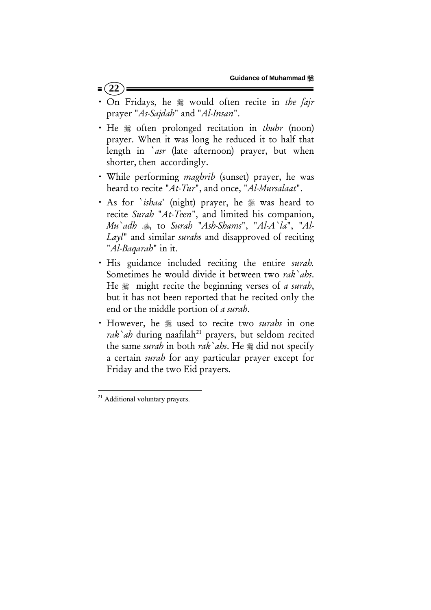- $=$  (22
- x On Fridays, he would often recite in *the fajr* prayer "*As-Sajdah*" and "*Al-Insan*".
- He  $*$  often prolonged recitation in *thuhr* (noon) prayer. When it was long he reduced it to half that length in `*asr* (late afternoon) prayer, but when shorter, then accordingly.
- While performing *maghrib* (sunset) prayer, he was heard to recite "*At-Tur*", and once, "*Al-Mursalaat*".
- · As for `*ishaa*' (night) prayer, he # was heard to recite *Surah* "*At-Teen*", and limited his companion, *Mu`adh* , to *Surah* "*Ash-Shams*", "*Al-A`la*", "*Al-Layl*" and similar *surahs* and disapproved of reciting "*Al-Baqarah*" in it.
- x His guidance included reciting the entire *surah.* Sometimes he would divide it between two *rak`ahs*. He  $\frac{1}{20}$  might recite the beginning verses of *a surah*, but it has not been reported that he recited only the end or the middle portion of *a surah*.
- However, he  $*$  used to recite two *surahs* in one rak`ah during naafilah<sup>21</sup> prayers, but seldom recited the same *surah* in both *rak ahs*. He  $\frac{1}{26}$  did not specify a certain *surah* for any particular prayer except for Friday and the two Eid prayers.

 <sup>21</sup> Additional voluntary prayers.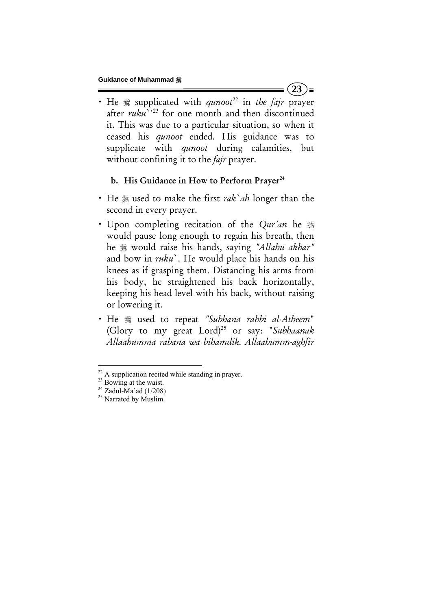• He  $\equiv$  supplicated with *qunoot*<sup>22</sup> in the fajr prayer after *ruku*<sup>''23</sup> for one month and then discontinued it. This was due to a particular situation, so when it ceased his *qunoot* ended. His guidance was to supplicate with *qunoot* during calamities, but without confining it to the *fajr* prayer.

#### b. His Guidance in How to Perform Prayer<sup>24</sup>

- x He used to make the first *rak`ah* longer than the second in every prayer.
- Upon completing recitation of the *Qur'an* he  $\frac{1}{20}$ would pause long enough to regain his breath, then he would raise his hands, saying *"Allahu akbar"* and bow in *ruku*`. He would place his hands on his knees as if grasping them. Distancing his arms from his body, he straightened his back horizontally, keeping his head level with his back, without raising or lowering it.
- x He used to repeat *"Subhana rabbi al-Atheem*" (Glory to my great Lord)25 or say: "*Subhaanak Allaahumma rabana wa bihamdik. Allaahumm-aghfir*

 $(23)$ 

<sup>&</sup>lt;sup>22</sup> A supplication recited while standing in prayer.<br><sup>23</sup> Bowing at the waist.<br><sup>24</sup> Zadul-Ma`ad (1/208)

 $^{24}$  Zadul-Ma`ad (1/208)<br> $^{25}$  Narrated by Muslim.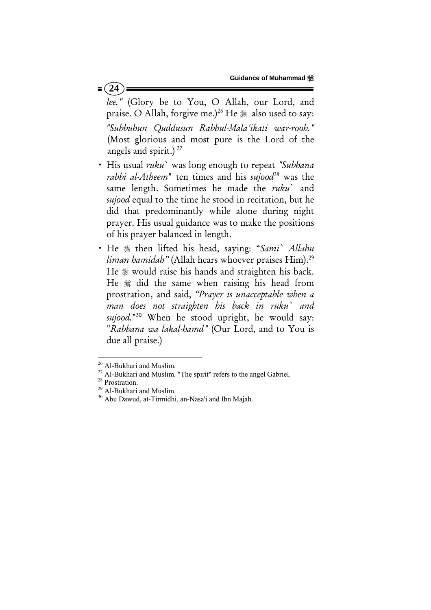# *lee."* (Glory be to You, O Allah, our Lord, and praise. O Allah, forgive me.)<sup>26</sup> He  $*$  also used to say: *"Subbuhun Quddusun Rabbul-Mala'ikati war-rooh."* (Most glorious and most pure is the Lord of the angels and spirit.)*<sup>27</sup>*

- x His usual *ruku*` was long enough to repeat *"Subhana rabbi al-Atheem*" ten times and his *sujood*28 was the same length. Sometimes he made the *ruku*` and *sujood* equal to the time he stood in recitation, but he did that predominantly while alone during night prayer. His usual guidance was to make the positions of his prayer balanced in length.
- x He then lifted his head, saying: "*Sami` Allahu liman hamidah*" (Allah hears whoever praises Him).<sup>29</sup> He  $*$  would raise his hands and straighten his back. He  $*$  did the same when raising his head from prostration, and said, *"Prayer is unacceptable when a man does not straighten his back in ruku` and sujood.*"30 When he stood upright, he would say: "*Rabbana wa lakal-hamd"* (Our Lord, and to You is due all praise.)

#### $= (24)$

<sup>&</sup>lt;sup>26</sup> Al-Bukhari and Muslim.<br><sup>27</sup> Al-Bukhari and Muslim. "The spirit" refers to the angel Gabriel.<br><sup>28</sup> Prostration.<br><sup>29</sup> Al-Bukhari and Muslim.<br><sup>30</sup> Abu Dawud, at-Tirmidhi, an-Nasa'i and Ibn Majah.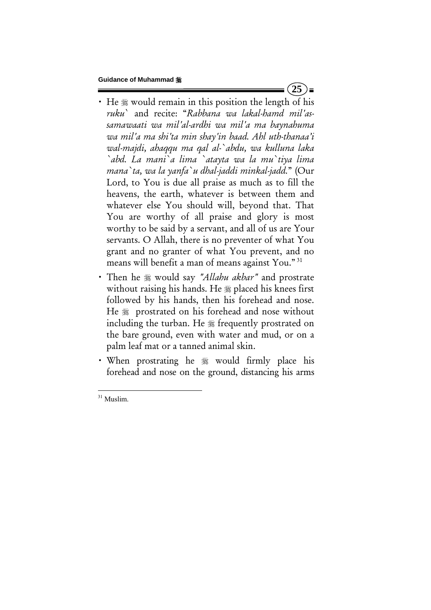• He  $*$  would remain in this position the length of his *ruku*` and recite: "*Rabbana wa lakal-hamd mil'assamawaati wa mil'al-ardhi wa mil'a ma baynahuma wa mil'a ma shi'ta min shay'in baad. Ahl uth-thanaa'i wal-majdi, ahaqqu ma qal al-`abdu, wa kulluna laka `abd. La mani`a lima `atayta wa la mu`tiya lima mana`ta, wa la yanfa`u dhal-jaddi minkal-jadd.*" (Our Lord, to You is due all praise as much as to fill the heavens, the earth, whatever is between them and whatever else You should will, beyond that. That You are worthy of all praise and glory is most worthy to be said by a servant, and all of us are Your servants. O Allah, there is no preventer of what You grant and no granter of what You prevent, and no means will benefit a man of means against You." 31

 $(25)$  =

- x Then he would say *"Allahu akbar"* and prostrate without raising his hands. He  $\frac{1}{20}$  placed his knees first followed by his hands, then his forehead and nose. He  $*$  prostrated on his forehead and nose without including the turban. He  $*$  frequently prostrated on the bare ground, even with water and mud, or on a palm leaf mat or a tanned animal skin.
- When prostrating he  $*$  would firmly place his forehead and nose on the ground, distancing his arms

 <sup>31</sup> Muslim.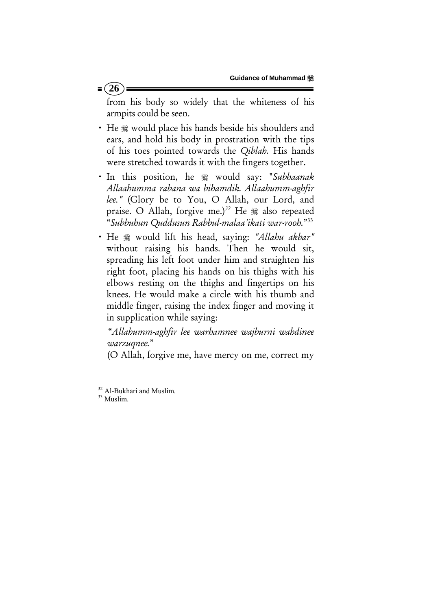## $= 26$

from his body so widely that the whiteness of his armpits could be seen.

- He  $\frac{1}{2}$  would place his hands beside his shoulders and ears, and hold his body in prostration with the tips of his toes pointed towards the *Qiblah.* His hands were stretched towards it with the fingers together.
- x In this position, he would say: "*Subhaanak Allaahumma rabana wa bihamdik. Allaahumm-aghfir lee."* (Glory be to You, O Allah, our Lord, and praise. O Allah, forgive me.)<sup>32</sup> He  $*$  also repeated "*Subbuhun Quddusun Rabbul-malaa'ikati war-rooh.*"33
- x He would lift his head, saying: *"Allahu akbar"* without raising his hands. Then he would sit, spreading his left foot under him and straighten his right foot, placing his hands on his thighs with his elbows resting on the thighs and fingertips on his knees. He would make a circle with his thumb and middle finger, raising the index finger and moving it in supplication while saying:

 "*Allahumm-aghfir lee warhamnee wajburni wahdinee warzuqnee.*"

(O Allah, forgive me, have mercy on me, correct my

 $32$  Al-Bukhari and Muslim.<br> $33$  Muslim.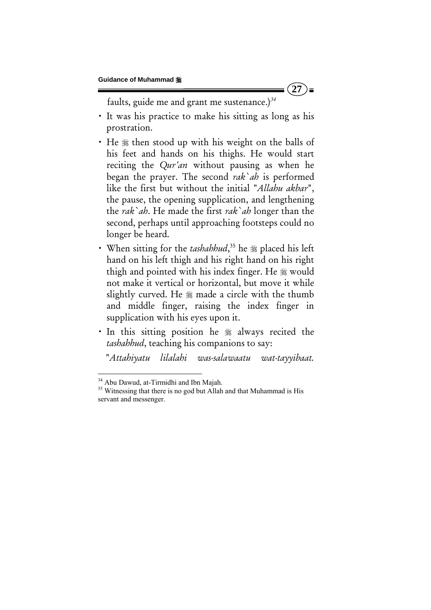$(27)$  =

faults, guide me and grant me sustenance.)*<sup>34</sup>*

- x It was his practice to make his sitting as long as his prostration.
- He  $\ast$  then stood up with his weight on the balls of his feet and hands on his thighs. He would start reciting the *Qur'an* without pausing as when he began the prayer. The second *rak`ah* is performed like the first but without the initial "*Allahu akbar*", the pause, the opening supplication, and lengthening the *rak`ah*. He made the first *rak`ah* longer than the second, perhaps until approaching footsteps could no longer be heard.
- When sitting for the *tashahhud*,<sup>35</sup> he  $\frac{1}{26}$  placed his left hand on his left thigh and his right hand on his right thigh and pointed with his index finger. He  $\frac{1}{20}$  would not make it vertical or horizontal, but move it while slightly curved. He  $*$  made a circle with the thumb and middle finger, raising the index finger in supplication with his eyes upon it.
- In this sitting position he  $*$  always recited the *tashahhud*, teaching his companions to say:

"*Attahiyatu lilalahi was-salawaatu wat-tayyibaat.* 

<sup>&</sup>lt;sup>34</sup> Abu Dawud, at-Tirmidhi and Ibn Majah.

<sup>&</sup>lt;sup>35</sup> Witnessing that there is no god but Allah and that Muhammad is His servant and messenger.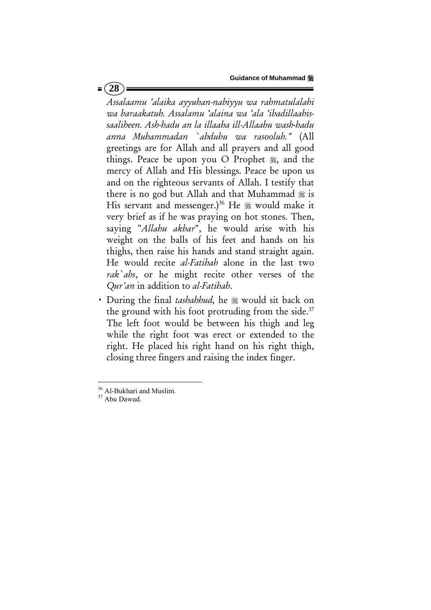*Assalaamu 'alaika ayyuhan-nabiyyu wa rahmatulalahi wa baraakatuh. Assalamu 'alaina wa 'ala 'ibadillaahissaaliheen. Ash-hadu an la illaaha ill-Allaahu wash-hadu anna Muhammadan `abduhu wa rasooluh."* (All greetings are for Allah and all prayers and all good things. Peace be upon you O Prophet  $\frac{1}{26}$ , and the mercy of Allah and His blessings. Peace be upon us and on the righteous servants of Allah. I testify that there is no god but Allah and that Muhammad  $\frac{1}{20}$  is His servant and messenger.)<sup>36</sup> He  $\frac{1}{26}$  would make it very brief as if he was praying on hot stones. Then, saying "*Allahu akbar*", he would arise with his weight on the balls of his feet and hands on his thighs, then raise his hands and stand straight again. He would recite *al-Fatihah* alone in the last two *rak`ahs*, or he might recite other verses of the *Qur'an* in addition to *al-Fatihah*.

• During the final *tashahhud*, he  $\frac{1}{20}$  would sit back on the ground with his foot protruding from the side. $37$ The left foot would be between his thigh and leg while the right foot was erect or extended to the right. He placed his right hand on his right thigh, closing three fingers and raising the index finger.

 $36 \text{ Al-Bukhari}$  and Muslim.<br> $37 \text{ Abu Dawud}$ .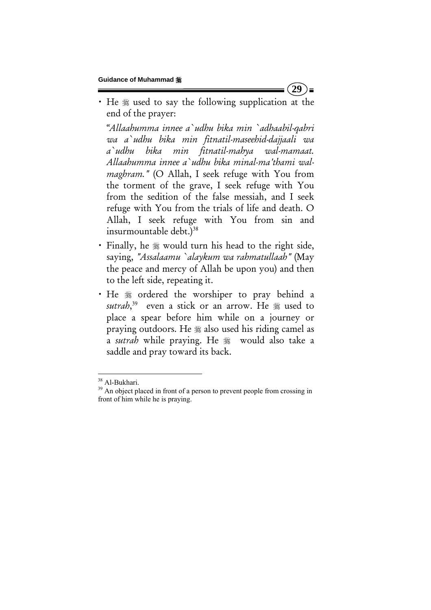• He  $\frac{1}{2}$  used to say the following supplication at the end of the prayer:

 *"Allaahumma innee a`udhu bika min `adhaabil-qabri wa a`udhu bika min fitnatil-maseehid-dajjaali wa a`udhu bika min fitnatil-mahya wal-mamaat. Allaahumma innee a`udhu bika minal-ma'thami walmaghram."* (O Allah, I seek refuge with You from the torment of the grave, I seek refuge with You from the sedition of the false messiah, and I seek refuge with You from the trials of life and death. O Allah, I seek refuge with You from sin and insurmountable debt.)<sup>38</sup>

- Finally, he  $*$  would turn his head to the right side, saying, *"Assalaamu `alaykum wa rahmatullaah"* (May the peace and mercy of Allah be upon you) and then to the left side, repeating it.
- · He  $*$  ordered the worshiper to pray behind a sutrah,<sup>39</sup> even a stick or an arrow. He <sub>\$8</sub> used to place a spear before him while on a journey or praying outdoors. He  $*$  also used his riding camel as a *sutrah* while praying. He would also take a saddle and pray toward its back.

**29**   $\equiv$ 

 $38$  Al-Bukhari.<br> $39$  An object placed in front of a person to prevent people from crossing in front of him while he is praying.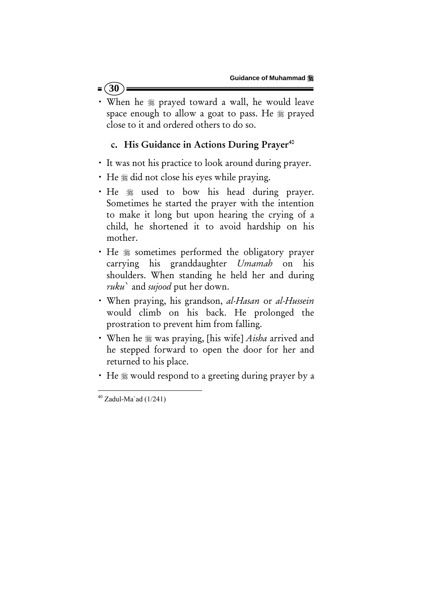• When he  $*$  prayed toward a wall, he would leave space enough to allow a goat to pass. He  $*$  prayed close to it and ordered others to do so.

## c. His Guidance in Actions During Prayer<sup>40</sup>

- It was not his practice to look around during prayer.
- He  $*$  did not close his eyes while praying.
- He  $*$  used to bow his head during prayer. Sometimes he started the prayer with the intention to make it long but upon hearing the crying of a child, he shortened it to avoid hardship on his mother.
- He  $*$  sometimes performed the obligatory prayer carrying his granddaughter *Umamah* on his shoulders. When standing he held her and during *ruku*` and *sujood* put her down.
- x When praying, his grandson, *al-Hasan* or *al-Hussein* would climb on his back. He prolonged the prostration to prevent him from falling.
- When he  $\frac{1}{20}$  was praying, [his wife] *Aisha* arrived and he stepped forward to open the door for her and returned to his place.
- He  $\frac{1}{2}$  would respond to a greeting during prayer by a

 $= (30)$ 

  $40$  Zadul-Ma`ad (1/241)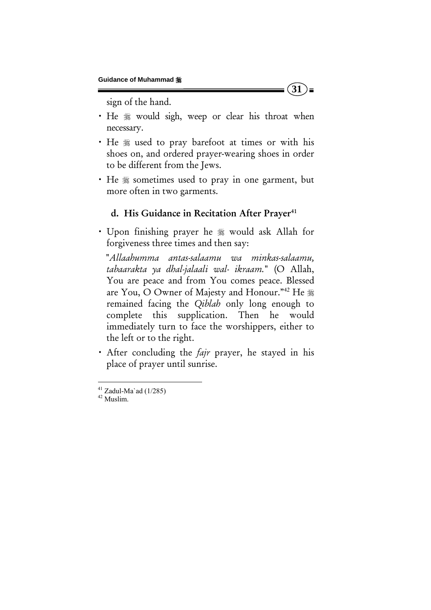sign of the hand.

• He  $*$  would sigh, weep or clear his throat when necessary.

 $(31)$ =

- He  $*$  used to pray barefoot at times or with his shoes on, and ordered prayer-wearing shoes in order to be different from the Jews.
- He  $*$  sometimes used to pray in one garment, but more often in two garments.

#### d. His Guidance in Recitation After Prayer<sup>41</sup>

• Upon finishing prayer he  $*$  would ask Allah for forgiveness three times and then say:

 "*Allaahumma antas-salaamu wa minkas-salaamu, tabaarakta ya dhal-jalaali wal- ikraam.*" (O Allah, You are peace and from You comes peace. Blessed are You, O Owner of Majesty and Honour."<sup>42</sup> He \* remained facing the *Qiblah* only long enough to complete this supplication. Then he would immediately turn to face the worshippers, either to the left or to the right.

x After concluding the *fajr* prayer, he stayed in his place of prayer until sunrise.

 $41$  Zadul-Ma`ad (1/285)

<sup>42</sup> Muslim.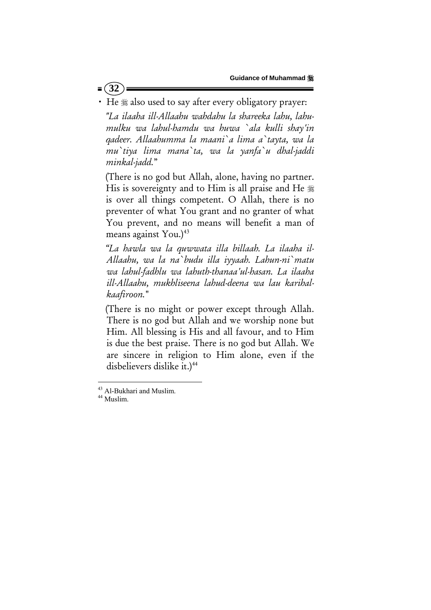$= (32)$ 

• He  $*$  also used to say after every obligatory prayer:

 *"La ilaaha ill-Allaahu wahdahu la shareeka lahu, lahumulku wa lahul-hamdu wa huwa `ala kulli shay'in qadeer. Allaahumma la maani`a lima a`tayta, wa la mu`tiya lima mana`ta, wa la yanfa`u dhal-jaddi minkal-jadd.*"

 (There is no god but Allah, alone, having no partner. His is sovereignty and to Him is all praise and He is over all things competent. O Allah, there is no preventer of what You grant and no granter of what You prevent, and no means will benefit a man of means against You.)<sup>43</sup>

 *"La hawla wa la quwwata illa billaah. La ilaaha il-Allaahu, wa la na`budu illa iyyaah. Lahun-ni`matu wa lahul-fadhlu wa lahuth-thanaa'ul-hasan. La ilaaha ill-Allaahu, mukhliseena lahud-deena wa lau karihalkaafiroon.*"

(There is no might or power except through Allah. There is no god but Allah and we worship none but Him. All blessing is His and all favour, and to Him is due the best praise. There is no god but Allah. We are sincere in religion to Him alone, even if the disbelievers dislike it.)<sup>44</sup>

 $^{43}$  Al-Bukhari and Muslim.<br> $^{44}$  Muslim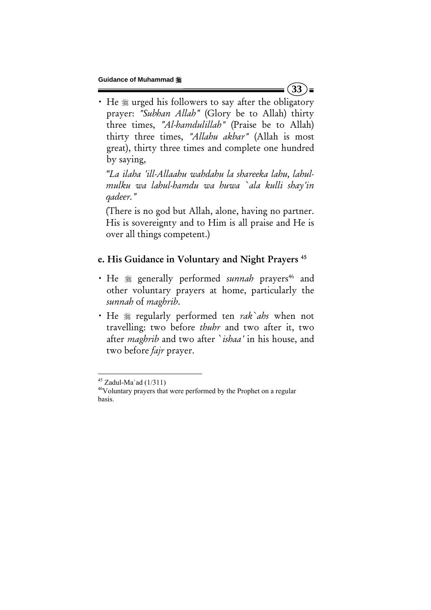• He  $*$  urged his followers to say after the obligatory prayer: *"Subhan Allah"* (Glory be to Allah) thirty three times, *"Al-hamdulillah"* (Praise be to Allah) thirty three times, *"Allahu akbar"* (Allah is most great), thirty three times and complete one hundred by saying,

 *"La ilaha 'ill-Allaahu wahdahu la shareeka lahu, lahulmulku wa lahul-hamdu wa huwa `ala kulli shay'in qadeer."*

 (There is no god but Allah, alone, having no partner. His is sovereignty and to Him is all praise and He is over all things competent.)

# e. His Guidance in Voluntary and Night Prayers<sup>45</sup>

- He  $*$  generally performed *sunnah* prayers<sup>46</sup> and other voluntary prayers at home, particularly the *sunnah* of *maghrib*.
- He  $*$  regularly performed ten *rak`ahs* when not travelling: two before *thuhr* and two after it, two after *maghrib* and two after `*ishaa'* in his house, and two before *fajr* prayer.

 $(33)$  =

 $45$  Zadul-Ma`ad (1/311)

<sup>46</sup>Voluntary prayers that were performed by the Prophet on a regular basis.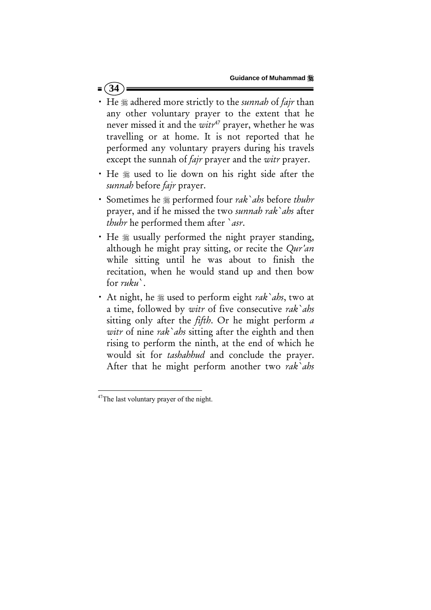• He  $*$  adhered more strictly to the *sunnah* of *fajr* than any other voluntary prayer to the extent that he never missed it and the *witr*47 prayer, whether he was travelling or at home. It is not reported that he performed any voluntary prayers during his travels except the sunnah of *fajr* prayer and the *witr* prayer.

 $= (34)$ 

- He  $*$  used to lie down on his right side after the *sunnah* before *fajr* prayer.
- x Sometimes he performed four *rak`ahs* before *thuhr*  prayer, and if he missed the two *sunnah rak`ahs* after *thuhr* he performed them after `*asr*.
- He  $*$  usually performed the night prayer standing, although he might pray sitting, or recite the *Qur'an* while sitting until he was about to finish the recitation, when he would stand up and then bow for *ruku*`.
- x At night, he used to perform eight *rak`ahs*, two at a time, followed by *witr* of five consecutive *rak`ahs* sitting only after the *fifth*. Or he might perform *a witr* of nine *rak`ahs* sitting after the eighth and then rising to perform the ninth, at the end of which he would sit for *tashahhud* and conclude the prayer. After that he might perform another two *rak`ahs*

 <sup>47</sup>The last voluntary prayer of the night.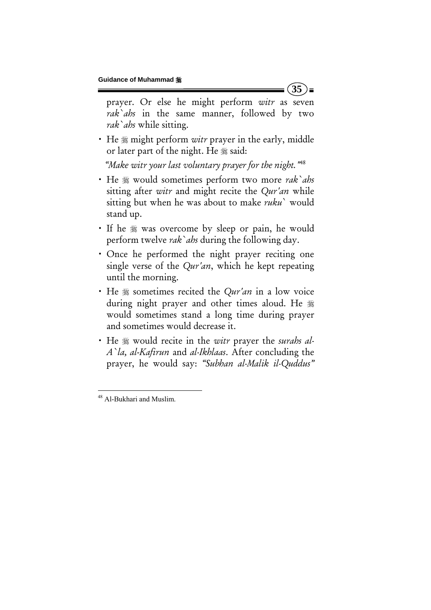prayer. Or else he might perform *witr* as seven *rak`ahs* in the same manner, followed by two *rak`ahs* while sitting.

**35** 

) =

• He  $\frac{1}{2}$  might perform *witr* prayer in the early, middle or later part of the night. He  $*$  said:

 *"Make witr your last voluntary prayer for the night."*<sup>48</sup>

- x He would sometimes perform two more *rak`ahs* sitting after *witr* and might recite the *Qur'an* while sitting but when he was about to make *ruku*` would stand up.
- If he  $\frac{1}{20}$  was overcome by sleep or pain, he would perform twelve *rak`ahs* during the following day.
- Once he performed the night prayer reciting one single verse of the *Qur'an*, which he kept repeating until the morning.
- He  $*$  sometimes recited the *Qur'an* in a low voice during night prayer and other times aloud. He would sometimes stand a long time during prayer and sometimes would decrease it.
- He  $\ast$  would recite in the *witr* prayer the *surahs al-A`la, al*-*Kafirun* and *al-Ikhlaas*. After concluding the prayer, he would say: *"Subhan al-Malik il-Quddus"*

 <sup>48</sup> Al-Bukhari and Muslim.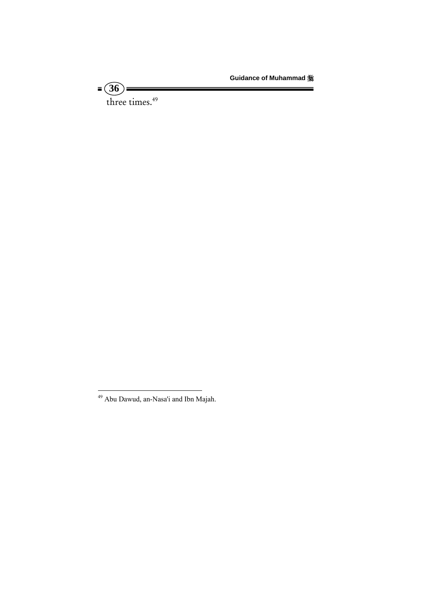**Guidance of Muhammad** 

three times.<sup>49</sup>

**36** 

<sup>&</sup>lt;sup>49</sup> Abu Dawud, an-Nasa'i and Ibn Majah.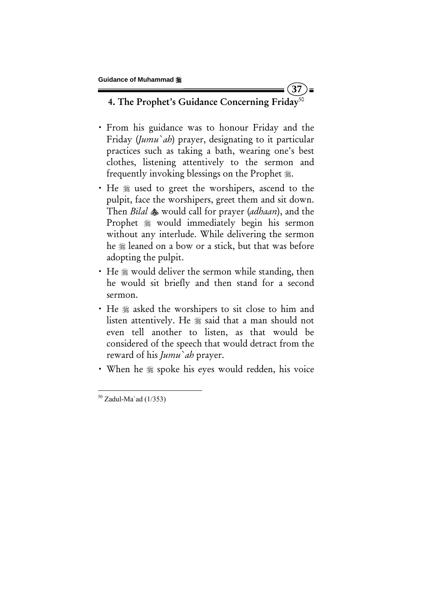## 4. The Prophet's Guidance Concerning Friday<sup>50</sup>

**37** 

 $\equiv$ 

- x From his guidance was to honour Friday and the Friday (*Jumu`ah*) prayer, designating to it particular practices such as taking a bath, wearing one's best clothes, listening attentively to the sermon and frequently invoking blessings on the Prophet ...
- He  $*$  used to greet the worshipers, ascend to the pulpit, face the worshipers, greet them and sit down. Then *Bilal* would call for prayer (*adhaan*), and the Prophet  $*$  would immediately begin his sermon without any interlude. While delivering the sermon he  $\frac{1}{20}$  leaned on a bow or a stick, but that was before adopting the pulpit.
- $\cdot$  He  $\mathcal{L}$  would deliver the sermon while standing, then he would sit briefly and then stand for a second sermon.
- He  $*$  asked the worshipers to sit close to him and listen attentively. He  $*$  said that a man should not even tell another to listen, as that would be considered of the speech that would detract from the reward of his *Jumu`ah* prayer.
- When he  $\frac{1}{2}$  spoke his eyes would redden, his voice

  $50$  Zadul-Ma`ad (1/353)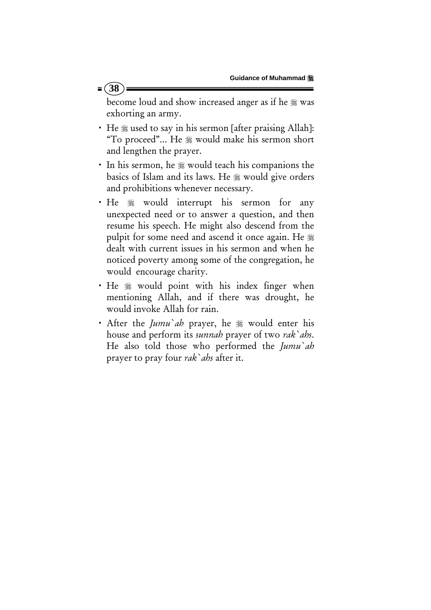$= (38)$ 

become loud and show increased anger as if he  $*$  was exhorting an army.

- He  $*$  used to say in his sermon [after praising Allah]: "To proceed"... He would make his sermon short and lengthen the prayer.
- In his sermon, he  $*$  would teach his companions the basics of Islam and its laws. He  $*$  would give orders and prohibitions whenever necessary.
- He  $*$  would interrupt his sermon for any unexpected need or to answer a question, and then resume his speech. He might also descend from the pulpit for some need and ascend it once again. He dealt with current issues in his sermon and when he noticed poverty among some of the congregation, he would encourage charity.
- He  $*$  would point with his index finger when mentioning Allah, and if there was drought, he would invoke Allah for rain.
- After the *Jumu ah* prayer, he  $\frac{1}{20}$  would enter his house and perform its *sunnah* prayer of two *rak`ahs*. He also told those who performed the *Jumu`ah* prayer to pray four *rak`ahs* after it.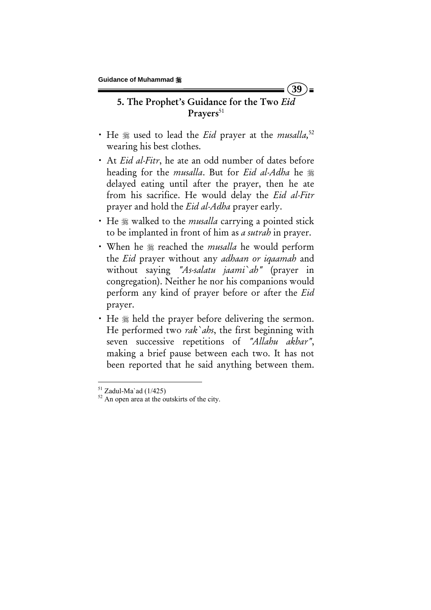# 5. The Prophet's Guidance for the Two *Eid* Prayers<sup>51</sup>

**39** 

- He  $*$  used to lead the *Eid* prayer at the *musalla*,<sup>52</sup> wearing his best clothes.
- x At *Eid al-Fitr*, he ate an odd number of dates before heading for the *musalla*. But for *Eid al-Adha* he delayed eating until after the prayer, then he ate from his sacrifice. He would delay the *Eid al-Fitr* prayer and hold the *Eid al-Adha* prayer early.
- He  $*$  walked to the *musalla* carrying a pointed stick to be implanted in front of him as *a sutrah* in prayer.
- x When he reached the *musalla* he would perform the *Eid* prayer without any *adhaan or iqaamah* and without saying *"As-salatu jaami`ah"* (prayer in congregation). Neither he nor his companions would perform any kind of prayer before or after the *Eid* prayer.
- He  $\frac{1}{2}$  held the prayer before delivering the sermon. He performed two *rak`ahs*, the first beginning with seven successive repetitions of *"Allahu akbar"*, making a brief pause between each two. It has not been reported that he said anything between them.

 $51$  Zadul-Ma`ad (1/425)

 $52$  An open area at the outskirts of the city.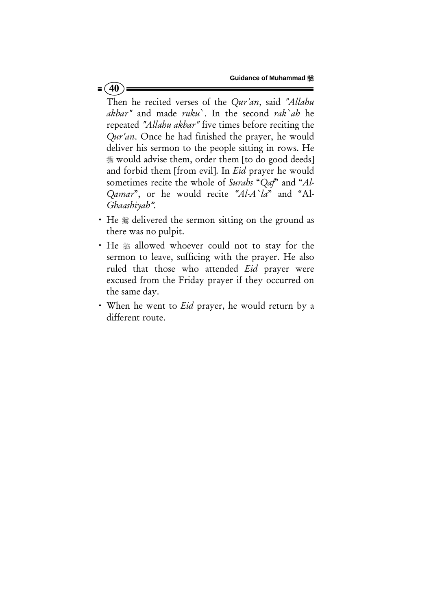## $= (40)$

Then he recited verses of the *Qur'an*, said *"Allahu akbar"* and made *ruku*`. In the second *rak`ah* he repeated *"Allahu akbar"* five times before reciting the *Qur'an*. Once he had finished the prayer, he would deliver his sermon to the people sitting in rows. He would advise them, order them [to do good deeds] and forbid them [from evil]. In *Eid* prayer he would sometimes recite the whole of *Surahs* "*Qaf*" and "*Al-Qamar*", or he would recite *"Al-A`la*" and "Al-*Ghaashiyah".*

- He  $*$  delivered the sermon sitting on the ground as there was no pulpit.
- He  $*$  allowed whoever could not to stay for the sermon to leave, sufficing with the prayer. He also ruled that those who attended *Eid* prayer were excused from the Friday prayer if they occurred on the same day.
- x When he went to *Eid* prayer, he would return by a different route.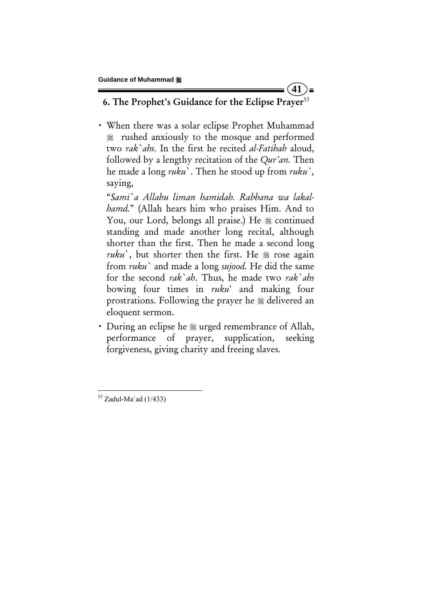6. The Prophet's Guidance for the Eclipse Prayer<sup>53</sup>

**41** 

) =

• When there was a solar eclipse Prophet Muhammad rushed anxiously to the mosque and performed two *rak`ahs*. In the first he recited *al-Fatihah* aloud, followed by a lengthy recitation of the *Qur'an.* Then he made a long *ruku*`. Then he stood up from *ruku`,* saying,

"*Sami`a Allahu liman hamidah. Rabbana wa lakalhamd.*" (Allah hears him who praises Him. And to You, our Lord, belongs all praise.) He  $*$  continued standing and made another long recital, although shorter than the first. Then he made a second long *ruku*, but shorter then the first. He  $\frac{1}{20}$  rose again from *ruku`* and made a long *sujood.* He did the same for the second *rak`ah*. Thus, he made two *rak`ahs* bowing four times in *ruku*' and making four prostrations. Following the prayer he  $\frac{1}{20}$  delivered an eloquent sermon.

• During an eclipse he  $*$  urged remembrance of Allah, performance of prayer, supplication, seeking forgiveness, giving charity and freeing slaves.

  $53$  Zadul-Ma`ad (1/433)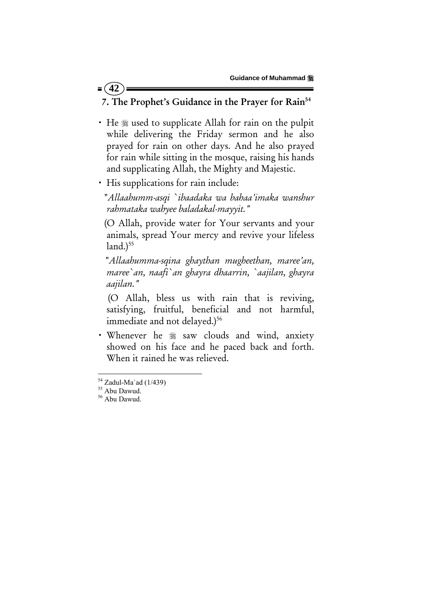# 7. The Prophet's Guidance in the Prayer for Rain<sup>54</sup>

- He  $*$  used to supplicate Allah for rain on the pulpit while delivering the Friday sermon and he also prayed for rain on other days. And he also prayed for rain while sitting in the mosque, raising his hands and supplicating Allah, the Mighty and Majestic.
- His supplications for rain include:

 "*Allaahumm-asqi `ibaadaka wa bahaa'imaka wanshur rahmataka wahyee baladakal-mayyit."* 

 (O Allah, provide water for Your servants and your animals, spread Your mercy and revive your lifeless  $land.)<sup>55</sup>$ 

 "*Allaahumma-sqina ghaythan mugheethan, maree'an, maree`an, naafi`an ghayra dhaarrin, `aajilan, ghayra aajilan."*

 (O Allah, bless us with rain that is reviving, satisfying, fruitful, beneficial and not harmful, immediate and not delayed.)<sup>56</sup>

· Whenever he  $*$  saw clouds and wind, anxiety showed on his face and he paced back and forth. When it rained he was relieved.

 $= (42)$ 

 $54$  Zadul-Ma'ad (1/439)

<sup>&</sup>lt;sup>55</sup> Abu Dawud.<br><sup>56</sup> Abu Dawud.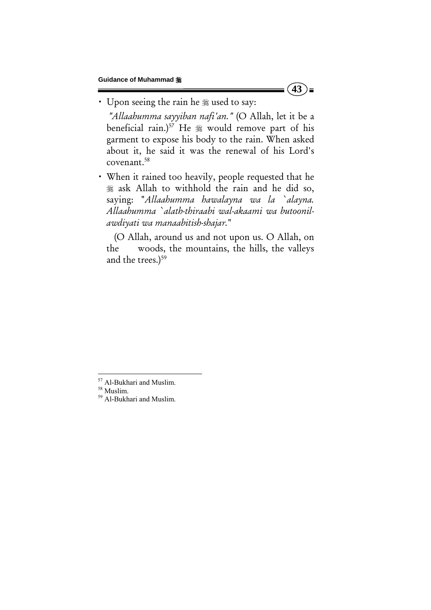$(43)$  =

• Upon seeing the rain he # used to say:

 *"Allaahumma sayyiban nafi'an."* (O Allah, let it be a beneficial rain.)<sup>57</sup> He  $*$  would remove part of his garment to expose his body to the rain. When asked about it, he said it was the renewal of his Lord's covenant.58

x When it rained too heavily, people requested that he ask Allah to withhold the rain and he did so, saying: "*Allaahumma hawalayna wa la `alayna. Allaahumma `alath-thiraabi wal-akaami wa butoonilawdiyati wa manaabitish-shajar.*"

 (O Allah, around us and not upon us. O Allah, on the woods, the mountains, the hills, the valleys and the trees.)<sup>59</sup>

<sup>&</sup>lt;sup>57</sup> Al-Bukhari and Muslim.<br><sup>58</sup> Muslim.<br><sup>59</sup> Al-Bukhari and Muslim.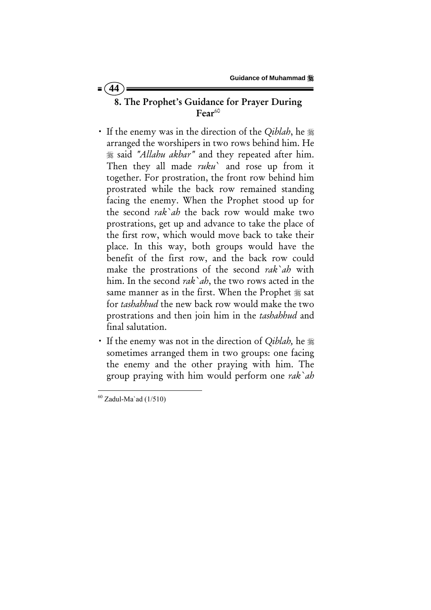# 8. The Prophet's Guidance for Prayer During  $Fear^{60}$

- If the enemy was in the direction of the *Qiblah*, he  $\frac{1}{2}$ arranged the worshipers in two rows behind him. He said *"Allahu akbar"* and they repeated after him. Then they all made *ruku*` and rose up from it together. For prostration, the front row behind him prostrated while the back row remained standing facing the enemy. When the Prophet stood up for the second *rak`ah* the back row would make two prostrations, get up and advance to take the place of the first row, which would move back to take their place. In this way, both groups would have the benefit of the first row, and the back row could make the prostrations of the second *rak`ah* with him. In the second *rak`ah*, the two rows acted in the same manner as in the first. When the Prophet  $\frac{1}{26}$  sat for *tashahhud* the new back row would make the two prostrations and then join him in the *tashahhud* and final salutation.
- If the enemy was not in the direction of *Qiblah*, he  $\frac{166}{16}$ sometimes arranged them in two groups: one facing the enemy and the other praying with him. The group praying with him would perform one *rak`ah*

  $60$  Zadul-Ma`ad (1/510)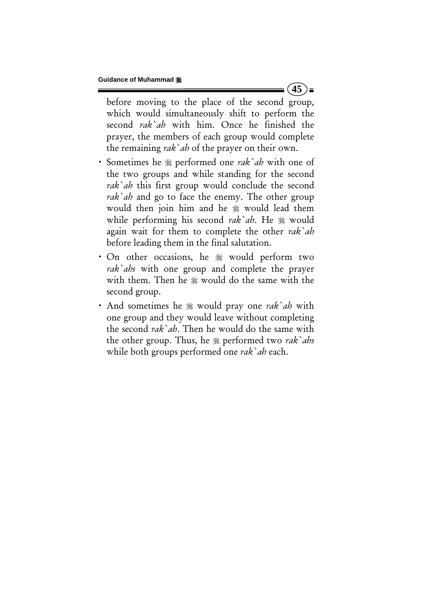before moving to the place of the second group, which would simultaneously shift to perform the second *rak`ah* with him. Once he finished the prayer, the members of each group would complete the remaining *rak`ah* of the prayer on their own.

 $(45)$  =

- Sometimes he  $*$  performed one *rak`ah* with one of the two groups and while standing for the second *rak`ah* this first group would conclude the second *rak`ah* and go to face the enemy. The other group would then join him and he  $\frac{1}{20}$  would lead them while performing his second *rak`ah*. He  $\#$  would again wait for them to complete the other *rak`ah* before leading them in the final salutation.
- On other occasions, he  $\frac{1}{20}$  would perform two *rak`ahs* with one group and complete the prayer with them. Then he  $*$  would do the same with the second group.
- And sometimes he  $\frac{1}{2}$  would pray one *rak ab* with one group and they would leave without completing the second *rak`ah*. Then he would do the same with the other group. Thus, he *p* performed two *rak ahs* while both groups performed one *rak`ah* each.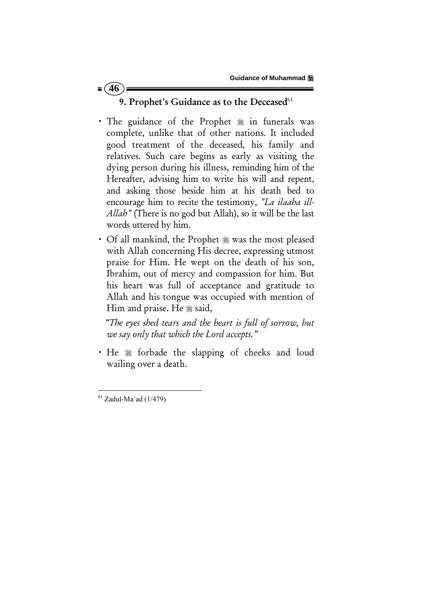# 9. Prophet's Guidance as to the Deceased<sup>61</sup>

- The guidance of the Prophet  $\frac{1}{20}$  in funerals was complete, unlike that of other nations. It included good treatment of the deceased, his family and relatives. Such care begins as early as visiting the dying person during his illness, reminding him of the Hereafter, advising him to write his will and repent, and asking those beside him at his death bed to encourage him to recite the testimony, *"La ilaaha ill-Allah"* (There is no god but Allah), so it will be the last words uttered by him.
- Of all mankind, the Prophet  $*$  was the most pleased with Allah concerning His decree, expressing utmost praise for Him. He wept on the death of his son, Ibrahim, out of mercy and compassion for him. But his heart was full of acceptance and gratitude to Allah and his tongue was occupied with mention of Him and praise. He  $\frac{1}{26}$  said,

 *"The eyes shed tears and the heart is full of sorrow, but we say only that which the Lord accepts."* 

• He  $*$  forbade the slapping of cheeks and loud wailing over a death.

 $= (46)$ 

  $61$  Zadul-Ma`ad (1/479)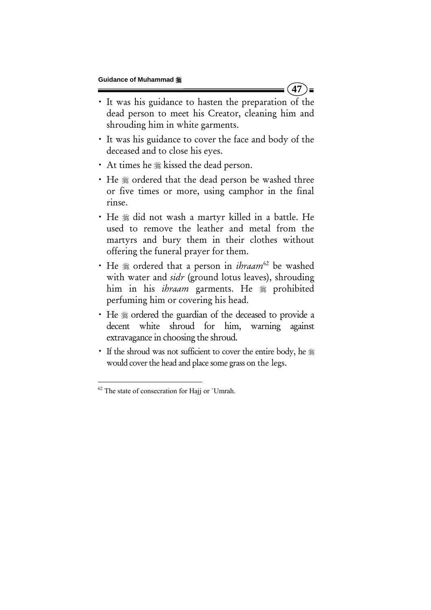x It was his guidance to hasten the preparation of the dead person to meet his Creator, cleaning him and shrouding him in white garments.

 $(47)$  =

- x It was his guidance to cover the face and body of the deceased and to close his eyes.
- At times he  $*$  kissed the dead person.
- He  $*$  ordered that the dead person be washed three or five times or more, using camphor in the final rinse.
- He  $*$  did not wash a martyr killed in a battle. He used to remove the leather and metal from the martyrs and bury them in their clothes without offering the funeral prayer for them.
- He  $*$  ordered that a person in *ibraam*<sup>62</sup> be washed with water and *sidr* (ground lotus leaves), shrouding him in his *ibraam* garments. He  $\frac{1}{20}$  prohibited perfuming him or covering his head.
- He  $*$  ordered the guardian of the deceased to provide a decent white shroud for him, warning against extravagance in choosing the shroud.
- If the shroud was not sufficient to cover the entire body, he \* would cover the head and place some grass on the legs.

 $62$  The state of consecration for Hajj or `Umrah.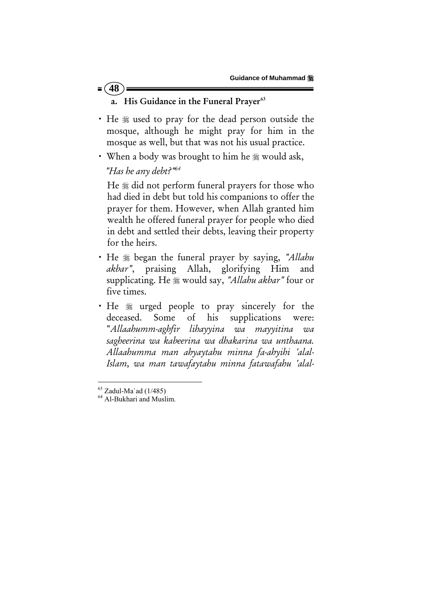## $= (48)$

#### a. His Guidance in the Funeral Prayer<sup>63</sup>

- He  $*$  used to pray for the dead person outside the mosque, although he might pray for him in the mosque as well, but that was not his usual practice.
- When a body was brought to him he  $\frac{1}{28}$  would ask,

### *"Has he any debt?"64*

He  $*$  did not perform funeral prayers for those who had died in debt but told his companions to offer the prayer for them. However, when Allah granted him wealth he offered funeral prayer for people who died in debt and settled their debts, leaving their property for the heirs.

- x He began the funeral prayer by saying, *"Allahu akbar"*, praising Allah, glorifying Him and supplicating. He would say, *"Allahu akbar"* four or five times.
- He  $*$  urged people to pray sincerely for the deceased. Some of his supplications were: "*Allaahumm-aghfir lihayyina wa mayyitina wa sagheerina wa kabeerina wa dhakarina wa unthaana. Allaahumma man ahyaytahu minna fa-ahyihi 'alal-Islam, wa man tawafaytahu minna fatawafahu 'alal-*

 $63$  Zadul-Ma`ad (1/485)

<sup>&</sup>lt;sup>64</sup> Al-Bukhari and Muslim.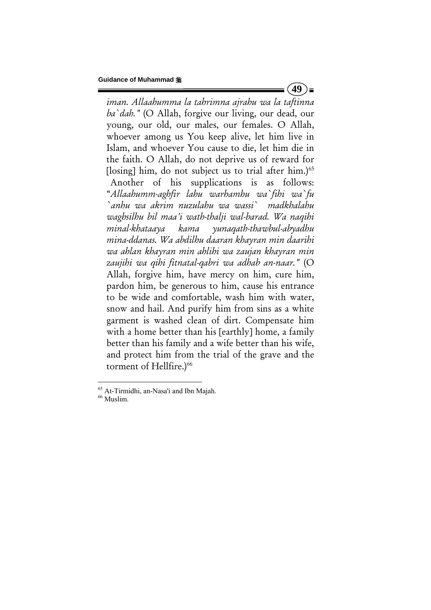$(49)$  =

*iman. Allaahumma la tahrimna ajrahu wa la taftinna ba`dah."* (O Allah, forgive our living, our dead, our young, our old, our males, our females. O Allah, whoever among us You keep alive, let him live in Islam, and whoever You cause to die, let him die in the faith. O Allah, do not deprive us of reward for [ $\log_{10}$ ] him, do not subject us to trial after him.)<sup>65</sup> Another of his supplications is as follows: "*Allaahumm-aghfir lahu warhamhu wa`fihi wa`fu `anhu wa akrim nuzulahu wa wassi` madkhalahu waghsilhu bil maa'i wath-thalji wal-barad. Wa naqihi minal-khataaya kama yunaqath-thawbul-abyadhu mina-ddanas. Wa abdilhu daaran khayran min daarihi wa ahlan khayran min ahlihi wa zaujan khayran min zaujihi wa qihi fitnatal-qabri wa adhab an-naar."* (O Allah, forgive him, have mercy on him, cure him, pardon him, be generous to him, cause his entrance to be wide and comfortable, wash him with water, snow and hail. And purify him from sins as a white garment is washed clean of dirt. Compensate him with a home better than his [earthly] home, a family better than his family and a wife better than his wife, and protect him from the trial of the grave and the torment of Hellfire.)<sup>66</sup>

 $65$  At-Tirmidhi, an-Nasa'i and Ibn Majah.<br> $66$  Muslim.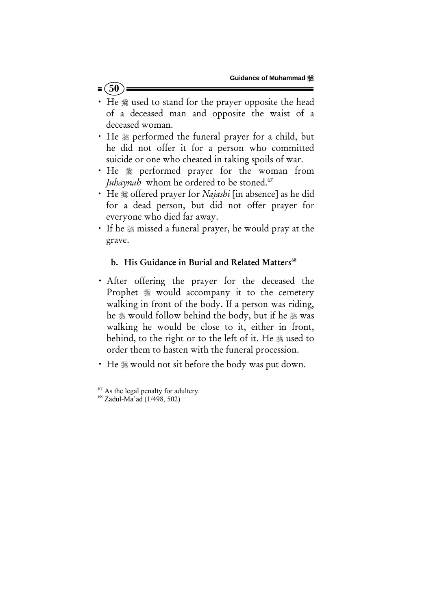## $= (50)$

- He  $*$  used to stand for the prayer opposite the head of a deceased man and opposite the waist of a deceased woman.
- He  $*$  performed the funeral prayer for a child, but he did not offer it for a person who committed suicide or one who cheated in taking spoils of war.
- · He  $*$  performed prayer for the woman from *Juhaynah* whom he ordered to be stoned.<sup>67</sup>
- He  $*$  offered prayer for *Najashi* [in absence] as he did for a dead person, but did not offer prayer for everyone who died far away.
- If he  $\frac{1}{2}$  missed a funeral prayer, he would pray at the grave.

### b. His Guidance in Burial and Related Matters<sup>68</sup>

- **·** After offering the prayer for the deceased the Prophet  $*$  would accompany it to the cemetery walking in front of the body. If a person was riding, he  $\frac{1}{20}$  would follow behind the body, but if he  $\frac{1}{20}$  was walking he would be close to it, either in front, behind, to the right or to the left of it. He  $\frac{1}{20}$  used to order them to hasten with the funeral procession.
- He  $\frac{1}{2}$  would not sit before the body was put down.

<sup>&</sup>lt;sup>67</sup> As the legal penalty for adultery.<br><sup>68</sup> Zadul-Ma`ad (1/498, 502)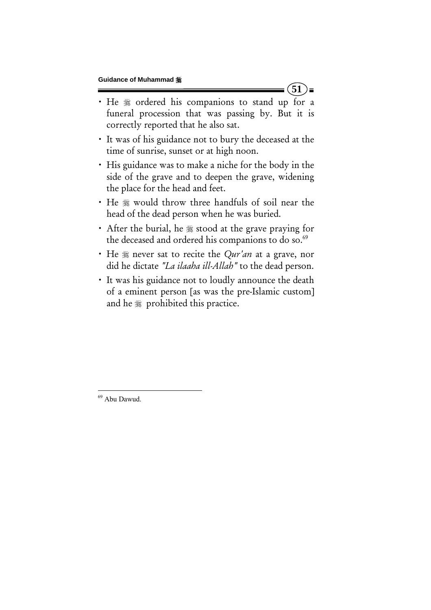• He  $*$  ordered his companions to stand up for a funeral procession that was passing by. But it is correctly reported that he also sat.

 $(51)$ 

- x It was of his guidance not to bury the deceased at the time of sunrise, sunset or at high noon.
- x His guidance was to make a niche for the body in the side of the grave and to deepen the grave, widening the place for the head and feet.
- He  $*$  would throw three handfuls of soil near the head of the dead person when he was buried.
- $\cdot$  After the burial, he  $\frac{1}{20}$  stood at the grave praying for the deceased and ordered his companions to do so.<sup>69</sup>
- He  $\frac{1}{2}$  never sat to recite the *Qur'an* at a grave, nor did he dictate *"La ilaaha ill-Allah"* to the dead person.
- It was his guidance not to loudly announce the death of a eminent person [as was the pre-Islamic custom] and he  $*$  prohibited this practice.

 <sup>69</sup> Abu Dawud.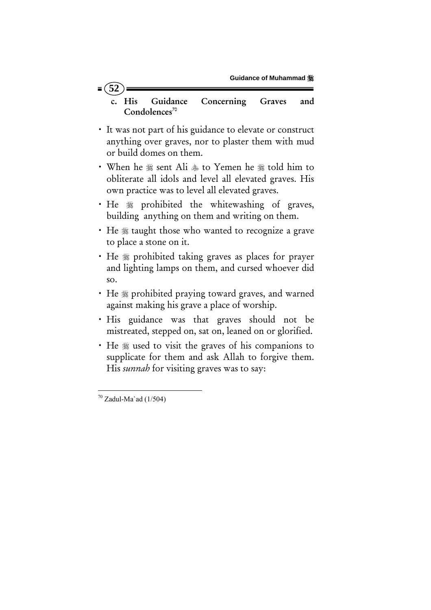c. His Guidance Concerning Graves and Condolences<sup>70</sup>

- It was not part of his guidance to elevate or construct anything over graves, nor to plaster them with mud or build domes on them.
- When he  $\frac{1}{28}$  sent Ali  $\frac{1}{28}$  to Yemen he  $\frac{1}{28}$  told him to obliterate all idols and level all elevated graves. His own practice was to level all elevated graves.
- He  $*$  prohibited the whitewashing of graves, building anything on them and writing on them.
- He  $*$  taught those who wanted to recognize a grave to place a stone on it.
- He  $\ast$  prohibited taking graves as places for prayer and lighting lamps on them, and cursed whoever did so.
- He  $*$  prohibited praying toward graves, and warned against making his grave a place of worship.
- His guidance was that graves should not be mistreated, stepped on, sat on, leaned on or glorified.
- He  $\frac{1}{2}$  used to visit the graves of his companions to supplicate for them and ask Allah to forgive them. His *sunnah* for visiting graves was to say:

 $= (52)$ 

  $70$  Zadul-Ma`ad (1/504)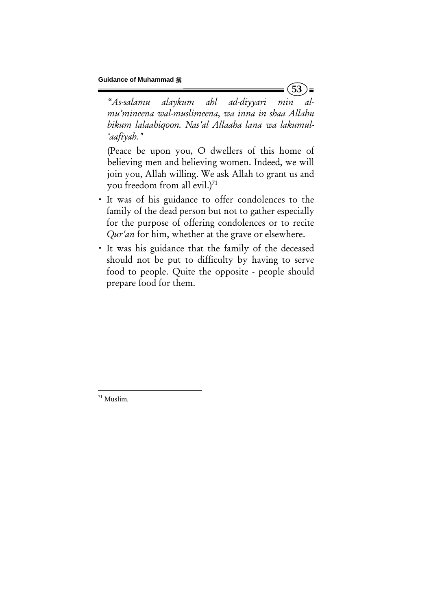"*As-salamu alaykum ahl ad-diyyari min almu'mineena wal-muslimeena, wa inna in shaa Allahu bikum lalaahiqoon. Nas'al Allaaha lana wa lakumul- 'aafiyah."* 

**53** 

 $\equiv$ 

(Peace be upon you, O dwellers of this home of believing men and believing women. Indeed, we will join you, Allah willing. We ask Allah to grant us and you freedom from all evil.) $71$ 

- x It was of his guidance to offer condolences to the family of the dead person but not to gather especially for the purpose of offering condolences or to recite *Qur'an* for him, whether at the grave or elsewhere.
- x It was his guidance that the family of the deceased should not be put to difficulty by having to serve food to people. Quite the opposite - people should prepare food for them.

  $71$  Muslim.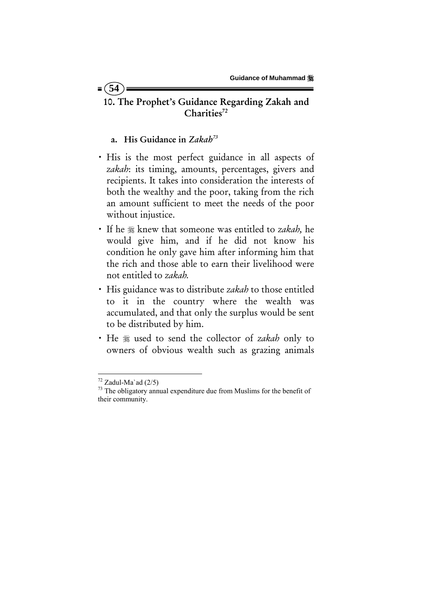# 10. The Prophet's Guidance Regarding Zakah and Charities<sup>72</sup>

#### a. His Guidance in *Zakah73*

 $= (54)$ 

- · His is the most perfect guidance in all aspects of *zakah*: its timing, amounts, percentages, givers and recipients. It takes into consideration the interests of both the wealthy and the poor, taking from the rich an amount sufficient to meet the needs of the poor without injustice.
- x If he knew that someone was entitled to *zakah,* he would give him, and if he did not know his condition he only gave him after informing him that the rich and those able to earn their livelihood were not entitled to *zakah.*
- x His guidance was to distribute *zakah* to those entitled to it in the country where the wealth was accumulated, and that only the surplus would be sent to be distributed by him.
- x He used to send the collector of *zakah* only to owners of obvious wealth such as grazing animals

 $72$  Zadul-Ma`ad (2/5)

<sup>&</sup>lt;sup>73</sup> The obligatory annual expenditure due from Muslims for the benefit of their community.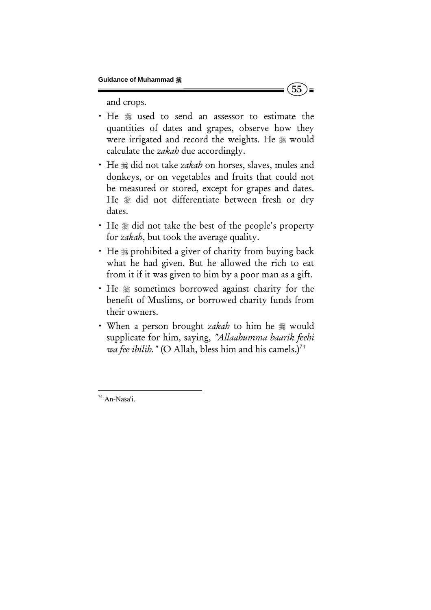and crops.

• He \* used to send an assessor to estimate the quantities of dates and grapes, observe how they were irrigated and record the weights. He  $*$  would calculate the *zakah* due accordingly.

 $(55)$  =

- He  $*$  did not take *zakah* on horses, slaves, mules and donkeys, or on vegetables and fruits that could not be measured or stored, except for grapes and dates. He  $*$  did not differentiate between fresh or dry dates.
- $\cdot$  He  $\frac{1}{20}$  did not take the best of the people's property for *zakah*, but took the average quality.
- He  $\ast$  prohibited a giver of charity from buying back what he had given. But he allowed the rich to eat from it if it was given to him by a poor man as a gift.
- He  $*$  sometimes borrowed against charity for the benefit of Muslims, or borrowed charity funds from their owners.
- When a person brought *zakah* to him he  $\frac{1}{20}$  would supplicate for him, saying, *"Allaahumma baarik feehi wa fee ibilih."* (O Allah, bless him and his camels.)<sup>74</sup>

 <sup>74</sup> An-Nasa'i.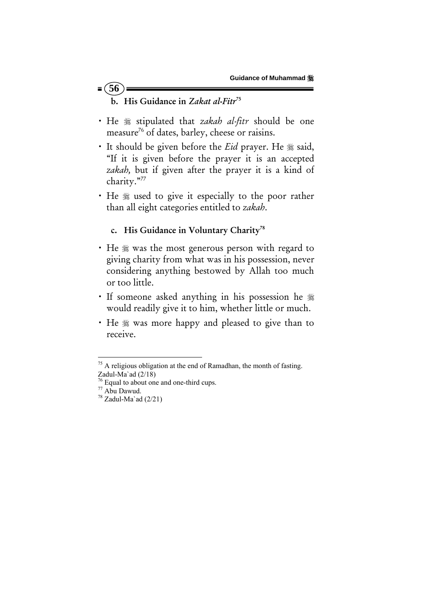- $= (56)$ b. His Guidance in *Zakat al-Fitr*<sup>75</sup>
- He  $*$  stipulated that *zakah al-fitr* should be one measure<sup>76</sup> of dates, barley, cheese or raisins.
- It should be given before the *Eid* prayer. He  $\frac{1}{2}$  said, "If it is given before the prayer it is an accepted *zakah,* but if given after the prayer it is a kind of charity."77
- He  $*$  used to give it especially to the poor rather than all eight categories entitled to *zakah*.

### c. His Guidance in Voluntary Charity<sup>78</sup>

- He  $*$  was the most generous person with regard to giving charity from what was in his possession, never considering anything bestowed by Allah too much or too little.
- If someone asked anything in his possession he  $\frac{1}{2}$ would readily give it to him, whether little or much.
- He  $*$  was more happy and pleased to give than to receive.

 $75$  A religious obligation at the end of Ramadhan, the month of fasting. Zadul-Ma`ad (2/18)

Zadul-1yla au (2/10)<br>
<sup>76</sup> Equal to about one and one-third cups.<br>
<sup>77</sup> Abu Dawud.<br>
<sup>78</sup> Zadul-Ma`ad (2/21)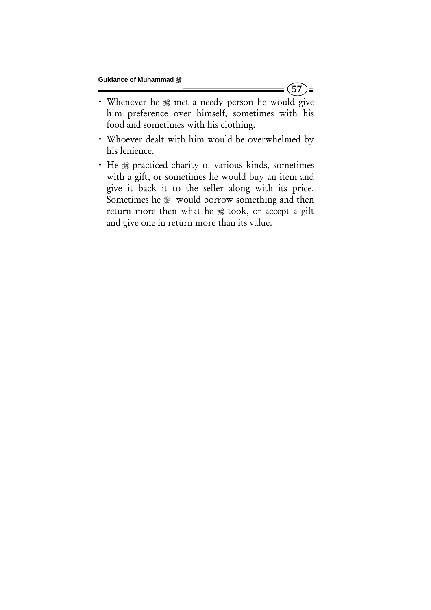$(57)$ =

- Whenever he  $*$  met a needy person he would give him preference over himself, sometimes with his food and sometimes with his clothing.
- x Whoever dealt with him would be overwhelmed by his lenience.
- He  $*$  practiced charity of various kinds, sometimes with a gift, or sometimes he would buy an item and give it back it to the seller along with its price. Sometimes he  $\frac{1}{20}$  would borrow something and then return more then what he  $*$  took, or accept a gift and give one in return more than its value.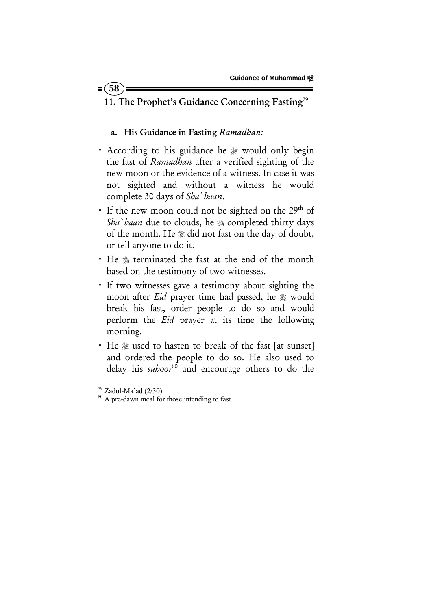### $= (58$

# 11. The Prophet's Guidance Concerning Fasting<sup>79</sup>

#### a. His Guidance in Fasting *Ramadhan:*

- According to his guidance he # would only begin the fast of *Ramadhan* after a verified sighting of the new moon or the evidence of a witness. In case it was not sighted and without a witness he would complete 30 days of *Sha`baan*.
- If the new moon could not be sighted on the 29<sup>th</sup> of Sha`baan due to clouds, he  $*$  completed thirty days of the month. He  $*$  did not fast on the day of doubt, or tell anyone to do it.
- He  $*$  terminated the fast at the end of the month based on the testimony of two witnesses.
- x If two witnesses gave a testimony about sighting the moon after *Eid* prayer time had passed, he  $\frac{1}{20}$  would break his fast, order people to do so and would perform the *Eid* prayer at its time the following morning.
- He  $*$  used to hasten to break of the fast [at sunset] and ordered the people to do so. He also used to delay his *suhoor*<sup>80</sup> and encourage others to do the

 $79$  Zadul-Ma`ad (2/30)

<sup>&</sup>lt;sup>80</sup> A pre-dawn meal for those intending to fast.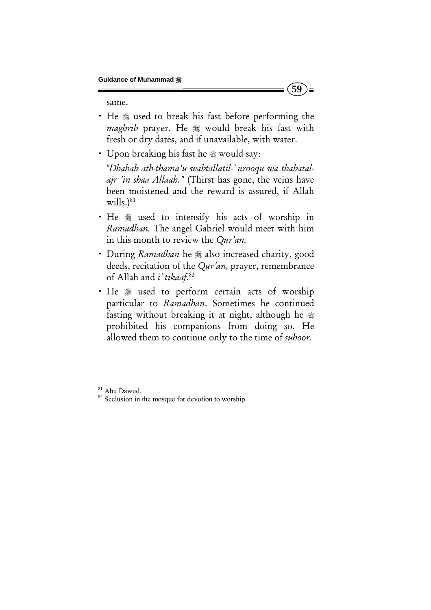same.

• He  $*$  used to break his fast before performing the *maghrib* prayer. He  $*$  would break his fast with fresh or dry dates, and if unavailable, with water.

**59** 

)≡

• Upon breaking his fast he  $\frac{1}{28}$  would say:

 *"Dhahab ath-thama'u wabtallatil-`urooqu wa thabatalajr 'in shaa Allaah."* (Thirst has gone, the veins have been moistened and the reward is assured, if Allah  $wills.$ <sup>81</sup>

- x He used to intensify his acts of worship in *Ramadhan.* The angel Gabriel would meet with him in this month to review the *Qur'an.*
- During *Ramadhan* he  $\frac{1}{2}$  also increased charity, good deeds, recitation of the *Qur'an,* prayer, remembrance of Allah and *i`tikaaf*. 82
- He  $*$  used to perform certain acts of worship particular to *Ramadhan*. Sometimes he continued fasting without breaking it at night, although he prohibited his companions from doing so. He allowed them to continue only to the time of *suhoor*.

<sup>&</sup>lt;sup>81</sup> Abu Dawud.

<sup>&</sup>lt;sup>82</sup> Seclusion in the mosque for devotion to worship.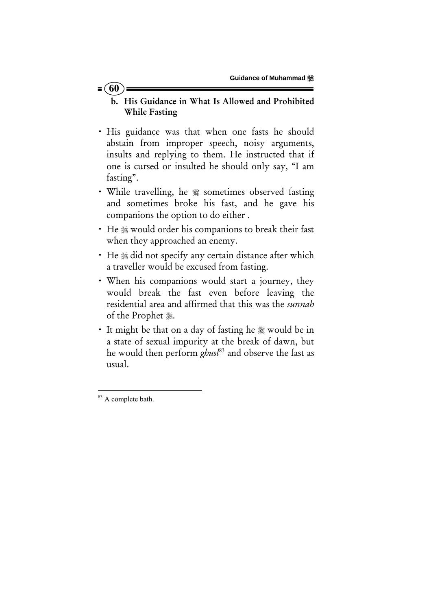#### $= 60$

- b. His Guidance in What Is Allowed and Prohibited While Fasting
- x His guidance was that when one fasts he should abstain from improper speech, noisy arguments, insults and replying to them. He instructed that if one is cursed or insulted he should only say, "I am fasting".
- While travelling, he  $*$  sometimes observed fasting and sometimes broke his fast, and he gave his companions the option to do either .
- He ※ would order his companions to break their fast when they approached an enemy.
- He  $\ast$  did not specify any certain distance after which a traveller would be excused from fasting.
- When his companions would start a journey, they would break the fast even before leaving the residential area and affirmed that this was the *sunnah* of the Prophet ...
- It might be that on a day of fasting he  $\frac{1}{20}$  would be in a state of sexual impurity at the break of dawn, but he would then perform *ghusl*83 and observe the fast as usual.

 <sup>83</sup> A complete bath.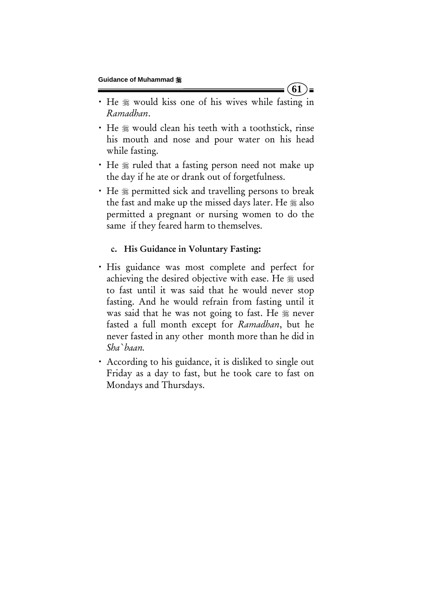• He  $*$  would kiss one of his wives while fasting in *Ramadhan*.

**61** 

)≡

- He  $*$  would clean his teeth with a toothstick, rinse his mouth and nose and pour water on his head while fasting.
- He  $\frac{1}{2}$  ruled that a fasting person need not make up the day if he ate or drank out of forgetfulness.
- He  $\frac{1}{2}$  permitted sick and travelling persons to break the fast and make up the missed days later. He  $\frac{1}{28}$  also permitted a pregnant or nursing women to do the same if they feared harm to themselves.

### c. His Guidance in Voluntary Fasting:

- x His guidance was most complete and perfect for achieving the desired objective with ease. He  $*$  used to fast until it was said that he would never stop fasting. And he would refrain from fasting until it was said that he was not going to fast. He  $\frac{1}{20}$  never fasted a full month except for *Ramadhan*, but he never fasted in any other month more than he did in *Sha`baan.*
- x According to his guidance, it is disliked to single out Friday as a day to fast, but he took care to fast on Mondays and Thursdays.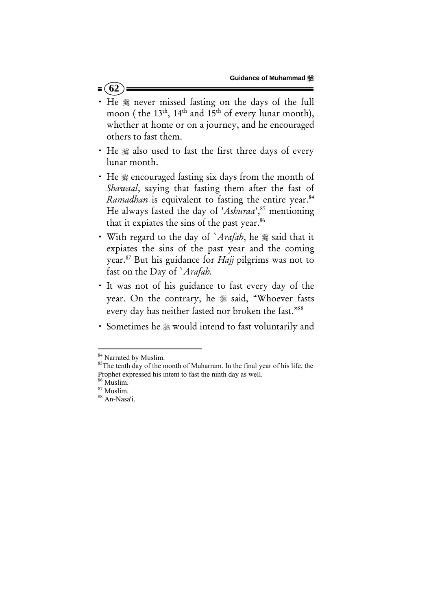- $= (62)$
- . He  $*$  never missed fasting on the days of the full moon ( the 13<sup>th</sup>, 14<sup>th</sup> and 15<sup>th</sup> of every lunar month), whether at home or on a journey, and he encouraged others to fast them.
- He  $*$  also used to fast the first three days of every lunar month.
- He  $*$  encouraged fasting six days from the month of *Shawaal*, saying that fasting them after the fast of *Ramadhan* is equivalent to fasting the entire year.<sup>84</sup> He always fasted the day of '*Ashuraa*',<sup>85</sup> mentioning that it expiates the sins of the past year.<sup>86</sup>
- With regard to the day of `Arafah, he  $*$  said that it expiates the sins of the past year and the coming year.87 But his guidance for *Hajj* pilgrims was not to fast on the Day of `*Arafah.*
- x It was not of his guidance to fast every day of the year. On the contrary, he  $*$  said, "Whoever fasts every day has neither fasted nor broken the fast."88
- Sometimes he  $*$  would intend to fast voluntarily and

 $84$  Narrated by Muslim.<br> $85$ The tenth day of the month of Muharram. In the final year of his life, the Prophet expressed his intent to fast the ninth day as well.  $^{86}$  Muslim.

 $\frac{87}{88}$  Muslim.<br> $\frac{88}{8}$  An-Nasa'i.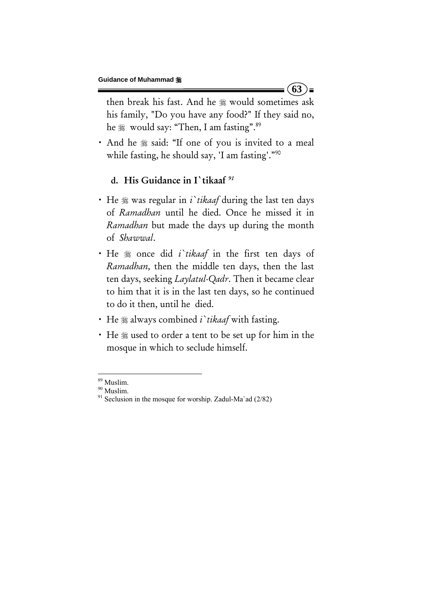then break his fast. And he  $*$  would sometimes ask his family, "Do you have any food?" If they said no, he  $\frac{1}{28}$  would say: "Then, I am fasting".<sup>89</sup>

**63** 

) ≡

• And he  $*$  said: "If one of you is invited to a meal while fasting, he should say, 'I am fasting'."<sup>90</sup>

## d. His Guidance in I`tikaaf *<sup>91</sup>*

- He  $\frac{1}{2}$  was regular in *i i* tikaaf during the last ten days of *Ramadhan* until he died. Once he missed it in *Ramadhan* but made the days up during the month of *Shawwal*.
- He  $*$  once did *i* tikaaf in the first ten days of *Ramadhan,* then the middle ten days, then the last ten days, seeking *Laylatul-Qadr*. Then it became clear to him that it is in the last ten days, so he continued to do it then, until he died.
- He  $*$  always combined *i tikaaf* with fasting.
- He :used to order a tent to be set up for him in the mosque in which to seclude himself.

<sup>&</sup>lt;sup>89</sup> Muslim.

<sup>&</sup>lt;sup>90</sup> Muslim.<br><sup>91</sup> Seclusion in the mosque for worship. Zadul-Ma`ad (2/82)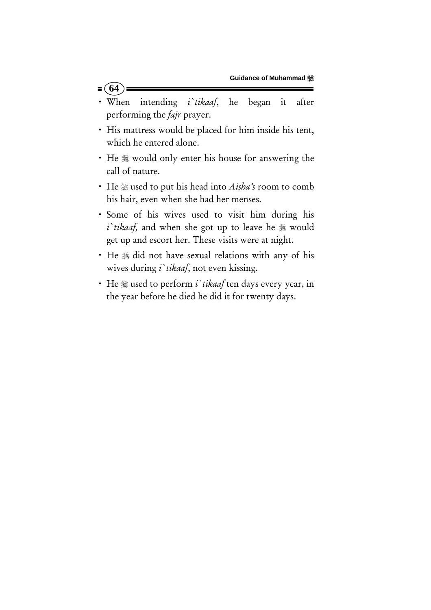x When intending *i`tikaaf*, he began it after performing the *fajr* prayer.

 $= (64)$ 

- His mattress would be placed for him inside his tent, which he entered alone.
- He  $*$  would only enter his house for answering the call of nature.
- x He used to put his head into *Aisha's* room to comb his hair, even when she had her menses.
- x Some of his wives used to visit him during his *i*'tikaaf, and when she got up to leave he  $*$  would get up and escort her. These visits were at night.
- He  $*$  did not have sexual relations with any of his wives during *i`tikaaf*, not even kissing.
- He  $*$  used to perform *i`tikaaf* ten days every year, in the year before he died he did it for twenty days.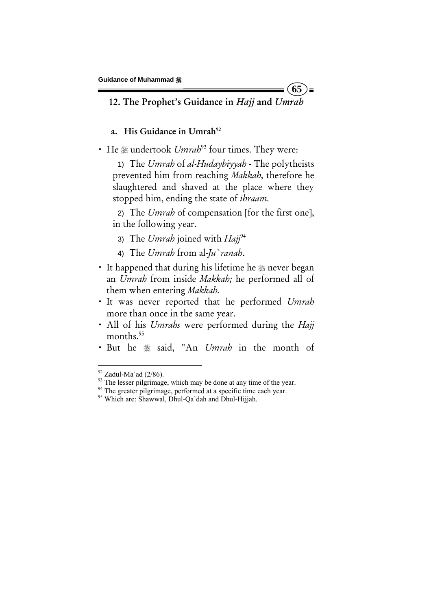### 12. The Prophet's Guidance in *Hajj* and *Umrah*

**65** 

 $=$ 

## a. His Guidance in Umrah $92$

• He  $*$  undertook *Umrah*<sup>93</sup> four times. They were:

1) The *Umrah* of *al-Hudaybiyyah* - The polytheists prevented him from reaching *Makkah,* therefore he slaughtered and shaved at the place where they stopped him, ending the state of *ihraam.*

2) The *Umrah* of compensation [for the first one], in the following year.

- 3) The *Umrah* joined with *Hajj*<sup>94</sup>
- 4) The *Umrah* from al-*Ju`ranah*.
- It happened that during his lifetime he  $\frac{1}{20}$  never began an *Umrah* from inside *Makkah;* he performed all of them when entering *Makkah.*
- x It was never reported that he performed *Umrah*  more than once in the same year.
- x All of his *Umrahs* were performed during the *Hajj*  months.<sup>95</sup>
- x But he said, "An *Umrah* in the month of

 $\frac{92}{93}$  Zadul-Ma`ad (2/86).<br><sup>93</sup> The lesser pilgrimage, which may be done at any time of the year.

<sup>&</sup>lt;sup>94</sup> The greater pilgrimage, performed at a specific time each year. <sup>95</sup> Which are: Shawwal, Dhul-Qa`dah and Dhul-Hijjah.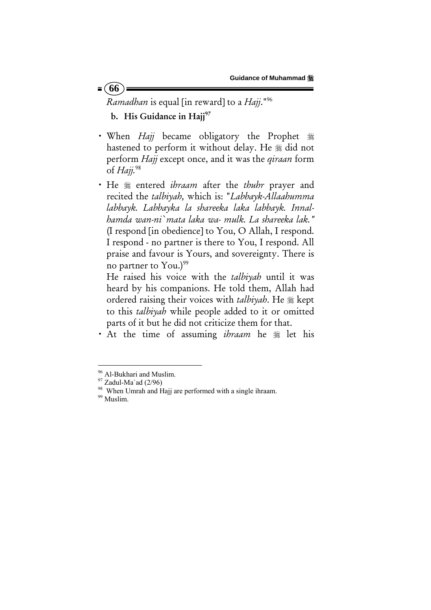*Ramadhan* is equal [in reward] to a *Hajj*."96

b. His Guidance in Hajj<sup>97</sup>

 $= 66$ 

- When *Hajj* became obligatory the Prophet 紫 hastened to perform it without delay. He  $*$  did not perform *Hajj* except once, and it was the *qiraan* form of *Hajj.*<sup>98</sup>
- x He entered *ihraam* after the *thuhr* prayer and recited the *talbiyah,* which is: "*Labbayk-Allaahumma labbayk. Labbayka la shareeka laka labbayk. Innalhamda wan-ni`mata laka wa- mulk. La shareeka lak."* (I respond [in obedience] to You, O Allah, I respond. I respond - no partner is there to You, I respond. All praise and favour is Yours, and sovereignty. There is no partner to You.) $99$

He raised his voice with the *talbiyah* until it was heard by his companions. He told them, Allah had ordered raising their voices with *talbiyah*. He  $*$  kept to this *talbiyah* while people added to it or omitted parts of it but he did not criticize them for that.

• At the time of assuming *ibraam* he  $\frac{1}{26}$  let his

<sup>&</sup>lt;sup>96</sup> Al-Bukhari and Muslim.<br><sup>97</sup> Zadul-Ma`ad (2/96)

<sup>&</sup>lt;sup>97</sup> Zadul-Ma`ad (2/96)<br><sup>98</sup> When Umrah and Hajj are performed with a single ihraam.<br><sup>99</sup> Muslim.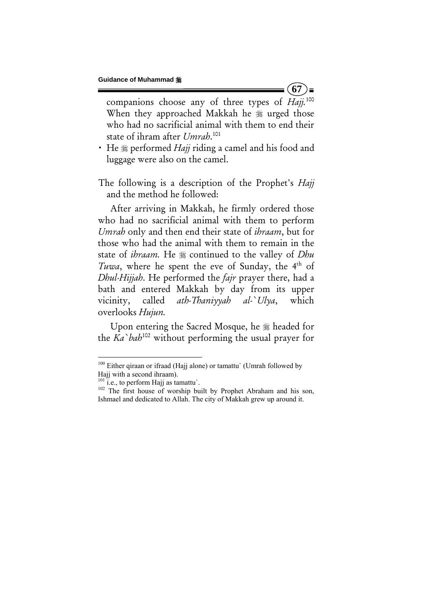companions choose any of three types of *Hajj.*<sup>100</sup> When they approached Makkah he  $\frac{1}{20}$  urged those who had no sacrificial animal with them to end their state of ihram after *Umrah*. 101

**67** 

) =

• He  $\frac{1}{2}$  performed *Hajj* riding a camel and his food and luggage were also on the camel.

The following is a description of the Prophet's *Hajj* and the method he followed:

After arriving in Makkah, he firmly ordered those who had no sacrificial animal with them to perform *Umrah* only and then end their state of *ihraam*, but for those who had the animal with them to remain in the state of *ihraam*. He  $\frac{1}{26}$  continued to the valley of *Dhu Tuwa*, where he spent the eve of Sunday, the 4<sup>th</sup> of *Dhul-Hijjah*. He performed the *fajr* prayer there, had a bath and entered Makkah by day from its upper vicinity, called *ath-Thaniyyah al-`Ulya*, which overlooks *Hujun.*

Upon entering the Sacred Mosque, he  $\frac{1}{20}$  headed for the *Ka`bah*102 without performing the usual prayer for

<sup>&</sup>lt;sup>100</sup> Either qiraan or ifraad (Hajj alone) or tamattu` (Umrah followed by Hajj with a second ihraam).<br> $^{101}$  i.e., to perform Hajj as tamattu'.

<sup>&</sup>lt;sup>102</sup> The first house of worship built by Prophet Abraham and his son, Ishmael and dedicated to Allah. The city of Makkah grew up around it.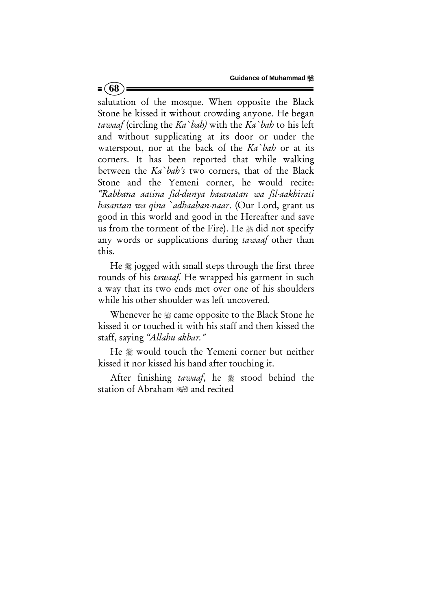**Guidance of Muhammad** 

salutation of the mosque. When opposite the Black Stone he kissed it without crowding anyone. He began *tawaaf* (circling the *Ka`bah)* with the *Ka`bah* to his left and without supplicating at its door or under the waterspout, nor at the back of the *Ka`bah* or at its corners. It has been reported that while walking between the *Ka`bah's* two corners, that of the Black Stone and the Yemeni corner, he would recite: *"Rabbana aatina fid-dunya hasanatan wa fil-aakhirati hasantan wa qina `adhaaban-naar*. (Our Lord, grant us good in this world and good in the Hereafter and save us from the torment of the Fire). He  $\frac{1}{20}$  did not specify any words or supplications during *tawaaf* other than this.

 $= (68)$ 

He  $\frac{1}{2}$  jogged with small steps through the first three rounds of his *tawaaf.* He wrapped his garment in such a way that its two ends met over one of his shoulders while his other shoulder was left uncovered.

Whenever he  $\frac{1}{20}$  came opposite to the Black Stone he kissed it or touched it with his staff and then kissed the staff, saying *"Allahu akbar."*

He  $*$  would touch the Yemeni corner but neither kissed it nor kissed his hand after touching it.

After finishing *tawaaf*, he  $\frac{1}{20}$  stood behind the station of Abraham (all and recited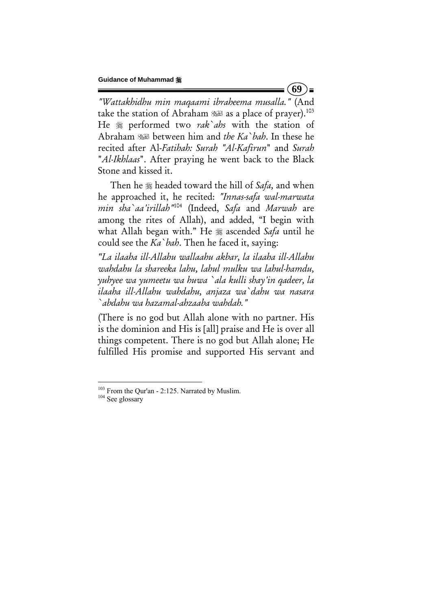$(69)$  =

*"Wattakhidhu min maqaami ibraheema musalla."* (And take the station of Abraham (as a place of prayer).<sup>103</sup> He performed two *rak`ahs* with the station of Abraham between him and *the Ka`bah*. In these he recited after Al-*Fatihah: Surah "Al-Kafirun*" and *Surah* "*Al-Ikhlaas*". After praying he went back to the Black Stone and kissed it.

Then he headed toward the hill of *Safa,* and when he approached it, he recited: *"Innas-safa wal-marwata min sha`aa'irillah"*104 (Indeed, *Safa* and *Marwah* are among the rites of Allah), and added, "I begin with what Allah began with." He <sup>32</sup> ascended *Safa* until he could see the *Ka`bah*. Then he faced it, saying:

*"La ilaaha ill-Allahu wallaahu akbar, la ilaaha ill-Allahu wahdahu la shareeka lahu, lahul mulku wa lahul-hamdu, yuhyee wa yumeetu wa huwa `ala kulli shay'in qadeer, la ilaaha ill-Allahu wahdahu, anjaza wa`dahu wa nasara `abdahu wa hazamal-ahzaaba wahdah."*

(There is no god but Allah alone with no partner. His is the dominion and His is [all] praise and He is over all things competent. There is no god but Allah alone; He fulfilled His promise and supported His servant and

<sup>&</sup>lt;sup>103</sup> From the Qur'an - 2:125. Narrated by Muslim.<br><sup>104</sup> See glossary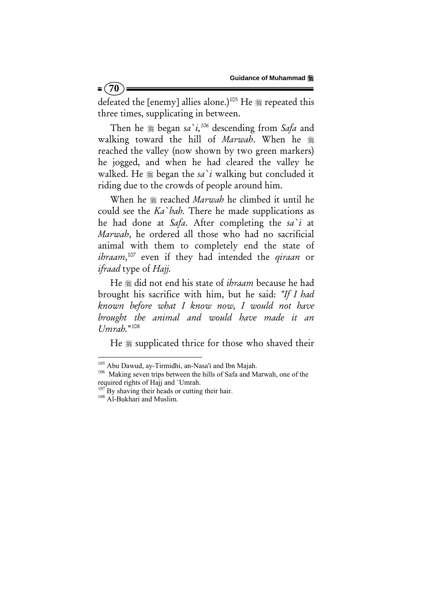defeated the [enemy] allies alone.)<sup>105</sup> He  $*$  repeated this three times, supplicating in between.

Then he  $\frac{1}{26}$  began *sa*<sup>2</sup>*i*,<sup>106</sup> descending from *Safa* and walking toward the hill of *Marwah*. When he reached the valley (now shown by two green markers) he jogged, and when he had cleared the valley he walked. He  $\frac{1}{2}$  began the *sa* i walking but concluded it riding due to the crowds of people around him.

When he  $\frac{1}{20}$  reached *Marwah* he climbed it until he could see the *Ka`bah.* There he made supplications as he had done at *Safa*. After completing the *sa`i* at *Marwah*, he ordered all those who had no sacrificial animal with them to completely end the state of *ihraam,*107 even if they had intended the *qiraan* or *ifraad* type of *Hajj.*

He  $\frac{1}{2}$  did not end his state of *ihraam* because he had brought his sacrifice with him, but he said: *"If I had known before what I know now, I would not have brought the animal and would have made it an Umrah.*"108

He  $\frac{1}{2}$  supplicated thrice for those who shaved their

 $= (70)$ 

 $105$  Abu Dawud, ay-Tirmidhi, an-Nasa'i and Ibn Majah.  $106$  Making seven trips between the hills of Safa and Marwah, one of the required rights of Hajj and `Umrah.

<sup>&</sup>lt;sup>107</sup> By shaving their heads or cutting their hair.<br><sup>108</sup> Al-Bukhari and Muslim.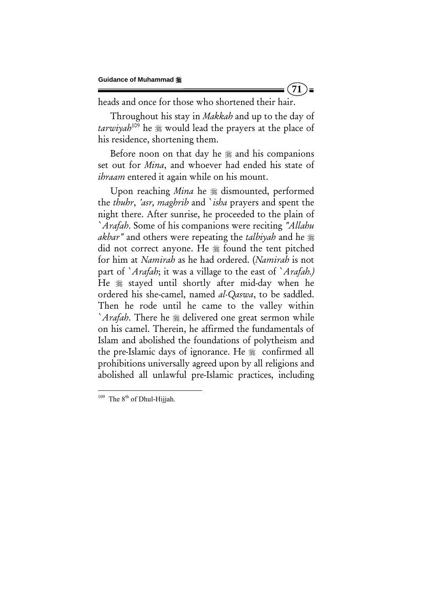heads and once for those who shortened their hair.

Throughout his stay in *Makkah* and up to the day of tarwiyah<sup>109</sup> he  $\frac{1}{20}$  would lead the prayers at the place of his residence, shortening them.

**71** 

)=

Before noon on that day he  $\frac{1}{20}$  and his companions set out for *Mina*, and whoever had ended his state of *ihraam* entered it again while on his mount.

Upon reaching *Mina* he <sup>\$\$</sup> dismounted, performed the *thuhr*, *'asr, maghrib* and `*isha* prayers and spent the night there. After sunrise, he proceeded to the plain of `*Arafah*. Some of his companions were reciting *"Allahu akbar"* and others were repeating the *talbiyah* and he did not correct anyone. He  $*$  found the tent pitched for him at *Namirah* as he had ordered. (*Namirah* is not part of `*Arafah*; it was a village to the east of `*Arafah.)* He  $*$  stayed until shortly after mid-day when he ordered his she-camel, named *al-Qaswa*, to be saddled. Then he rode until he came to the valley within *`Arafah*. There he <sup>*n*</sup> delivered one great sermon while on his camel. Therein, he affirmed the fundamentals of Islam and abolished the foundations of polytheism and the pre-Islamic days of ignorance. He  $*$  confirmed all prohibitions universally agreed upon by all religions and abolished all unlawful pre-Islamic practices, including

  $109$  The  $8<sup>th</sup>$  of Dhul-Hijjah.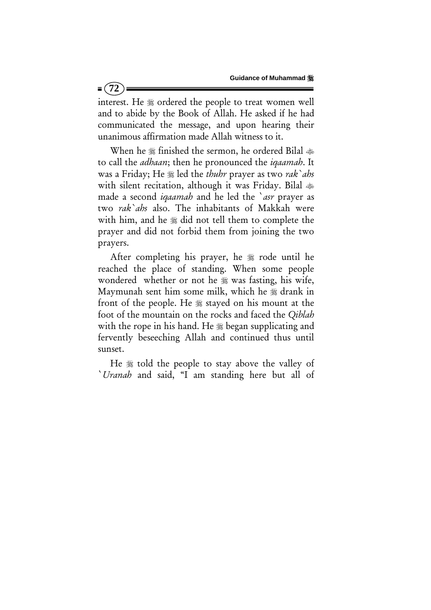interest. He  $*$  ordered the people to treat women well and to abide by the Book of Allah. He asked if he had communicated the message, and upon hearing their unanimous affirmation made Allah witness to it.

When he ﷺ finished the sermon, he ordered Bilal ﴾ to call the *adhaan*; then he pronounced the *iqaamah*. It was a Friday; He  $\frac{1}{2}$  led the *thuhr* prayer as two *rak`ahs* with silent recitation, although it was Friday. Bilal made a second *iqaamah* and he led the `*asr* prayer as two *rak`ahs* also. The inhabitants of Makkah were with him, and he  $*$  did not tell them to complete the prayer and did not forbid them from joining the two prayers.

After completing his prayer, he  $\frac{1}{20}$  rode until he reached the place of standing. When some people wondered whether or not he  $*$  was fasting, his wife, Maymunah sent him some milk, which he  $*$  drank in front of the people. He  $\frac{1}{20}$  stayed on his mount at the foot of the mountain on the rocks and faced the *Qiblah* with the rope in his hand. He  $\frac{1}{20}$  began supplicating and fervently beseeching Allah and continued thus until sunset.

He  $\frac{1}{20}$  told the people to stay above the valley of `*Uranah* and said, "I am standing here but all of

 $= (72)$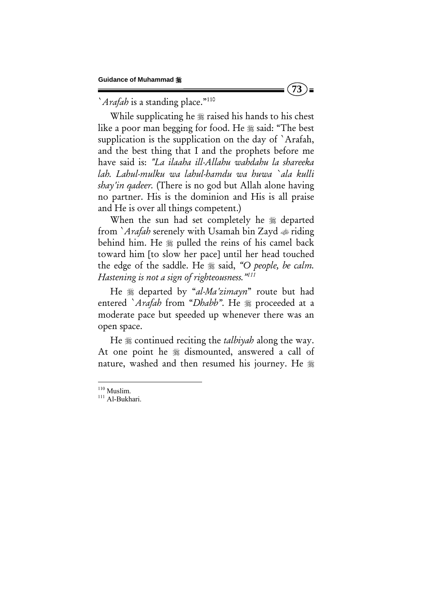`*Arafah* is a standing place."<sup>110</sup>

While supplicating he  $\frac{1}{2}$  raised his hands to his chest like a poor man begging for food. He  $\frac{1}{28}$  said: "The best supplication is the supplication on the day of `Arafah, and the best thing that I and the prophets before me have said is: *"La ilaaha ill-Allahu wahdahu la shareeka lah. Lahul-mulku wa lahul-hamdu wa huwa `ala kulli shay'in qadeer.* (There is no god but Allah alone having no partner. His is the dominion and His is all praise and He is over all things competent.)

When the sun had set completely he  $*$  departed from *`Arafah* serenely with Usamah bin Zayd  $\triangle$  riding behind him. He  $\frac{1}{20}$  pulled the reins of his camel back toward him [to slow her pace] until her head touched the edge of the saddle. He  $\frac{1}{2}$  said, "O people, be calm. *Hastening is not a sign of righteousness."111* 

He departed by "*al-Ma'zimayn*" route but had entered `*Arafah* from "*Dhabb*". He  $*$  proceeded at a moderate pace but speeded up whenever there was an open space.

He  $\frac{1}{20}$  continued reciting the *talbiyah* along the way. At one point he  $\frac{1}{20}$  dismounted, answered a call of nature, washed and then resumed his journey. He

<sup>&</sup>lt;sup>110</sup> Muslim.

<sup>&</sup>lt;sup>111</sup> Al-Bukhari.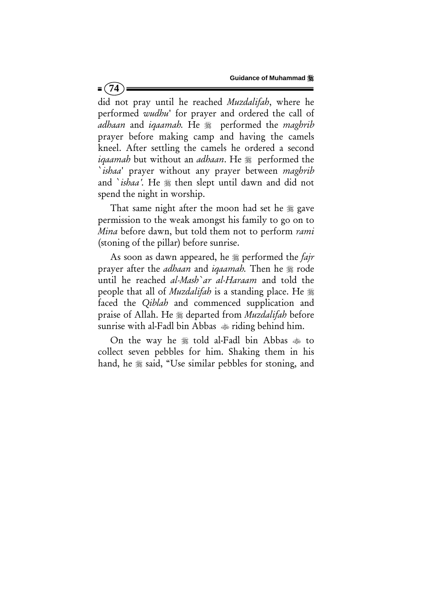did not pray until he reached *Muzdalifah*, where he performed *wudhu*' for prayer and ordered the call of *adhaan* and *iqaamah*. He  $\frac{1}{2}$  performed the *maghrib* prayer before making camp and having the camels kneel. After settling the camels he ordered a second *iqaamah* but without an *adhaan*. He  $\frac{1}{20}$  performed the `*ishaa*' prayer without any prayer between *maghrib* and *`ishaa'*. He  $*$  then slept until dawn and did not spend the night in worship.

 $= (74)$ 

That same night after the moon had set he  $\frac{1}{20}$  gave permission to the weak amongst his family to go on to *Mina* before dawn, but told them not to perform *rami* (stoning of the pillar) before sunrise.

As soon as dawn appeared, he  $\frac{1}{2}$  performed the *fajr* prayer after the *adhaan* and *igaamah*. Then he  $\frac{1}{20}$  rode until he reached *al-Mash`ar al-Haraam* and told the people that all of *Muzdalifah* is a standing place. He faced the *Qiblah* and commenced supplication and praise of Allah. He departed from *Muzdalifah* before sunrise with al-Fadl bin Abbas  $\bullet$  riding behind him.

On the way he  $*$  told al-Fadl bin Abbas  $*$  to collect seven pebbles for him. Shaking them in his hand, he  $*$  said, "Use similar pebbles for stoning, and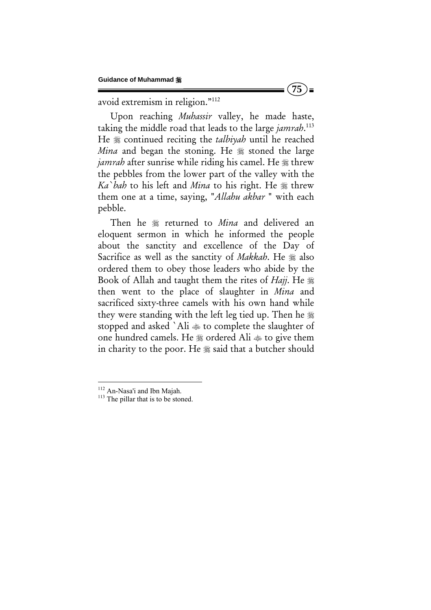avoid extremism in religion."112

Upon reaching *Muhassir* valley, he made haste, taking the middle road that leads to the large *jamrah*. 113 He **\*** continued reciting the *talbiyah* until he reached *Mina* and began the stoning. He  $\frac{1}{2}$  stoned the large *jamrah* after sunrise while riding his camel. He  $\frac{1}{2}$  threw the pebbles from the lower part of the valley with the *Ka`bah* to his left and *Mina* to his right. He  $\frac{1}{26}$  threw them one at a time, saying, "*Allahu akbar* " with each pebble.

Then he  $*$  returned to *Mina* and delivered an eloquent sermon in which he informed the people about the sanctity and excellence of the Day of Sacrifice as well as the sanctity of *Makkah*. He  $\frac{16}{26}$  also ordered them to obey those leaders who abide by the Book of Allah and taught them the rites of *Hajj*. He then went to the place of slaughter in *Mina* and sacrificed sixty-three camels with his own hand while they were standing with the left leg tied up. Then he stopped and asked `Ali to complete the slaughter of one hundred camels. He  $*$  ordered Ali  $*$  to give them in charity to the poor. He  $\frac{1}{28}$  said that a butcher should

<sup>&</sup>lt;sup>112</sup> An-Nasa'i and Ibn Majah.<br><sup>113</sup> The pillar that is to be stoned.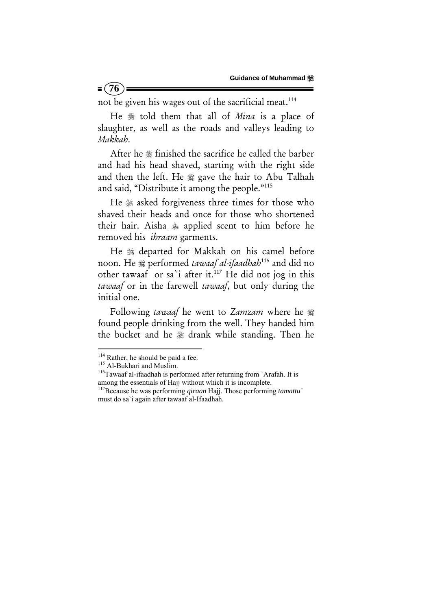not be given his wages out of the sacrificial meat.<sup>114</sup>

He  $*$  told them that all of *Mina* is a place of slaughter, as well as the roads and valleys leading to *Makkah*.

After he  $\frac{1}{26}$  finished the sacrifice he called the barber and had his head shaved, starting with the right side and then the left. He # gave the hair to Abu Talhah and said, "Distribute it among the people."115

He  $*$  asked forgiveness three times for those who shaved their heads and once for those who shortened their hair. Aisha applied scent to him before he removed his *ihraam* garments.

He  $*$  departed for Makkah on his camel before noon. He  $*$  performed *tawaaf al-ifaadhah*<sup>116</sup> and did no other tawaaf or sa`i after it.117 He did not jog in this *tawaaf* or in the farewell *tawaaf*, but only during the initial one.

Following *tawaaf* he went to *Zamzam* where he found people drinking from the well. They handed him the bucket and he  $*$  drank while standing. Then he

 $= (76)$ 

<sup>&</sup>lt;sup>114</sup> Rather, he should be paid a fee.<br><sup>115</sup> Al-Bukhari and Muslim.<br><sup>116</sup>Tawaaf al-ifaadhah is performed after returning from `Arafah. It is among the essentials of Hajj without which it is incomplete. 117Because he was performing *qiraan* Hajj. Those performing *tamattu`*

must do sa`i again after tawaaf al-Ifaadhah.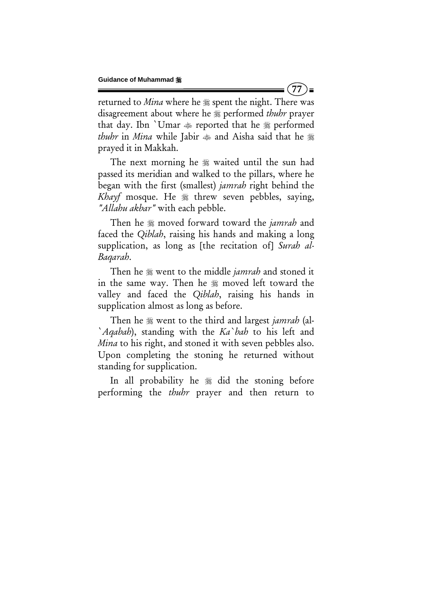returned to *Mina* where he  $\frac{1}{26}$  spent the night. There was disagreement about where he  $\frac{1}{20}$  performed *thuhr* prayer that day. Ibn `Umar  $\bullet$  reported that he  $\ast$  performed *thuhr* in *Mina* while Jabir  $\triangleq$  and Aisha said that he  $\triangleq$ prayed it in Makkah.

The next morning he  $\frac{1}{20}$  waited until the sun had passed its meridian and walked to the pillars, where he began with the first (smallest) *jamrah* right behind the Khayf mosque. He  $*$  threw seven pebbles, saying, *"Allahu akbar"* with each pebble.

Then he moved forward toward the *jamrah* and faced the *Qiblah*, raising his hands and making a long supplication, as long as [the recitation of] *Surah al-Baqarah*.

Then he went to the middle *jamrah* and stoned it in the same way. Then he  $\frac{1}{20}$  moved left toward the valley and faced the *Qiblah*, raising his hands in supplication almost as long as before.

Then he went to the third and largest *jamrah* (al- `*Aqabah*), standing with the *Ka`bah* to his left and *Mina* to his right, and stoned it with seven pebbles also. Upon completing the stoning he returned without standing for supplication.

In all probability he  $\frac{1}{2}$  did the stoning before performing the *thuhr* prayer and then return to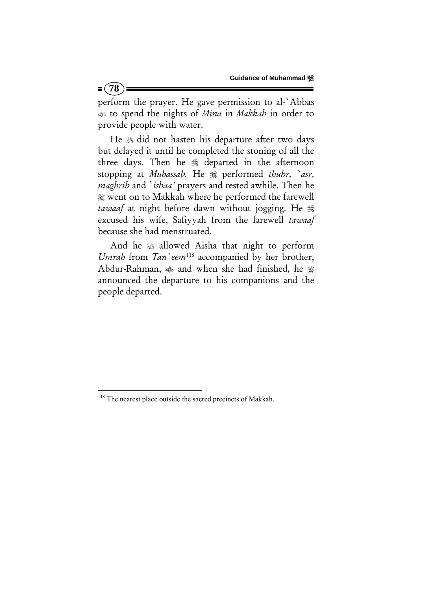perform the prayer. He gave permission to al-`Abbas to spend the nights of *Mina* in *Makkah* in order to provide people with water.

He  $*$  did not hasten his departure after two days but delayed it until he completed the stoning of all the three days. Then he  $*$  departed in the afternoon stopping at *Muhassab*. He  $*$  performed *thuhr*, `asr, *maghrib* and `*ishaa'* prayers and rested awhile. Then he went on to Makkah where he performed the farewell *tawaaf* at night before dawn without jogging. He excused his wife, Safiyyah from the farewell *tawaaf* because she had menstruated.

And he  $*$  allowed Aisha that night to perform *Umrah* from *Tan* eem<sup>118</sup> accompanied by her brother, Abdur-Rahman,  $\triangleq$  and when she had finished, he  $\triangleq$ announced the departure to his companions and the people departed.

<sup>&</sup>lt;sup>118</sup> The nearest place outside the sacred precincts of Makkah.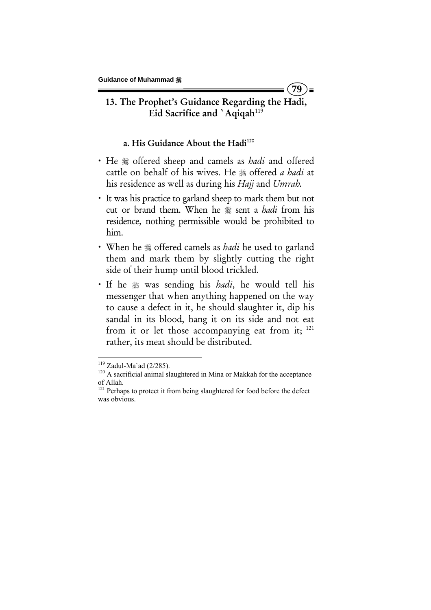# 13. The Prophet's Guidance Regarding the Hadi, Eid Sacrifice and `Aqiqah<sup>119</sup>

**79** 

 $=$ 

### a. His Guidance About the Hadi<sup>120</sup>

- He <sub>36</sub> offered sheep and camels as *hadi* and offered cattle on behalf of his wives. He  $*$  offered *a hadi* at his residence as well as during his *Hajj* and *Umrah.*
- x It was his practice to garland sheep to mark them but not cut or brand them. When he <sup>\$\$</sup> sent a *hadi* from his residence, nothing permissible would be prohibited to him.
- When he  $*$  offered camels as *hadi* he used to garland them and mark them by slightly cutting the right side of their hump until blood trickled.
- If he  $*$  was sending his *hadi*, he would tell his messenger that when anything happened on the way to cause a defect in it, he should slaughter it, dip his sandal in its blood, hang it on its side and not eat from it or let those accompanying eat from it;  $121$ rather, its meat should be distributed.

<sup>&</sup>lt;sup>119</sup> Zadul-Ma`ad (2/285). <sup>120</sup> A sacrificial animal slaughtered in Mina or Makkah for the acceptance of Allah.

<sup>&</sup>lt;sup>121</sup> Perhaps to protect it from being slaughtered for food before the defect was obvious.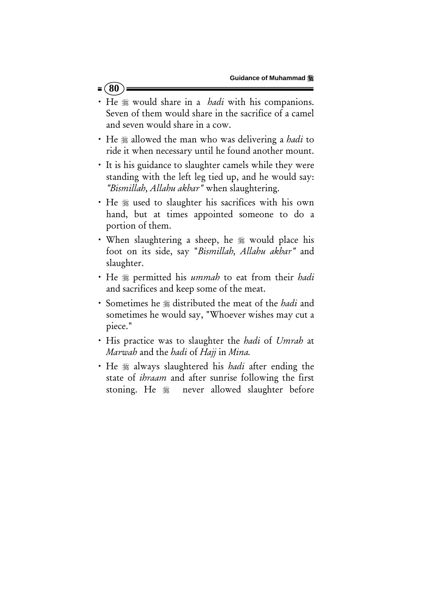- $= (80)$
- He  $\frac{1}{2}$  would share in a *hadi* with his companions. Seven of them would share in the sacrifice of a camel and seven would share in a cow.
- He  $*$  allowed the man who was delivering a *hadi* to ride it when necessary until he found another mount.
- It is his guidance to slaughter camels while they were standing with the left leg tied up, and he would say: *"Bismillah, Allahu akbar"* when slaughtering.
- He  $*$  used to slaughter his sacrifices with his own hand, but at times appointed someone to do a portion of them.
- When slaughtering a sheep, he  $\frac{1}{20}$  would place his foot on its side, say "*Bismillah, Allahu akbar"* and slaughter.
- x He permitted his *ummah* to eat from their *hadi* and sacrifices and keep some of the meat.
- Sometimes he  $*$  distributed the meat of the *hadi* and sometimes he would say, "Whoever wishes may cut a piece."
- x His practice was to slaughter the *hadi* of *Umrah* at *Marwah* and the *hadi* of *Hajj* in *Mina.*
- **·** He  $*$  always slaughtered his *hadi* after ending the state of *ihraam* and after sunrise following the first stoning. He never allowed slaughter before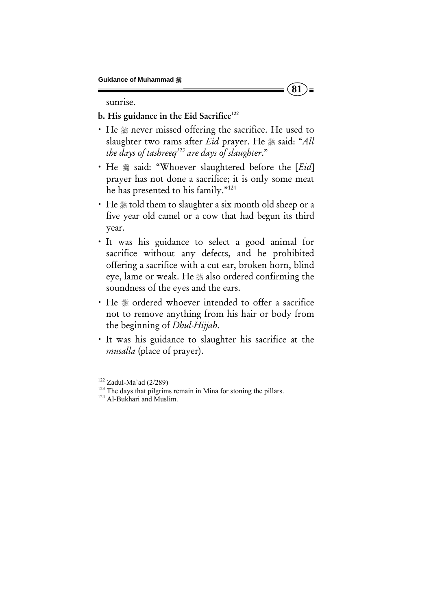sunrise.

## b. His guidance in the Eid Sacrifice<sup>122</sup>

• He  $*$  never missed offering the sacrifice. He used to slaughter two rams after *Eid* prayer. He  $\frac{1}{2}$  said: "All *the days of tashreeq123 are days of slaughter*."

**81** 

) =

- He  $*$  said: "Whoever slaughtered before the [*Eid*] prayer has not done a sacrifice; it is only some meat he has presented to his family."124
- He  $*$  told them to slaughter a six month old sheep or a five year old camel or a cow that had begun its third year.
- x It was his guidance to select a good animal for sacrifice without any defects, and he prohibited offering a sacrifice with a cut ear, broken horn, blind eye, lame or weak. He  $*$  also ordered confirming the soundness of the eyes and the ears.
- He  $*$  ordered whoever intended to offer a sacrifice not to remove anything from his hair or body from the beginning of *Dhul-Hijjah*.
- x It was his guidance to slaughter his sacrifice at the *musalla* (place of prayer).

<sup>&</sup>lt;sup>122</sup> Zadul-Ma`ad (2/289)<br><sup>123</sup> The days that pilgrims remain in Mina for stoning the pillars.<br><sup>124</sup> Al-Bukhari and Muslim.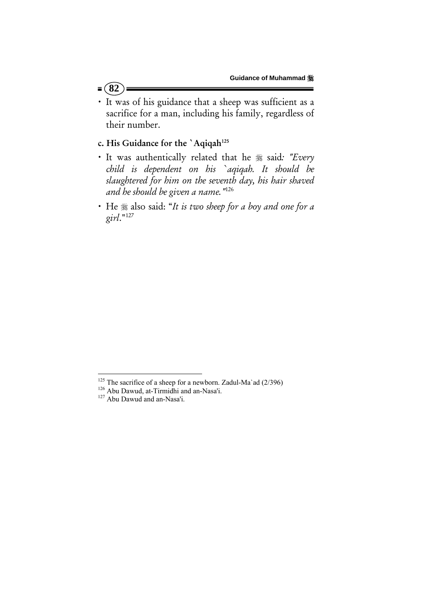- $= (82)$
- x It was of his guidance that a sheep was sufficient as a sacrifice for a man, including his family, regardless of their number.

## c. His Guidance for the 'Aqiqah<sup>125</sup>

- $\cdot$  It was authentically related that he  $\frac{1}{28}$  said: "Every *child is dependent on his `aqiqah. It should be slaughtered for him on the seventh day, his hair shaved and he should be given a name."*126
- x He also said: "*It is two sheep for a boy and one for a girl*."127

<sup>&</sup>lt;sup>125</sup> The sacrifice of a sheep for a newborn. Zadul-Ma`ad (2/396) <sup>126</sup> Abu Dawud, at-Tirmidhi and an-Nasa'i. <sup>127</sup> Abu Dawud and an-Nasa'i.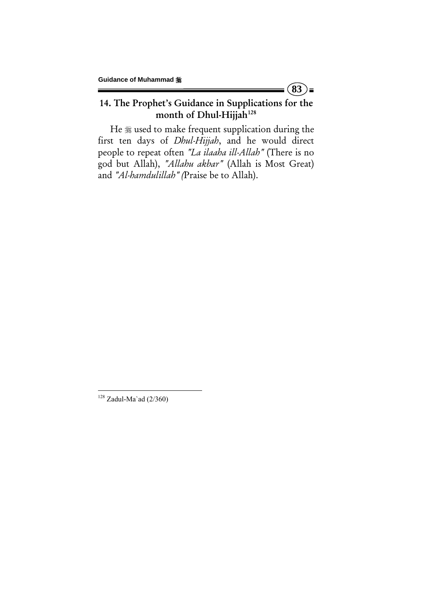## 14. The Prophet's Guidance in Supplications for the month of Dhul-Hijjah<sup>128</sup>

 $(83)$ =

He  $*$  used to make frequent supplication during the first ten days of *Dhul-Hijjah*, and he would direct people to repeat often *"La ilaaha ill-Allah"* (There is no god but Allah), *"Allahu akbar"* (Allah is Most Great) and *"Al-hamdulillah" (*Praise be to Allah).

 $128$  Zadul-Ma`ad (2/360)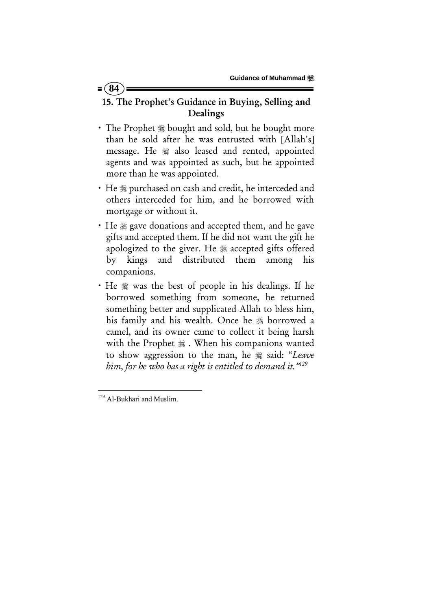# 15. The Prophet's Guidance in Buying, Selling and Dealings

- The Prophet  $*$  bought and sold, but he bought more than he sold after he was entrusted with [Allah's] message. He  $*$  also leased and rented, appointed agents and was appointed as such, but he appointed more than he was appointed.
- He  $*$  purchased on cash and credit, he interceded and others interceded for him, and he borrowed with mortgage or without it.
- He  $\frac{1}{2}$  gave donations and accepted them, and he gave gifts and accepted them. If he did not want the gift he apologized to the giver. He  $*$  accepted gifts offered by kings and distributed them among his companions.
- He  $\frac{1}{20}$  was the best of people in his dealings. If he borrowed something from someone, he returned something better and supplicated Allah to bless him, his family and his wealth. Once he  $*$  borrowed a camel, and its owner came to collect it being harsh with the Prophet  $\frac{1}{2}$ . When his companions wanted to show aggression to the man, he  $\frac{1}{28}$  said: "Leave *him, for he who has a right is entitled to demand it."129*

 $= 84$ 

 <sup>129</sup> Al-Bukhari and Muslim.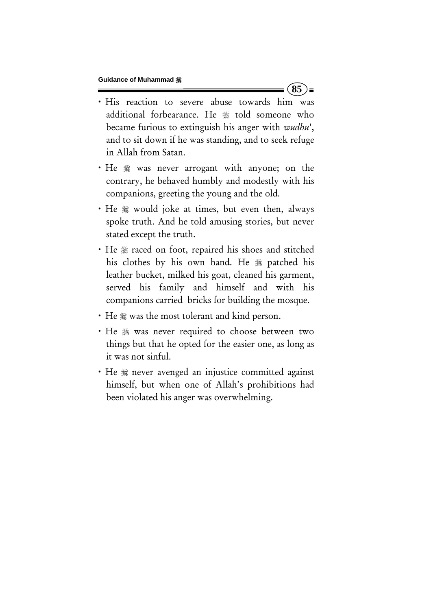· His reaction to severe abuse towards him was additional forbearance. He # told someone who became furious to extinguish his anger with *wudhu*', and to sit down if he was standing, and to seek refuge in Allah from Satan.

 $85$   $\equiv$ 

- He  $*$  was never arrogant with anyone; on the contrary, he behaved humbly and modestly with his companions, greeting the young and the old.
- He  $*$  would joke at times, but even then, always spoke truth. And he told amusing stories, but never stated except the truth.
- He  $*$  raced on foot, repaired his shoes and stitched his clothes by his own hand. He  $*$  patched his leather bucket, milked his goat, cleaned his garment, served his family and himself and with his companions carried bricks for building the mosque.
- He  $\frac{1}{2}$  was the most tolerant and kind person.
- He  $*$  was never required to choose between two things but that he opted for the easier one, as long as it was not sinful.
- He  $*$  never avenged an injustice committed against himself, but when one of Allah's prohibitions had been violated his anger was overwhelming.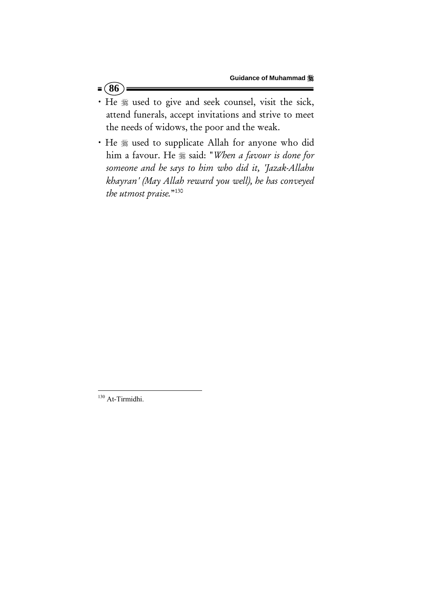- $= 86$
- · He  $*$  used to give and seek counsel, visit the sick, attend funerals, accept invitations and strive to meet the needs of widows, the poor and the weak.
- He  $*$  used to supplicate Allah for anyone who did him a favour. He  $*$  said: "When a favour is done for *someone and he says to him who did it, 'Jazak-Allahu khayran' (May Allah reward you well), he has conveyed the utmost praise.*"130

 <sup>130</sup> At-Tirmidhi.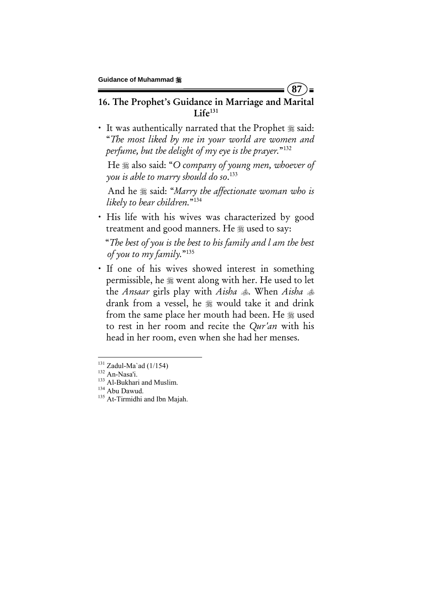16. The Prophet's Guidance in Marriage and Marital  $Life<sup>131</sup>$ 

**87** 

 $\blacksquare$ 

• It was authentically narrated that the Prophet  $\frac{46}{28}$  said: "*The most liked by me in your world are women and perfume, but the delight of my eye is the prayer.*"132

 He also said: "*O company of young men, whoever of you is able to marry should do so*. 133

 And he said: "*Marry the affectionate woman who is likely to bear children.*"134

• His life with his wives was characterized by good treatment and good manners. He  $\frac{1}{20}$  used to say:

 "*The best of you is the best to his family and l am the best of you to my family.*"135

· If one of his wives showed interest in something permissible, he  $\frac{1}{20}$  went along with her. He used to let the *Ansaar* girls play with *Aisha* . When *Aisha*  drank from a vessel, he  $*$  would take it and drink from the same place her mouth had been. He  $*$  used to rest in her room and recite the *Qur'an* with his head in her room, even when she had her menses.

<sup>&</sup>lt;sup>131</sup> Zadul-Ma`ad (1/154)<br><sup>132</sup> An-Nasa'i.<br><sup>133</sup> Al-Bukhari and Muslim.<br><sup>134</sup> Abu Dawud. <sup>135</sup> At-Tirmidhi and Ibn Majah.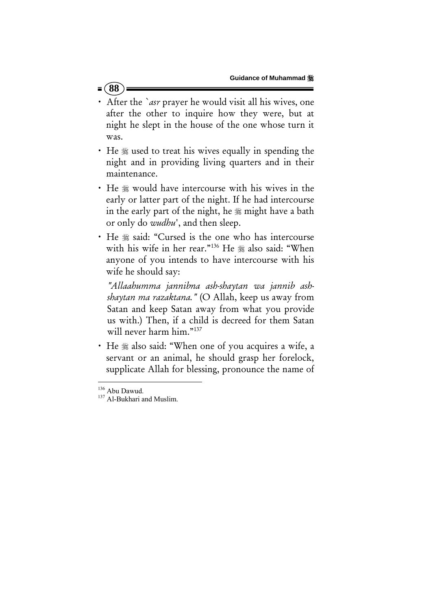## **88**

- After the *`asr* prayer he would visit all his wives, one after the other to inquire how they were, but at night he slept in the house of the one whose turn it was.
- He  $\frac{1}{2}$  used to treat his wives equally in spending the night and in providing living quarters and in their maintenance.
- $\cdot$  He  $\mathcal{L}$  would have intercourse with his wives in the early or latter part of the night. If he had intercourse in the early part of the night, he  $\frac{1}{20}$  might have a bath or only do *wudhu*', and then sleep.
- · He  $*$  said: "Cursed is the one who has intercourse with his wife in her rear."<sup>136</sup> He # also said: "When anyone of you intends to have intercourse with his wife he should say:

 *"Allaahumma jannibna ash-shaytan wa jannib ashshaytan ma razaktana."* (O Allah, keep us away from Satan and keep Satan away from what you provide us with.) Then, if a child is decreed for them Satan will never harm him."<sup>137</sup>

• He  $*$  also said: "When one of you acquires a wife, a servant or an animal, he should grasp her forelock, supplicate Allah for blessing, pronounce the name of

 $136$  Abu Dawud.<br> $137$  Al-Bukhari and Muslim.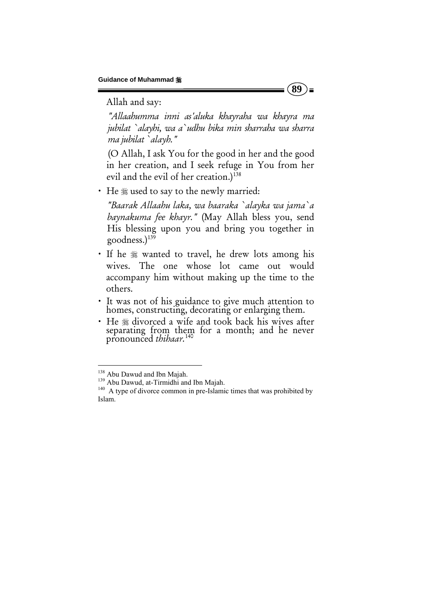Allah and say:

 *"Allaahumma inni as'aluka khayraha wa khayra ma jubilat `alayhi, wa a`udhu bika min sharraha wa sharra ma jubilat `alayh."*

 (O Allah, I ask You for the good in her and the good in her creation, and I seek refuge in You from her evil and the evil of her creation.)<sup>138</sup>

• He  $*$  used to say to the newly married:

 *"Baarak Allaahu laka, wa baaraka `alayka wa jama`a baynakuma fee khayr."* (May Allah bless you, send His blessing upon you and bring you together in goodness. $1^{139}$ 

- If he  $*$  wanted to travel, he drew lots among his wives. The one whose lot came out would accompany him without making up the time to the others.
- x It was not of his guidance to give much attention to homes, constructing, decorating or enlarging them.
- He  $*$  divorced a wife and took back his wives after separating from them for a month; and he never pronounced *thihaar.*<sup>140</sup>

**89**   $\equiv$ 

<sup>&</sup>lt;sup>138</sup> Abu Dawud and Ibn Majah.

<sup>139</sup> Abu Dawud, at-Tirmidhi and Ibn Majah.<br><sup>140</sup> A type of divorce common in pre-Islamic times that was prohibited by Islam.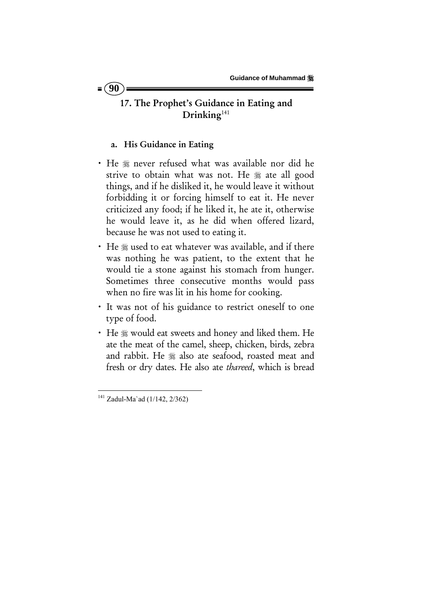## 17. The Prophet's Guidance in Eating and Drinking<sup>141</sup>

### a. His Guidance in Eating

- He  $*$  never refused what was available nor did he strive to obtain what was not. He # ate all good things, and if he disliked it, he would leave it without forbidding it or forcing himself to eat it. He never criticized any food; if he liked it, he ate it, otherwise he would leave it, as he did when offered lizard, because he was not used to eating it.
- He  $\ast$  used to eat whatever was available, and if there was nothing he was patient, to the extent that he would tie a stone against his stomach from hunger. Sometimes three consecutive months would pass when no fire was lit in his home for cooking.
- It was not of his guidance to restrict oneself to one type of food.
- He  $*$  would eat sweets and honey and liked them. He ate the meat of the camel, sheep, chicken, birds, zebra and rabbit. He  $*$  also ate seafood, roasted meat and fresh or dry dates. He also ate *thareed*, which is bread

  $141$  Zadul-Ma`ad (1/142, 2/362)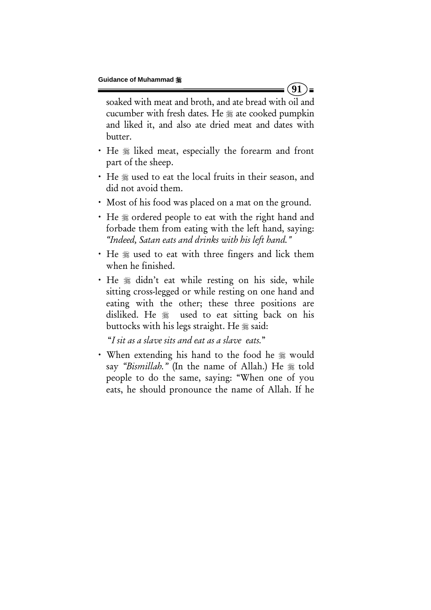soaked with meat and broth, and ate bread with oil and cucumber with fresh dates. He  $*$  ate cooked pumpkin and liked it, and also ate dried meat and dates with butter.

- He  $*$  liked meat, especially the forearm and front part of the sheep.
- He  $\frac{1}{2}$  used to eat the local fruits in their season, and did not avoid them.
- Most of his food was placed on a mat on the ground.
- He  $*$  ordered people to eat with the right hand and forbade them from eating with the left hand, saying: *"Indeed, Satan eats and drinks with his left hand."*
- He  $\frac{1}{2}$  used to eat with three fingers and lick them when he finished.
- He  $*$  didn't eat while resting on his side, while sitting cross-legged or while resting on one hand and eating with the other; these three positions are disliked. He used to eat sitting back on his buttocks with his legs straight. He  $\frac{1}{28}$  said:

"*I sit as a slave sits and eat as a slave eats.*"

• When extending his hand to the food he  $*$  would say "Bismillah." (In the name of Allah.) He  $*$  told people to do the same, saying: "When one of you eats, he should pronounce the name of Allah. If he

 $(91)$ =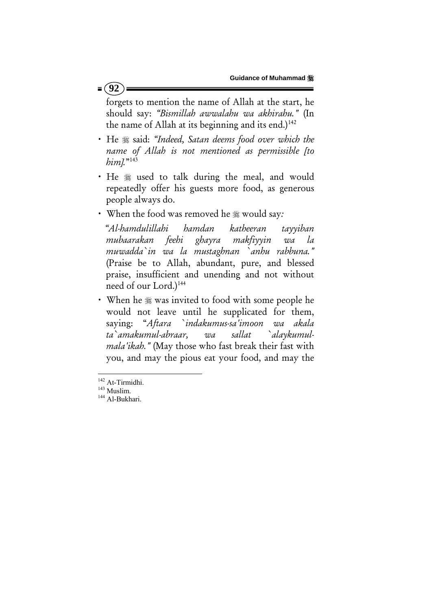$= (92)$ 

forgets to mention the name of Allah at the start, he should say: *"Bismillah awwalahu wa akhirahu."* (In the name of Allah at its beginning and its end.) $142$ 

- $\cdot$  He  $\frac{1}{2}$  said: "Indeed, Satan deems food over which the *name of Allah is not mentioned as permissible [to him].*"143
- He  $*$  used to talk during the meal, and would repeatedly offer his guests more food, as generous people always do.
- x When the food was removed he would say*:*

 *"Al-hamdulillahi hamdan katheeran tayyiban mubaarakan feehi ghayra makfiyyin wa la muwadda`in wa la mustaghnan `anhu rabbuna."*  (Praise be to Allah, abundant, pure, and blessed praise, insufficient and unending and not without need of our Lord.)<sup>144</sup>

• When he  $*$  was invited to food with some people he would not leave until he supplicated for them, saying: "*Aftara `indakumus-sa'imoon wa akala ta`amakumul-abraar, wa sallat `alaykumulmala'ikah."* (May those who fast break their fast with you, and may the pious eat your food, and may the

<sup>&</sup>lt;sup>142</sup> At-Tirmidhi.<br><sup>143</sup> Muslim.<br><sup>144</sup> Al-Bukhari.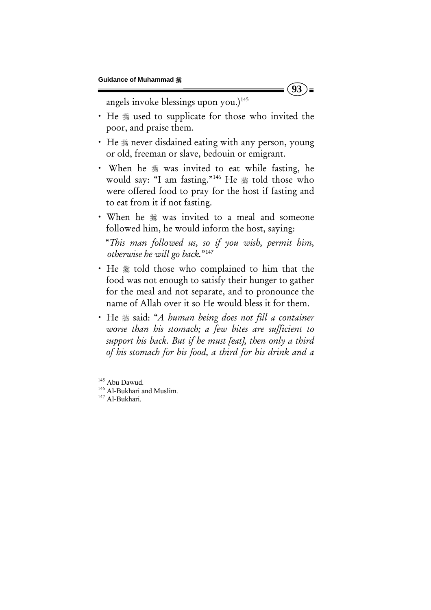angels invoke blessings upon you.)<sup>145</sup>

• He  $*$  used to supplicate for those who invited the poor, and praise them.

 $(93)$ =

- He  $\frac{1}{2}$  never disdained eating with any person, young or old, freeman or slave, bedouin or emigrant.
- When he  $*$  was invited to eat while fasting, he would say: "I am fasting."<sup>146</sup> He  $*$  told those who were offered food to pray for the host if fasting and to eat from it if not fasting.
- When he  $*$  was invited to a meal and someone followed him, he would inform the host, saying:

 "*This man followed us, so if you wish, permit him, otherwise he will go back.*"147

- He  $*$  told those who complained to him that the food was not enough to satisfy their hunger to gather for the meal and not separate, and to pronounce the name of Allah over it so He would bless it for them.
- He  $\ast$  said: "*A human being does not fill a container worse than his stomach; a few bites are sufficient to support his back. But if he must [eat], then only a third of his stomach for his food, a third for his drink and a*

<sup>&</sup>lt;sup>145</sup> Abu Dawud.

<sup>145</sup> Abu Dawud. 146 Al-Bukhari and Muslim. 147 Al-Bukhari.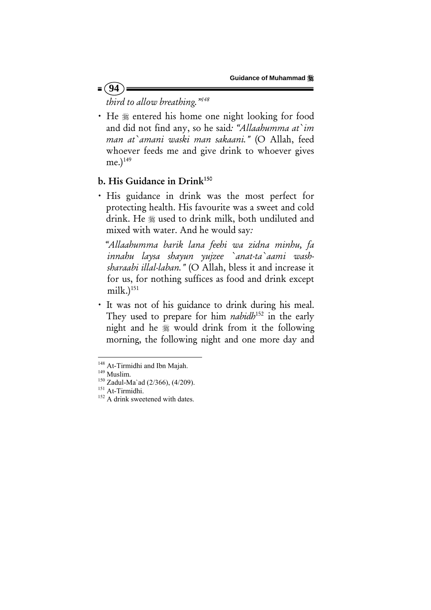*third to allow breathing."148* 

• He  $*$  entered his home one night looking for food and did not find any, so he said*: "Allaahumma at`im man at`amani waski man sakaani."* (O Allah, feed whoever feeds me and give drink to whoever gives  $me.<sup>149</sup>$ 

### b. His Guidance in Drink<sup>150</sup>

· His guidance in drink was the most perfect for protecting health. His favourite was a sweet and cold drink. He used to drink milk, both undiluted and mixed with water. And he would say*:* 

 *"Allaahumma barik lana feehi wa zidna minhu, fa innahu laysa shayun yujzee `anat-ta`aami washsharaabi illal-laban."* (O Allah, bless it and increase it for us, for nothing suffices as food and drink except milk.) $151$ 

It was not of his guidance to drink during his meal. They used to prepare for him *nabidh*<sup>152</sup> in the early night and he would drink from it the following morning, the following night and one more day and

 $= (94)$ 

<sup>&</sup>lt;sup>148</sup> At-Tirmidhi and Ibn Majah.<br><sup>149</sup> Muslim.<br><sup>150</sup> Zadul-Ma`ad (2/366), (4/209).<br><sup>151</sup> At-Tirmidhi.<br><sup>152</sup> A drink sweetened with dates.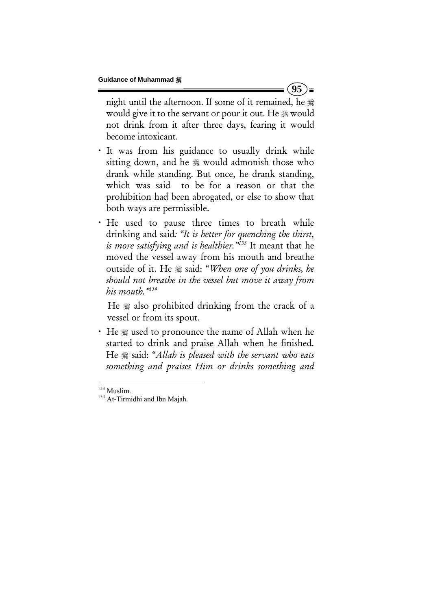night until the afternoon. If some of it remained, he would give it to the servant or pour it out. He  $\frac{1}{28}$  would not drink from it after three days, fearing it would become intoxicant.

 $(95)$  =

- · It was from his guidance to usually drink while sitting down, and he  $\frac{1}{20}$  would admonish those who drank while standing. But once, he drank standing, which was said to be for a reason or that the prohibition had been abrogated, or else to show that both ways are permissible.
- He used to pause three times to breath while drinking and said*: "It is better for quenching the thirst, is more satisfying and is healthier."153* It meant that he moved the vessel away from his mouth and breathe outside of it. He  $*$  said: "When one of you drinks, he *should not breathe in the vessel but move it away from his mouth."154*

He  $\frac{1}{20}$  also prohibited drinking from the crack of a vessel or from its spout.

• He  $\frac{1}{2}$  used to pronounce the name of Allah when he started to drink and praise Allah when he finished. He said: "*Allah is pleased with the servant who eats something and praises Him or drinks something and* 

<sup>&</sup>lt;sup>153</sup> Muslim.

<sup>&</sup>lt;sup>154</sup> At-Tirmidhi and Ibn Majah.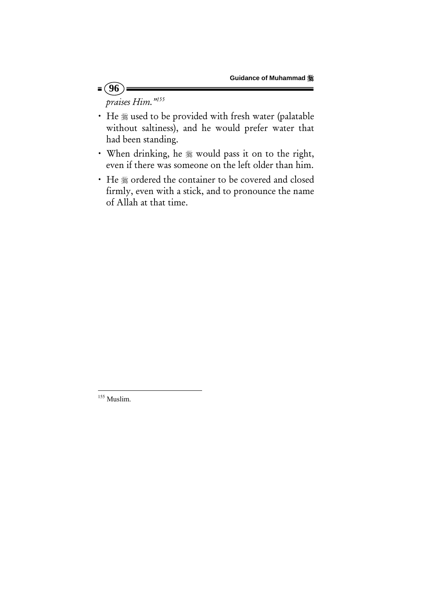*praises Him."155* 

 $= (96)$ 

- He  $*$  used to be provided with fresh water (palatable without saltiness), and he would prefer water that had been standing.
- When drinking, he  $*$  would pass it on to the right, even if there was someone on the left older than him.
- He  $*$  ordered the container to be covered and closed firmly, even with a stick, and to pronounce the name of Allah at that time.

 <sup>155</sup> Muslim.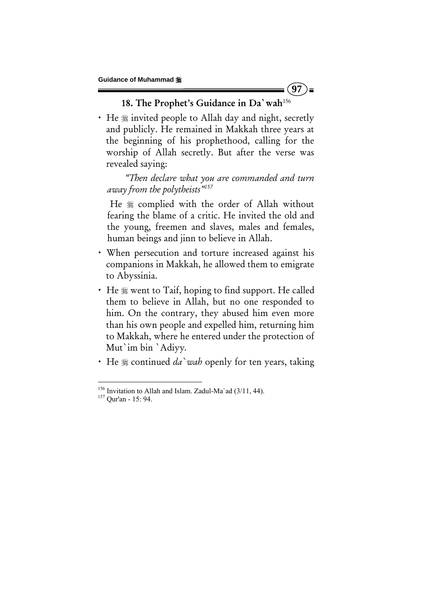# 18. The Prophet's Guidance in Da'wah<sup>156</sup>

 $(97)$  =

• He  $\frac{1}{2}$  invited people to Allah day and night, secretly and publicly. He remained in Makkah three years at the beginning of his prophethood, calling for the worship of Allah secretly. But after the verse was revealed saying:

 *"Then declare what you are commanded and turn away from the polytheists"157*

He  $*$  complied with the order of Allah without fearing the blame of a critic. He invited the old and the young, freemen and slaves, males and females, human beings and jinn to believe in Allah.

- x When persecution and torture increased against his companions in Makkah, he allowed them to emigrate to Abyssinia.
- $\cdot$  He  $\frac{1}{20}$  went to Taif, hoping to find support. He called them to believe in Allah, but no one responded to him. On the contrary, they abused him even more than his own people and expelled him, returning him to Makkah, where he entered under the protection of Mut`im bin `Adiyy*.*
- He  $\frac{1}{2}$  continued *da* wab openly for ten years, taking

<sup>&</sup>lt;sup>156</sup> Invitation to Allah and Islam. Zadul-Ma`ad  $(3/11, 44)$ .<br><sup>157</sup> Qur'an - 15: 94.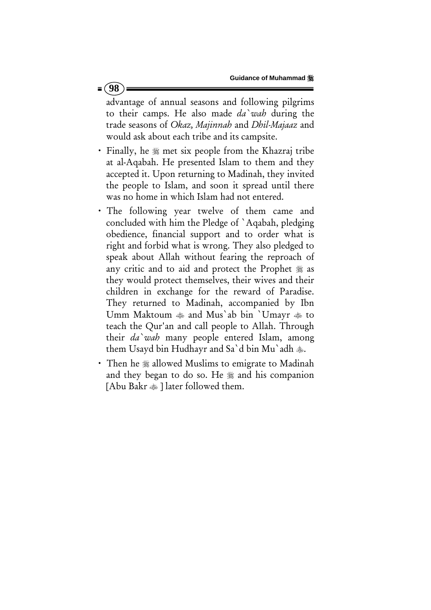advantage of annual seasons and following pilgrims to their camps. He also made *da`wah* during the trade seasons of *Okaz, Majinnah* and *Dhil-Majaaz* and would ask about each tribe and its campsite.

- Finally, he  $\frac{1}{2}$  met six people from the Khazraj tribe at al-Aqabah. He presented Islam to them and they accepted it. Upon returning to Madinah, they invited the people to Islam, and soon it spread until there was no home in which Islam had not entered.
- x The following year twelve of them came and concluded with him the Pledge of `Aqabah, pledging obedience, financial support and to order what is right and forbid what is wrong. They also pledged to speak about Allah without fearing the reproach of any critic and to aid and protect the Prophet  $\frac{16}{26}$  as they would protect themselves, their wives and their children in exchange for the reward of Paradise. They returned to Madinah, accompanied by Ibn Umm Maktoum  $\triangleq$  and Mus'ab bin `Umayr  $\triangleq$  to teach the Qur'an and call people to Allah. Through their *da`wah* many people entered Islam, among them Usayd bin Hudhayr and Sa'd bin Mu'adh ...
- Then he  $*$  allowed Muslims to emigrate to Madinah and they began to do so. He  $\frac{1}{20}$  and his companion [Abu Bakr  $\triangleq$ ] later followed them.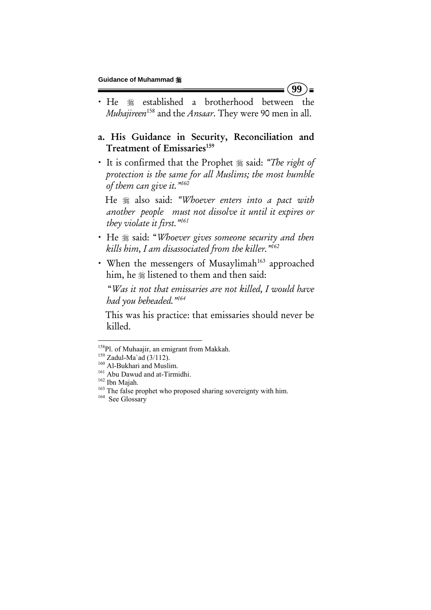- He  $*$  established a brotherhood between the *Muhajireen*158 and the *Ansaar*. They were 90 men in all.
- a. His Guidance in Security, Reconciliation and Treatment of Emissaries<sup>159</sup>
- It is confirmed that the Prophet  $\frac{1}{2}$  said: "The right of *protection is the same for all Muslims; the most humble of them can give it."160*

 He also said: *"Whoever enters into a pact with another people must not dissolve it until it expires or they violate it first."161*

- $\cdot$  He  $\frac{1}{2}$  said: "Whoever gives someone security and then *kills him, I am disassociated from the killer."162*
- When the messengers of Musaylimah<sup>163</sup> approached him, he  $*$  listened to them and then said:

 "*Was it not that emissaries are not killed, I would have had you beheaded."164*

 This was his practice: that emissaries should never be killed.

**99**   $\blacksquare$ 

<sup>&</sup>lt;sup>158</sup>Pl. of Muhaajir, an emigrant from Makkah.

<sup>&</sup>lt;sup>159</sup> Zadul-Ma`ad (3/112). <sup>160</sup> Al-Bukhari and Muslim.<br><sup>161</sup> Abu Dawud and at-Tirmidhi. <sup>161</sup> Abu Dawud and at-Tirmidhi. <sup>162</sup> Ibn Majah. <sup>163</sup> The false prophet who proposed sharing sovereignty with him. <sup>164</sup> See Gloss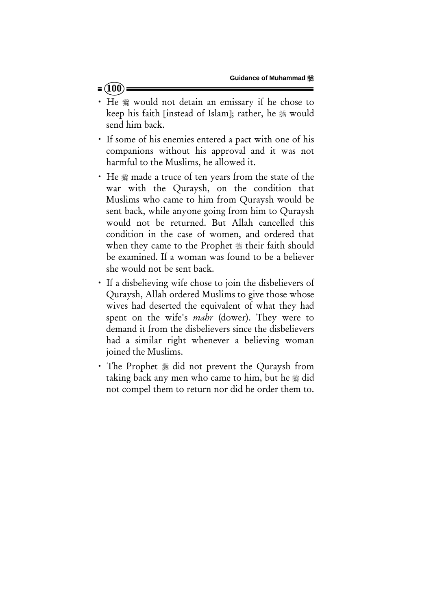### $= (100)$

- x He would not detain an emissary if he chose to keep his faith [instead of Islam]; rather, he # would send him back.
- If some of his enemies entered a pact with one of his companions without his approval and it was not harmful to the Muslims, he allowed it.
- He  $*$  made a truce of ten years from the state of the war with the Quraysh, on the condition that Muslims who came to him from Quraysh would be sent back, while anyone going from him to Quraysh would not be returned. But Allah cancelled this condition in the case of women, and ordered that when they came to the Prophet  $*$  their faith should be examined. If a woman was found to be a believer she would not be sent back.
- x If a disbelieving wife chose to join the disbelievers of Quraysh, Allah ordered Muslims to give those whose wives had deserted the equivalent of what they had spent on the wife's *mahr* (dower). They were to demand it from the disbelievers since the disbelievers had a similar right whenever a believing woman joined the Muslims.
- The Prophet  $\frac{1}{2}$  did not prevent the Quraysh from taking back any men who came to him, but he  $\frac{1}{2}$  did not compel them to return nor did he order them to.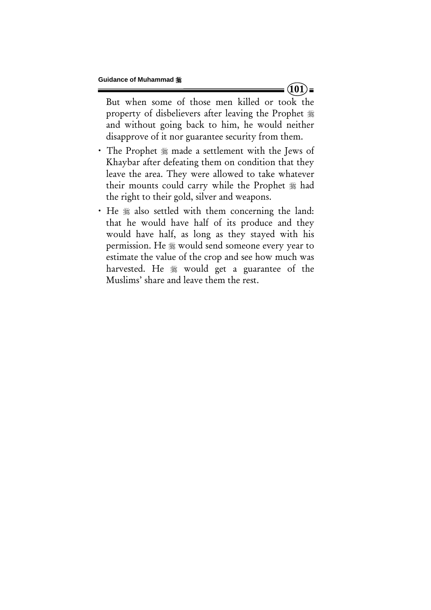But when some of those men killed or took the property of disbelievers after leaving the Prophet and without going back to him, he would neither disapprove of it nor guarantee security from them.

- The Prophet  $*$  made a settlement with the Jews of Khaybar after defeating them on condition that they leave the area. They were allowed to take whatever their mounts could carry while the Prophet  $*$  had the right to their gold, silver and weapons.
- He  $*$  also settled with them concerning the land: that he would have half of its produce and they would have half, as long as they stayed with his permission. He  $*$  would send someone every year to estimate the value of the crop and see how much was harvested. He  $\frac{1}{20}$  would get a guarantee of the Muslims' share and leave them the rest.

 $= (101)$   $=$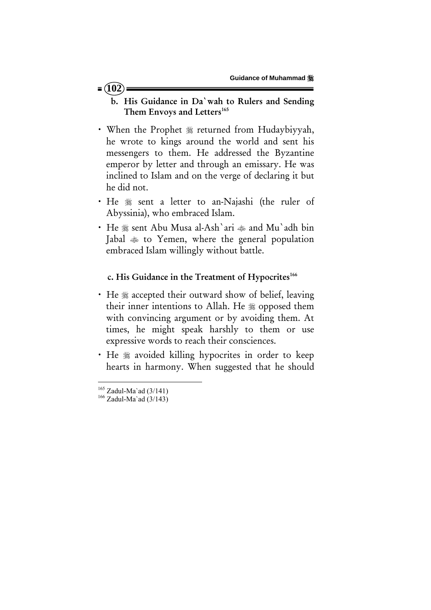#### $= (102)$

- b. His Guidance in Da`wah to Rulers and Sending Them Envoys and Letters<sup>165</sup>
- When the Prophet  $*$  returned from Hudaybiyyah, he wrote to kings around the world and sent his messengers to them. He addressed the Byzantine emperor by letter and through an emissary. He was inclined to Islam and on the verge of declaring it but he did not.
- He  $*$  sent a letter to an-Najashi (the ruler of Abyssinia), who embraced Islam.
- He  $\frac{1}{28}$  sent Abu Musa al-Ash`ari  $\frac{1}{28}$  and Mu`adh bin Jabal  $*$  to Yemen, where the general population embraced Islam willingly without battle.

#### c. His Guidance in the Treatment of Hypocrites<sup>166</sup>

- He  $*$  accepted their outward show of belief, leaving their inner intentions to Allah. He  $*$  opposed them with convincing argument or by avoiding them. At times, he might speak harshly to them or use expressive words to reach their consciences.
- He  $*$  avoided killing hypocrites in order to keep hearts in harmony. When suggested that he should

<sup>&</sup>lt;sup>165</sup> Zadul-Ma`ad (3/141)<br><sup>166</sup> Zadul-Ma`ad (3/143)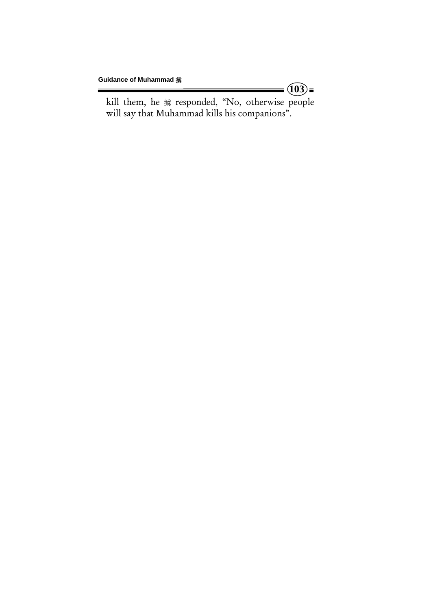kill them, he  $*$  responded, "No, otherwise people will say that Muhammad kills his companions".

 $=$   $\widehat{(03)}$  =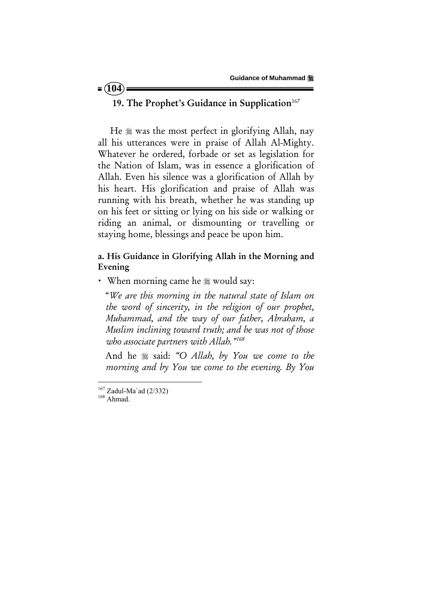### $= (104)$

## 19. The Prophet's Guidance in Supplication<sup>167</sup>

He  $\frac{1}{20}$  was the most perfect in glorifying Allah, nay all his utterances were in praise of Allah Al-Mighty. Whatever he ordered, forbade or set as legislation for the Nation of Islam, was in essence a glorification of Allah. Even his silence was a glorification of Allah by his heart. His glorification and praise of Allah was running with his breath, whether he was standing up on his feet or sitting or lying on his side or walking or riding an animal, or dismounting or travelling or staying home, blessings and peace be upon him.

### a. His Guidance in Glorifying Allah in the Morning and Evening

• When morning came he  $\frac{1}{28}$  would say:

 "*We are this morning in the natural state of Islam on the word of sincerity, in the religion of our prophet, Muhammad, and the way of our father, Abraham, a Muslim inclining toward truth; and he was not of those who associate partners with Allah."168*

And he  $*$  said: "O Allah, by You we come to the *morning and by You we come to the evening. By You* 

 $^{167}$  Zadul-Ma`ad (2/332)<br><sup>168</sup> Ahmad.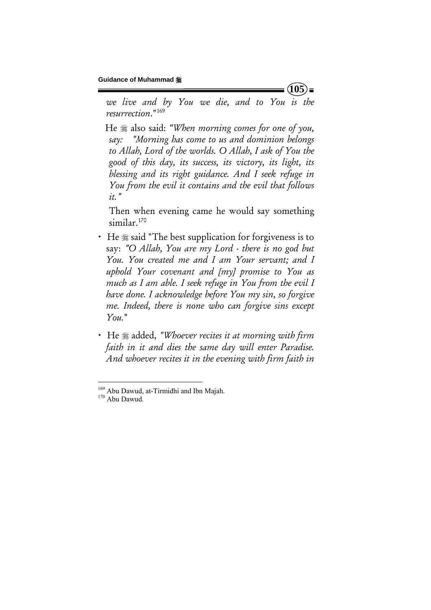*we live and by You we die, and to You is the resurrection*."169

 He also said: *"When morning comes for one of you, say: "Morning has come to us and dominion belongs to Allah, Lord of the worlds. O Allah, I ask of You the good of this day, its success, its victory, its light, its blessing and its right guidance. And I seek refuge in You from the evil it contains and the evil that follows it."*

 Then when evening came he would say something similar.<sup>170</sup>

- He  $\frac{1}{2}$  said "The best supplication for forgiveness is to say: *"O Allah, You are my Lord - there is no god but You. You created me and I am Your servant; and I uphold Your covenant and [my] promise to You as much as I am able. I seek refuge in You from the evil I have done. I acknowledge before You my sin, so forgive me. Indeed, there is none who can forgive sins except You.*"
- He  $\ast$  added, *"Whoever recites it at morning with firm faith in it and dies the same day will enter Paradise. And whoever recites it in the evening with firm faith in*

 $(105)$ 

 $169$  Abu Dawud, at-Tirmidhi and Ibn Majah.<br> $170$  Abu Dawud.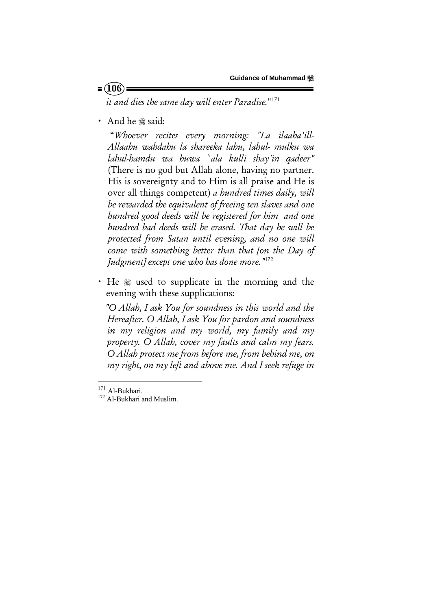### $= (106)$

*it and dies the same day will enter Paradise.*"171

• And he  $*$  said:

 "*Whoever recites every morning: "La ilaaha'ill-Allaahu wahdahu la shareeka lahu, lahul- mulku wa lahul-hamdu wa huwa `ala kulli shay'in qadeer"*  (There is no god but Allah alone, having no partner. His is sovereignty and to Him is all praise and He is over all things competent) *a hundred times daily, will be rewarded the equivalent of freeing ten slaves and one hundred good deeds will be registered for him and one hundred bad deeds will be erased. That day he will be protected from Satan until evening, and no one will come with something better than that [on the Day of Judgment] except one who has done more."*<sup>172</sup>

• He  $*$  used to supplicate in the morning and the evening with these supplications:

 *"O Allah, I ask You for soundness in this world and the Hereafter. O Allah, I ask You for pardon and soundness in my religion and my world, my family and my property. O Allah, cover my faults and calm my fears. O Allah protect me from before me, from behind me, on my right, on my left and above me. And I seek refuge in* 

<sup>&</sup>lt;sup>171</sup> Al-Bukhari.

 $172$  Al-Bukhari and Muslim.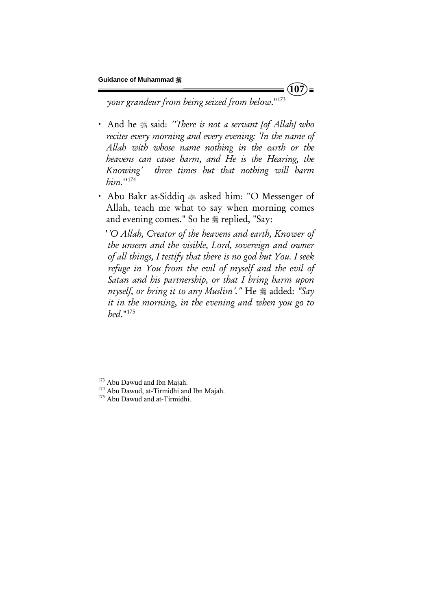$(107)$ 

*your grandeur from being seized from below*."173

- And he  $*$  said: *''There is not a servant [of Allah] who recites every morning and every evening: 'In the name of Allah with whose name nothing in the earth or the heavens can cause harm, and He is the Hearing, the Knowing' three times but that nothing will harm him.*''174
- x Abu Bakr as-Siddiq asked him: "O Messenger of Allah, teach me what to say when morning comes and evening comes." So he  $*$  replied, "Say:

 '*'O Allah, Creator of the heavens and earth, Knower of the unseen and the visible, Lord, sovereign and owner of all things, I testify that there is no god but You. I seek refuge in You from the evil of myself and the evil of Satan and his partnership, or that I bring harm upon myself, or bring it to any Muslim'.*" He  $\frac{1}{20}$  added: "Say *it in the morning, in the evening and when you go to bed*."175

<sup>&</sup>lt;sup>173</sup> Abu Dawud and Ibn Majah.<br><sup>174</sup> Abu Dawud, at-Tirmidhi and Ibn Majah.<br><sup>175</sup> Abu Dawud and at-Tirmidhi.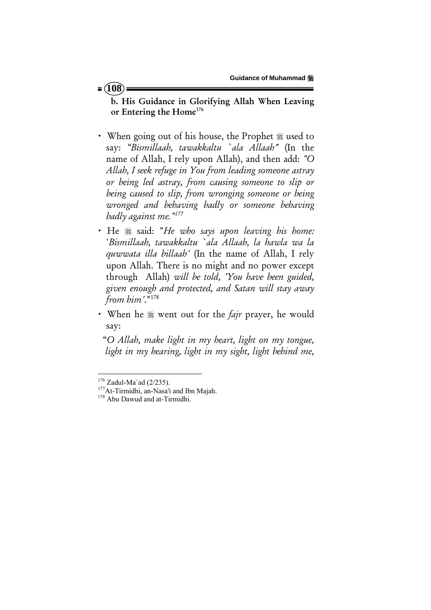#### $= (108)$

b. His Guidance in Glorifying Allah When Leaving or Entering the Home<sup>176</sup>

- When going out of his house, the Prophet  $*$  used to say: *"Bismillaah, tawakkaltu `ala Allaah"* (In the name of Allah, I rely upon Allah), and then add: *"O Allah, I seek refuge in You from leading someone astray or being led astray, from causing someone to slip or being caused to slip, from wronging someone or being wronged and behaving badly or someone behaving badly against me."177*
- x He said: "*He who says upon leaving his home:* '*Bismillaah, tawakkaltu `ala Allaah, la hawla wa la quwwata illa billaah'* (In the name of Allah, I rely upon Allah. There is no might and no power except through Allah) *will be told, 'You have been guided, given enough and protected, and Satan will stay away from him'*."178
- When he  $\frac{1}{2}$  went out for the *fajr* prayer, he would say:

 "*O Allah, make light in my heart, light on my tongue, light in my hearing, light in my sight, light behind me,* 

<sup>&</sup>lt;sup>176</sup> Zadul-Ma`ad (2/235).<br><sup>177</sup>At-Tirmidhi, an-Nasa'i and Ibn Majah.<br><sup>178</sup> Abu Dawud and at-Tirmidhi.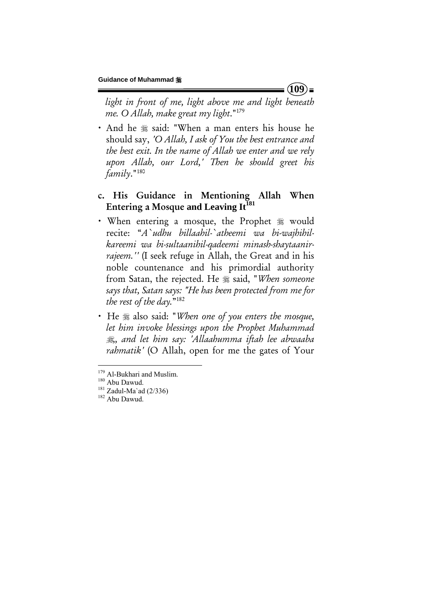*light in front of me, light above me and light beneath me. O Allah, make great my light*."179

• And he  $*$  said: "When a man enters his house he should say, *'O Allah, I ask of You the best entrance and the best exit. In the name of Allah we enter and we rely upon Allah, our Lord,' Then he should greet his family*."180

## c. His Guidance in Mentioning Allah When Entering a Mosque and Leaving It<sup>181</sup>

- When entering a mosque, the Prophet  $*$  would recite: "*A`udhu billaahil-`atheemi wa bi-wajhihilkareemi wa bi-sultaanihil-qadeemi minash-shaytaanirrajeem.''* (I seek refuge in Allah, the Great and in his noble countenance and his primordial authority from Satan, the rejected. He  $*$  said, "When someone *says that, Satan says: "He has been protected from me for the rest of the day.*"182
- x He also said: "*When one of you enters the mosque, let him invoke blessings upon the Prophet Muhammad ,, and let him say: 'Allaahumma iftah lee abwaaba rahmatik'* (O Allah, open for me the gates of Your

 $(109)$ 

<sup>&</sup>lt;sup>179</sup> Al-Bukhari and Muslim.

<sup>&</sup>lt;sup>180</sup> Abu Dawud.<br><sup>181</sup> Zadul-Ma`ad (2/336) <sup>182</sup> Abu Dawud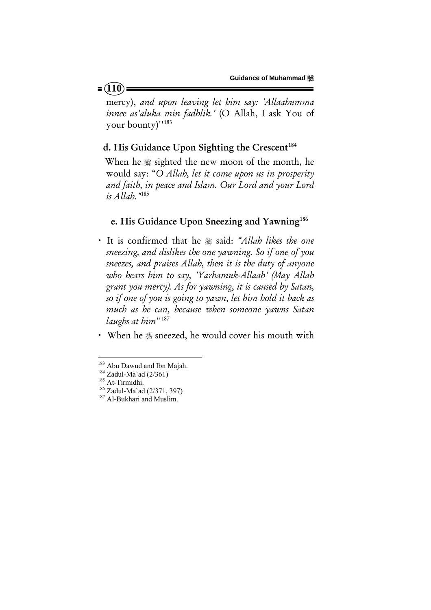mercy), *and upon leaving let him say: 'Allaahumma innee as'aluka min fadhlik.'* (O Allah, I ask You of your bounty)''183

## d. His Guidance Upon Sighting the Crescent<sup>184</sup>

When he  $\frac{1}{2}$  sighted the new moon of the month, he would say: "*O Allah, let it come upon us in prosperity and faith, in peace and Islam. Our Lord and your Lord is Allah."*<sup>185</sup>

#### e. His Guidance Upon Sneezing and Yawning<sup>186</sup>

- It is confirmed that he  $*$  said: *"Allah likes the one sneezing, and dislikes the one yawning. So if one of you sneezes, and praises Allah, then it is the duty of anyone who hears him to say, 'Yarhamuk-Allaah' (May Allah grant you mercy). As for yawning, it is caused by Satan, so if one of you is going to yawn, let him hold it back as much as he can, because when someone yawns Satan laughs at him*''187
- When he  $*$  sneezed, he would cover his mouth with

<sup>&</sup>lt;sup>183</sup> Abu Dawud and Ibn Majah.<br><sup>184</sup> Zadul-Ma`ad (2/361)<br><sup>185</sup> At-Tirmidhi. <sup>186</sup> Zadul-Ma`ad (2/371, 397)<br><sup>187</sup> Al-Bukhari and Muslim.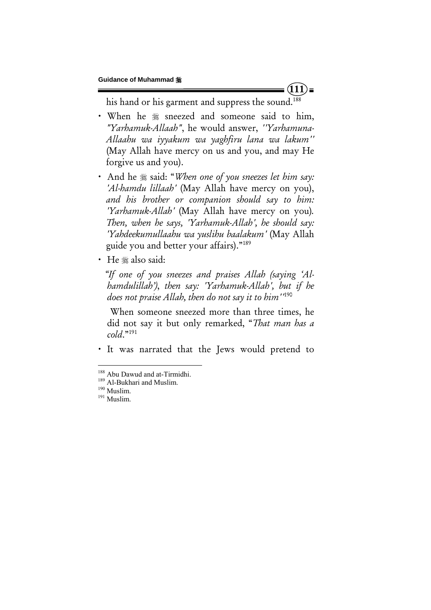$(111)$ 

his hand or his garment and suppress the sound.<sup>188</sup>

- When he  $*$  sneezed and someone said to him, *"Yarhamuk-Allaah"*, he would answer, *''Yarhamuna-Allaahu wa iyyakum wa yaghfiru lana wa lakum''*  (May Allah have mercy on us and you, and may He forgive us and you).
- And he  $\frac{1}{2}$  said: "*When one of you sneezes let him say*: *'Al-hamdu lillaah'* (May Allah have mercy on you), *and his brother or companion should say to him: 'Yarhamuk-Allah'* (May Allah have mercy on you)*. Then, when he says, 'Yarhamuk-Allah', he should say: 'Yahdeekumullaahu wa yuslihu baalakum'* (May Allah guide you and better your affairs)."189
- He # also said:

 *"If one of you sneezes and praises Allah (saying 'Alhamdulillah')*, *then say: 'Yarhamuk-Allah', but if he does not praise Allah, then do not say it to him''*<sup>190</sup>

When someone sneezed more than three times, he did not say it but only remarked, "*That man has a cold*."191

x It was narrated that the Jews would pretend to

<sup>&</sup>lt;sup>188</sup> Abu Dawud and at-Tirmidhi.<br><sup>189</sup> Al-Bukhari and Muslim.<br><sup>190</sup> Muslim.<br><sup>191</sup> Muslim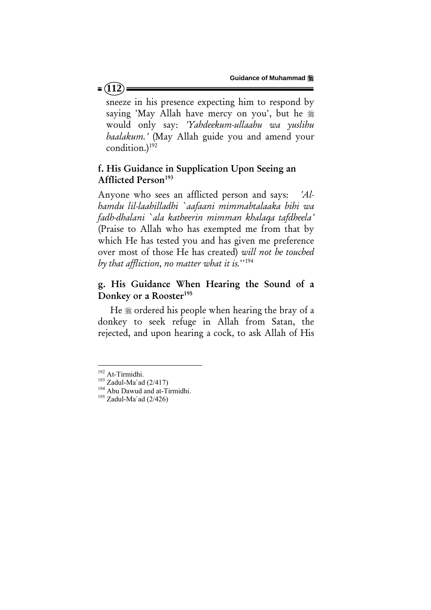sneeze in his presence expecting him to respond by saying 'May Allah have mercy on you', but he would only say: *'Yahdeekum-ullaahu wa yuslihu baalakum.'* (May Allah guide you and amend your condition.)192

## f. His Guidance in Supplication Upon Seeing an Afflicted Person<sup>193</sup>

Anyone who sees an afflicted person and says: *'Alhamdu lil-laahilladhi `aafaani mimmabtalaaka bihi wa fadh-dhalani `ala katheerin mimman khalaqa tafdheela'*  (Praise to Allah who has exempted me from that by which He has tested you and has given me preference over most of those He has created) *will not be touched by that affliction, no matter what it is.*''194

## g. His Guidance When Hearing the Sound of a Donkey or a Rooster<sup>195</sup>

He  $*$  ordered his people when hearing the bray of a donkey to seek refuge in Allah from Satan, the rejected, and upon hearing a cock, to ask Allah of His

#### $= (112)$

<sup>&</sup>lt;sup>192</sup> At-Tirmidhi.

<sup>&</sup>lt;sup>193</sup> Zadul-Ma`ad (2/417)<br><sup>194</sup> Abu Dawud and at-Tirmidhi.<br><sup>195</sup> Zadul-Ma`ad (2/426)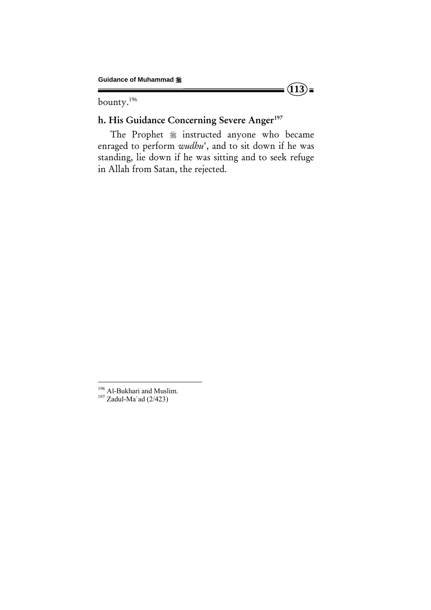bounty.196

# h. His Guidance Concerning Severe Anger<sup>197</sup>

The Prophet  $*$  instructed anyone who became enraged to perform *wudhu*', and to sit down if he was standing, lie down if he was sitting and to seek refuge in Allah from Satan, the rejected.

 $(13)$ **=** 

<sup>&</sup>lt;sup>196</sup> Al-Bukhari and Muslim.<br><sup>197</sup> Zadul-Ma`ad (2/423)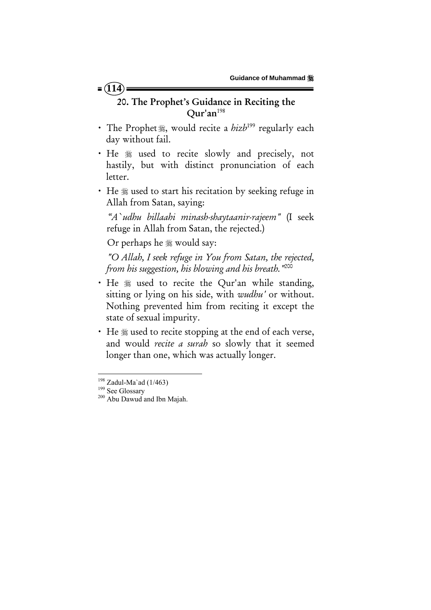# $= (114)$

# 20. The Prophet's Guidance in Reciting the  $Our'an<sup>198</sup>$

- x The Prophet, would recite a *hizb*199 regularly each day without fail.
- He  $\frac{1}{2}$  used to recite slowly and precisely, not hastily, but with distinct pronunciation of each letter.
- He  $\frac{1}{2}$  used to start his recitation by seeking refuge in Allah from Satan, saying:

 *"A`udhu billaahi minash-shaytaanir-rajeem"* (I seek refuge in Allah from Satan, the rejected.)

Or perhaps he  $\frac{1}{20}$  would say:

*"O Allah, I seek refuge in You from Satan, the rejected, from his suggestion, his blowing and his breath."*200

- He  $*$  used to recite the Qur'an while standing, sitting or lying on his side, with *wudhu'* or without. Nothing prevented him from reciting it except the state of sexual impurity.
- He  $\frac{1}{2}$  used to recite stopping at the end of each verse, and would *recite a surah* so slowly that it seemed longer than one, which was actually longer.

<sup>&</sup>lt;sup>198</sup> Zadul-Ma`ad (1/463)<br><sup>199</sup> See Glossary<br><sup>200</sup> Abu Dawud and Ibn Majah.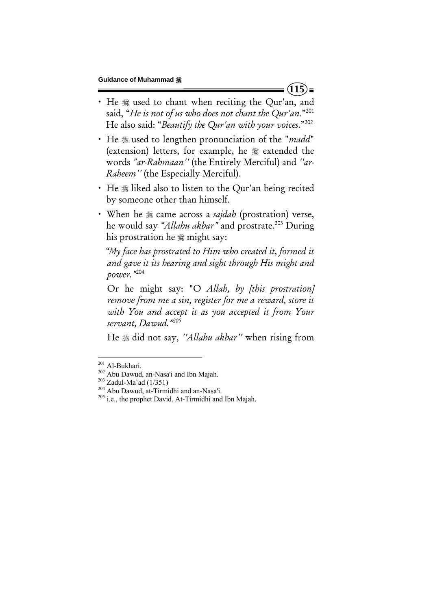- He  $*$  used to chant when reciting the Qur'an, and said, "*He is not of us who does not chant the Qur'an.*"201 He also said: "*Beautify the Qur'an with your voices*."202
- He  $\frac{1}{2}$  used to lengthen pronunciation of the "*madd*" (extension) letters, for example, he  $*$  extended the words *"ar-Rahmaan''* (the Entirely Merciful) and *''ar-Raheem''* (the Especially Merciful).
- He  $\frac{1}{2}$  liked also to listen to the Qur'an being recited by someone other than himself.
- When he  $*$  came across a *sajdah* (prostration) verse, he would say *"Allahu akbar"* and prostrate.203 During his prostration he  $\frac{1}{20}$  might say:

 *"My face has prostrated to Him who created it, formed it and gave it its hearing and sight through His might and power."*204

Or he might say: "O *Allah, by [this prostration] remove from me a sin, register for me a reward, store it with You and accept it as you accepted it from Your servant, Dawud."205*

He did not say, *''Allahu akbar''* when rising from

 $(115)$ 

<sup>&</sup>lt;sup>201</sup> Al-Bukhari.

<sup>&</sup>lt;sup>202</sup> Abu Dawud, an-Nasa'i and Ibn Majah.<br><sup>203</sup> Zadul-Ma`ad (1/351)<br><sup>204</sup> Abu Dawud, at-Tirmidhi and an-Nasa'i.<br><sup>205</sup> i.e., the prophet David. At-Tirmidhi and Ibn Majah.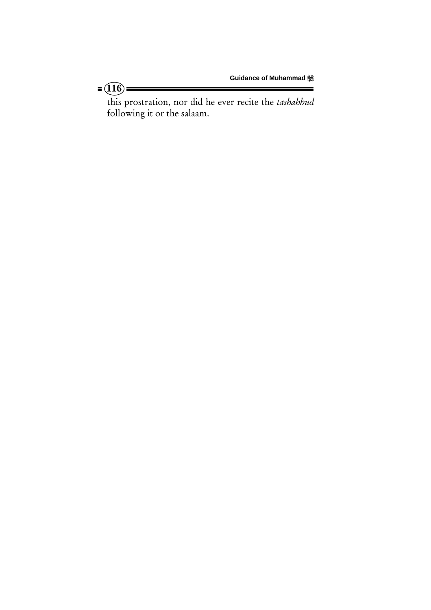this prostration, nor did he ever recite the *tashahhud* following it or the salaam.

 $=$   $(16)$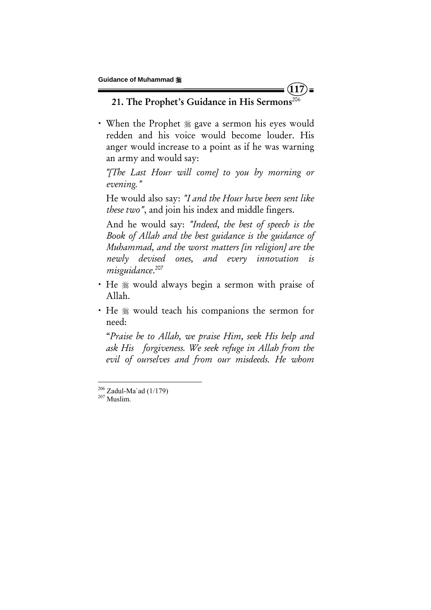21. The Prophet's Guidance in His Sermons<sup>206</sup>

**117**

• When the Prophet  $\frac{1}{20}$  gave a sermon his eyes would redden and his voice would become louder. His anger would increase to a point as if he was warning an army and would say:

 *"[The Last Hour will come] to you by morning or evening."*

He would also say: *"I and the Hour have been sent like these two"*, and join his index and middle fingers.

And he would say: *"Indeed, the best of speech is the Book of Allah and the best guidance is the guidance of Muhammad, and the worst matters [in religion] are the newly devised ones, and every innovation is misguidance*. 207

- He  $*$  would always begin a sermon with praise of Allah.
- He  $*$  would teach his companions the sermon for need:

"*Praise be to Allah, we praise Him, seek His help and ask His forgiveness. We seek refuge in Allah from the evil of ourselves and from our misdeeds. He whom* 

 $^{206}$  Zadul-Ma`ad (1/179)<br> $^{207}$  Muslim.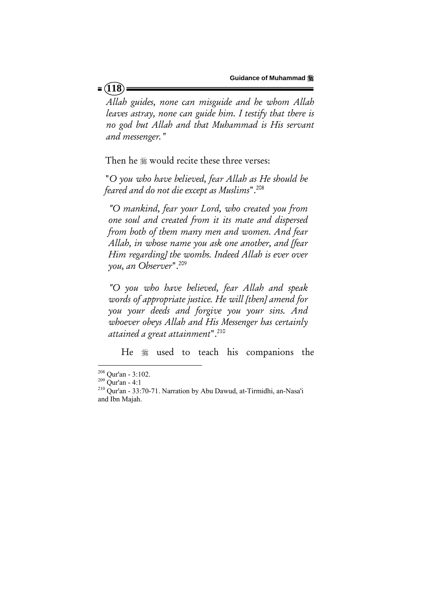*Allah guides, none can misguide and he whom Allah leaves astray, none can guide him. I testify that there is no god but Allah and that Muhammad is His servant and messenger."* 

Then he  $\frac{1}{20}$  would recite these three verses:

 "*O you who have believed, fear Allah as He should be feared and do not die except as Muslims*".208

*"O mankind, fear your Lord, who created you from one soul and created from it its mate and dispersed from both of them many men and women. And fear Allah, in whose name you ask one another, and [fear Him regarding] the wombs. Indeed Allah is ever over you, an Observer*".209

*"O you who have believed, fear Allah and speak words of appropriate justice. He will [then] amend for you your deeds and forgive you your sins. And whoever obeys Allah and His Messenger has certainly attained a great attainment*".210

He  $*$  used to teach his companions the

#### $= (118)$

<sup>&</sup>lt;sup>208</sup> Our'an - 3:102.

 $209$  Qur'an - 4:1<br><sup>210</sup> Qur'an - 33:70-71. Narration by Abu Dawud, at-Tirmidhi, an-Nasa'i and Ibn Majah.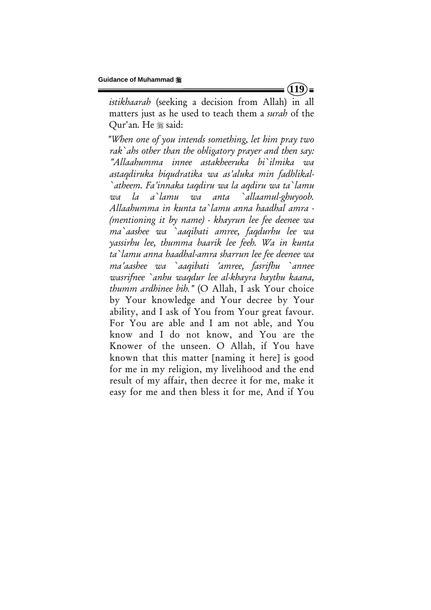*istikhaarah* (seeking a decision from Allah) in all matters just as he used to teach them a *surah* of the Qur'an. He # said:

 *"When one of you intends something, let him pray two rak`ahs other than the obligatory prayer and then say: "Allaahumma innee astakheeruka bi`ilmika wa astaqdiruka biqudratika wa as'aluka min fadhlikal- `atheem. Fa'innaka taqdiru wa la aqdiru wa ta`lamu wa la a`lamu wa anta `allaamul-ghuyoob. Allaahumma in kunta ta`lamu anna haadhal amra - (mentioning it by name) - khayrun lee fee deenee wa ma`aashee wa `aaqibati amree, faqdurhu lee wa yassirhu lee, thumma baarik lee feeh. Wa in kunta ta`lamu anna haadhal-amra sharrun lee fee deenee wa ma'aashee wa `aaqibati 'amree, fasrifhu `annee wasrifnee `anhu waqdur lee al-khayra haythu kaana, thumm ardhinee bih."* (O Allah, I ask Your choice by Your knowledge and Your decree by Your ability, and I ask of You from Your great favour. For You are able and I am not able, and You know and I do not know, and You are the Knower of the unseen. O Allah, if You have known that this matter [naming it here] is good for me in my religion, my livelihood and the end result of my affair, then decree it for me, make it easy for me and then bless it for me, And if You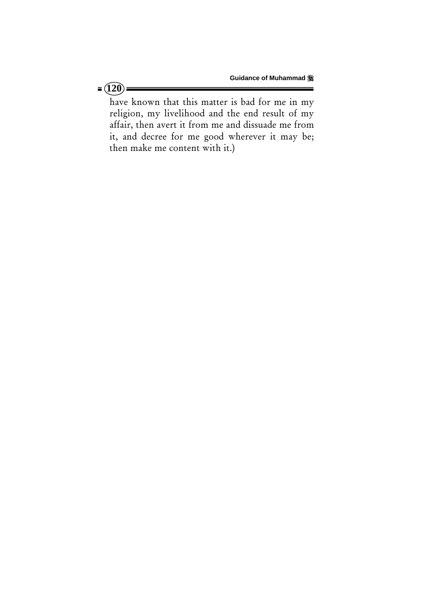have known that this matter is bad for me in my religion, my livelihood and the end result of my affair, then avert it from me and dissuade me from it, and decree for me good wherever it may be; then make me content with it.)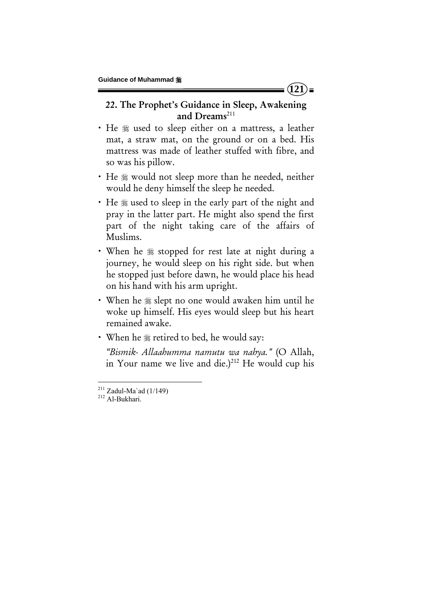## 22. The Prophet's Guidance in Sleep, Awakening and Dreams $^{211}$

**121**

- He  $*$  used to sleep either on a mattress, a leather mat, a straw mat, on the ground or on a bed. His mattress was made of leather stuffed with fibre, and so was his pillow.
- He  $\frac{1}{20}$  would not sleep more than he needed, neither would he deny himself the sleep he needed.
- He  $\frac{1}{2}$  used to sleep in the early part of the night and pray in the latter part. He might also spend the first part of the night taking care of the affairs of Muslims.
- When he  $*$  stopped for rest late at night during a journey, he would sleep on his right side. but when he stopped just before dawn, he would place his head on his hand with his arm upright.
- When he  $\frac{1}{2}$  slept no one would awaken him until he woke up himself. His eyes would sleep but his heart remained awake.
- When he  $*$  retired to bed, he would say:

*"Bismik- Allaahumma namutu wa nahya."* (O Allah, in Your name we live and die.) $212$  He would cup his

 $^{211}$  Zadul-Ma`ad (1/149)<br><sup>212</sup> Al-Bukhari.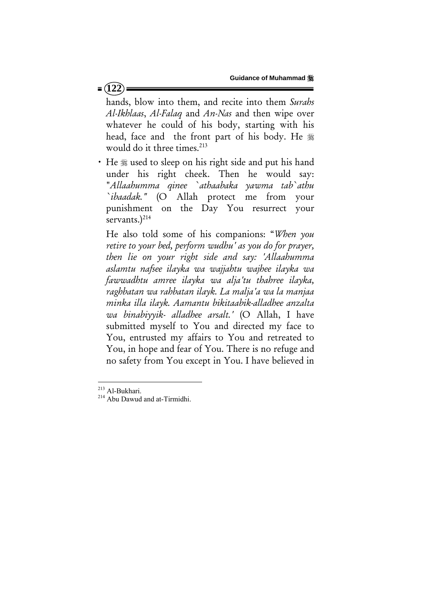#### $= (122)$

hands, blow into them, and recite into them *Surahs Al-Ikhlaas*, *Al-Falaq* and *An-Nas* and then wipe over whatever he could of his body, starting with his head, face and the front part of his body. He  $\frac{46}{26}$ would do it three times.<sup>213</sup>

• He  $\frac{1}{2}$  used to sleep on his right side and put his hand under his right cheek. Then he would say: "*Allaahumma qinee `athaabaka yawma tab`athu `ibaadak."* (O Allah protect me from your punishment on the Day You resurrect your servants. $)^{214}$ 

He also told some of his companions: "*When you retire to your bed, perform wudhu' as you do for prayer, then lie on your right side and say: 'Allaahumma aslamtu nafsee ilayka wa wajjahtu wajhee ilayka wa fawwadhtu amree ilayka wa alja'tu thahree ilayka, raghbatan wa rahbatan ilayk. La malja'a wa la manjaa minka illa ilayk. Aamantu bikitaabik-alladhee anzalta wa binabiyyik- alladhee arsalt.'* (O Allah, I have submitted myself to You and directed my face to You, entrusted my affairs to You and retreated to You, in hope and fear of You. There is no refuge and no safety from You except in You. I have believed in

<sup>&</sup>lt;sup>213</sup> Al-Bukhari.

 $214$  Abu Dawud and at-Tirmidhi.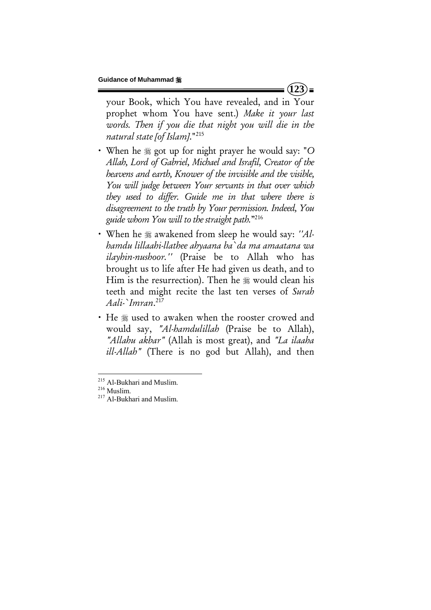your Book, which You have revealed, and in Your prophet whom You have sent.) *Make it your last*  words. Then if you die that night you will die in the *natural state [of Islam]*."215

- x When he got up for night prayer he would say: "*O Allah, Lord of Gabriel, Michael and Israfil, Creator of the heavens and earth, Knower of the invisible and the visible, You will judge between Your servants in that over which they used to differ. Guide me in that where there is disagreement to the truth by Your permission. Indeed, You guide whom You will to the straight path.*"216
- When he  $\frac{1}{2}$  awakened from sleep he would say: *''Alhamdu lillaahi-llathee ahyaana ba`da ma amaatana wa ilayhin-nushoor.''* (Praise be to Allah who has brought us to life after He had given us death, and to Him is the resurrection). Then he  $\frac{1}{20}$  would clean his teeth and might recite the last ten verses of *Surah Aali-`Imran*. 217
- He  $*$  used to awaken when the rooster crowed and would say, *"Al-hamdulillah* (Praise be to Allah), *"Allahu akbar"* (Allah is most great), and *"La ilaaha ill-Allah"* (There is no god but Allah), and then

 $(123)$ 

<sup>&</sup>lt;sup>215</sup> Al-Bukhari and Muslim.<br><sup>216</sup> Muslim.<br><sup>217</sup> Al-Bukhari and Muslim.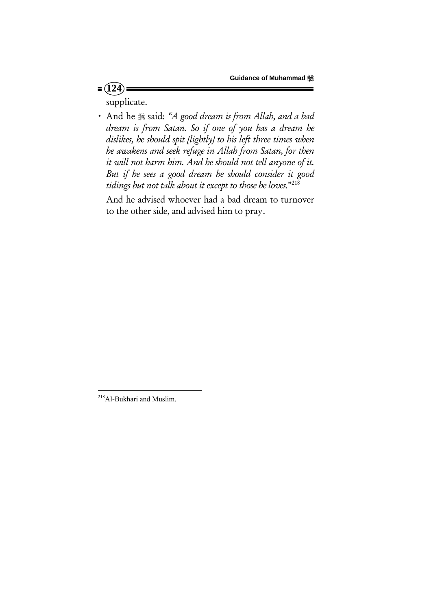supplicate.

 $= (124)$ 

x And he said: *"A good dream is from Allah, and a bad dream is from Satan. So if one of you has a dream he dislikes, he should spit [lightly] to his left three times when he awakens and seek refuge in Allah from Satan, for then it will not harm him. And he should not tell anyone of it. But if he sees a good dream he should consider it good tidings but not talk about it except to those he loves.*"218

And he advised whoever had a bad dream to turnover to the other side, and advised him to pray.

<sup>&</sup>lt;sup>218</sup>Al-Bukhari and Muslim.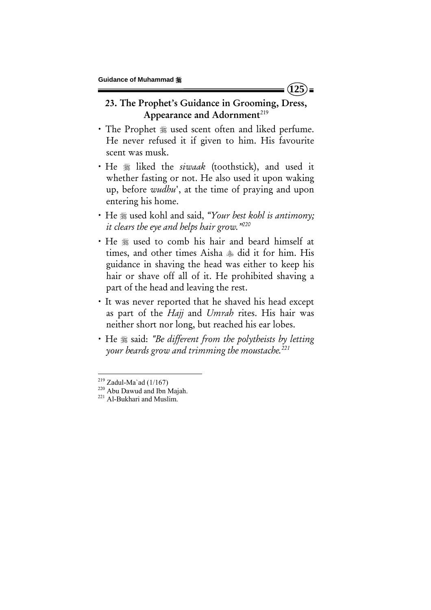# 23. The Prophet's Guidance in Grooming, Dress, Appearance and Adornment<sup> $219$ </sup>

- The Prophet  $*$  used scent often and liked perfume. He never refused it if given to him. His favourite scent was musk.
- He  $*$  liked the *siwaak* (toothstick), and used it whether fasting or not. He also used it upon waking up, before *wudhu*', at the time of praying and upon entering his home.
- x He used kohl and said, *"Your best kohl is antimony; it clears the eye and helps hair grow."220*
- He  $\frac{1}{2}$  used to comb his hair and beard himself at times, and other times Aisha  $*$  did it for him. His guidance in shaving the head was either to keep his hair or shave off all of it. He prohibited shaving a part of the head and leaving the rest.
- It was never reported that he shaved his head except as part of the *Hajj* and *Umrah* rites. His hair was neither short nor long, but reached his ear lobes.
- **·** He  $\frac{1}{28}$  said: *"Be different from the polytheists by letting your beards grow and trimming the moustache.221*

<sup>&</sup>lt;sup>219</sup> Zadul-Ma`ad (1/167)<br><sup>220</sup> Abu Dawud and Ibn Majah.<br><sup>221</sup> Al-Bukhari and Muslim.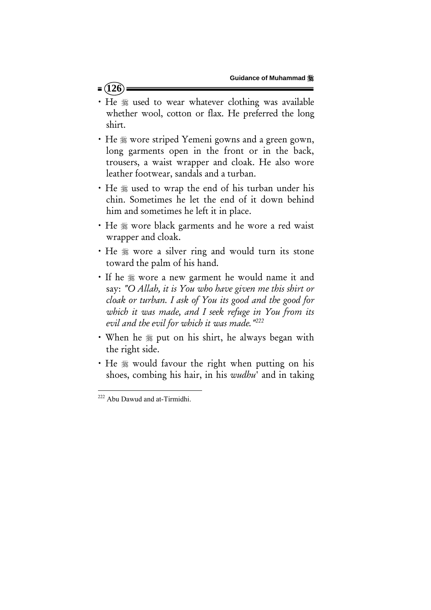## $= (126)$

- He  $\frac{1}{2}$  used to wear whatever clothing was available whether wool, cotton or flax. He preferred the long shirt.
- He  $*$  wore striped Yemeni gowns and a green gown, long garments open in the front or in the back, trousers, a waist wrapper and cloak. He also wore leather footwear, sandals and a turban.
- He  $*$  used to wrap the end of his turban under his chin. Sometimes he let the end of it down behind him and sometimes he left it in place.
- He  $\frac{1}{2}$  wore black garments and he wore a red waist wrapper and cloak.
- He  $\frac{1}{20}$  wore a silver ring and would turn its stone toward the palm of his hand.
- If he  $*$  wore a new garment he would name it and say: *"O Allah, it is You who have given me this shirt or cloak or turban. I ask of You its good and the good for which it was made, and I seek refuge in You from its evil and the evil for which it was made."222*
- When he  $\frac{1}{20}$  put on his shirt, he always began with the right side.
- He  $\frac{1}{2}$  would favour the right when putting on his shoes, combing his hair, in his *wudhu*' and in taking

 <sup>222</sup> Abu Dawud and at-Tirmidhi.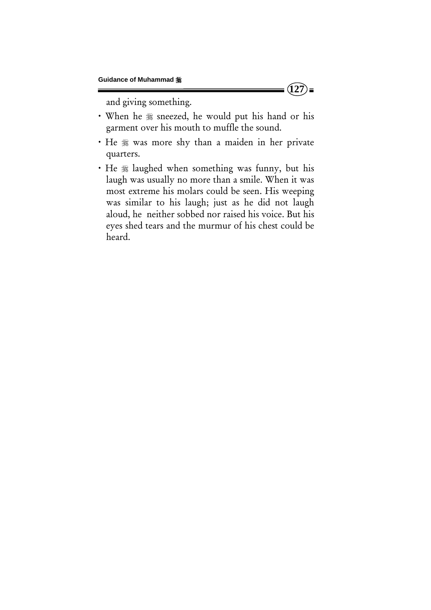and giving something.

- · When he  $*$  sneezed, he would put his hand or his garment over his mouth to muffle the sound.
- He  $*$  was more shy than a maiden in her private quarters.
- He  $*$  laughed when something was funny, but his laugh was usually no more than a smile. When it was most extreme his molars could be seen. His weeping was similar to his laugh; just as he did not laugh aloud, he neither sobbed nor raised his voice. But his eyes shed tears and the murmur of his chest could be heard.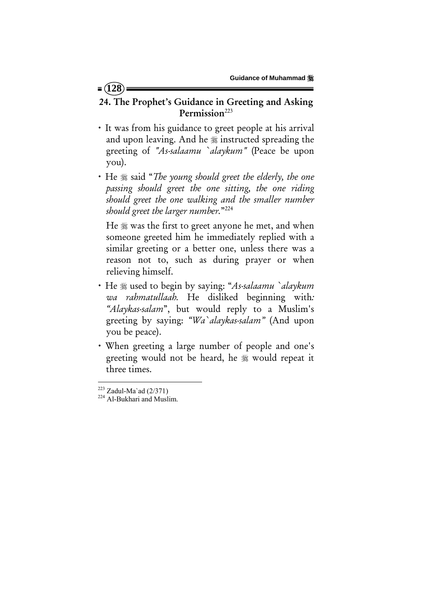## 24. The Prophet's Guidance in Greeting and Asking Permission<sup>223</sup>

- x It was from his guidance to greet people at his arrival and upon leaving. And he  $\frac{1}{26}$  instructed spreading the greeting of *"As-salaamu `alaykum"* (Peace be upon you).
- He  $*$  said "*The young should greet the elderly, the one passing should greet the one sitting, the one riding should greet the one walking and the smaller number should greet the larger number.*"224

He  $\frac{1}{2}$  was the first to greet anyone he met, and when someone greeted him he immediately replied with a similar greeting or a better one, unless there was a reason not to, such as during prayer or when relieving himself.

- x He used to begin by saying: "*As-salaamu `alaykum wa rahmatullaah.* He disliked beginning with*: "Alaykas-salam*", but would reply to a Muslim's greeting by saying: *"Wa`alaykas-salam"* (And upon you be peace).
- x When greeting a large number of people and one's greeting would not be heard, he  $\frac{1}{20}$  would repeat it three times.

<sup>&</sup>lt;sup>223</sup> Zadul-Ma`ad (2/371)<br><sup>224</sup> Al-Bukhari and Muslim.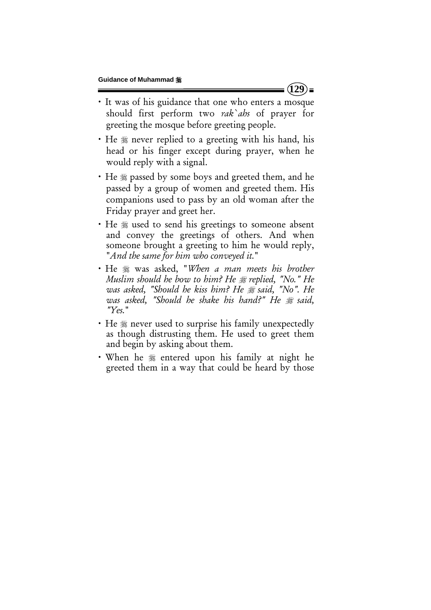- x It was of his guidance that one who enters a mosque should first perform two *rak`ahs* of prayer for greeting the mosque before greeting people.
- He  $*$  never replied to a greeting with his hand, his head or his finger except during prayer, when he would reply with a signal.
- He  $*$  passed by some boys and greeted them, and he passed by a group of women and greeted them. His companions used to pass by an old woman after the Friday prayer and greet her.
- He  $\frac{1}{2}$  used to send his greetings to someone absent and convey the greetings of others. And when someone brought a greeting to him he would reply, "*And the same for him who conveyed it.*"
- x He was asked, "*When a man meets his brother Muslim should he bow to him? He replied, "No." He was asked, "Should he kiss him? He said, "No". He was asked, "Should he shake his hand?" He said, "Yes.*"
- He  $*$  never used to surprise his family unexpectedly as though distrusting them. He used to greet them and begin by asking about them.
- When he  $*$  entered upon his family at night he greeted them in a way that could be heard by those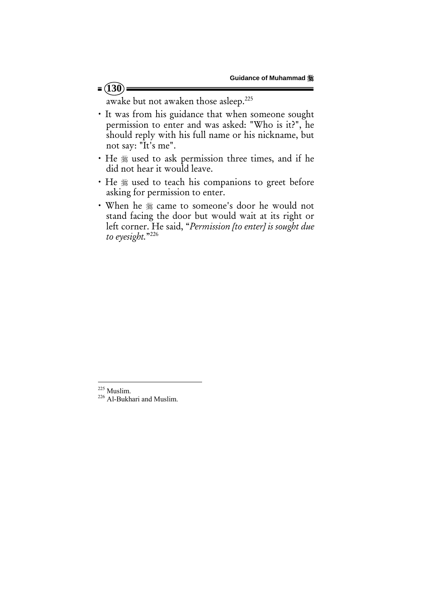awake but not awaken those asleep.225

- x It was from his guidance that when someone sought permission to enter and was asked: "Who is it?", he should reply with his full name or his nickname, but not say: "It's me".
- He  $*$  used to ask permission three times, and if he did not hear it would leave.
- He  $*$  used to teach his companions to greet before asking for permission to enter.
- When he  $*$  came to someone's door he would not stand facing the door but would wait at its right or left corner. He said, "*Permission [to enter] is sought due to eyesight.*"226

 $225$  Muslim.

<sup>&</sup>lt;sup>226</sup> Al-Bukhari and Muslim.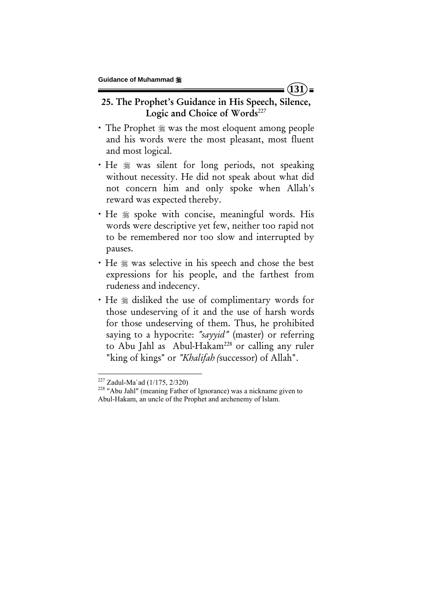# 25. The Prophet's Guidance in His Speech, Silence, Logic and Choice of Words<sup>227</sup>

- The Prophet  $*$  was the most eloquent among people and his words were the most pleasant, most fluent and most logical.
- He  $*$  was silent for long periods, not speaking without necessity. He did not speak about what did not concern him and only spoke when Allah's reward was expected thereby.
- . He  $*$  spoke with concise, meaningful words. His words were descriptive yet few, neither too rapid not to be remembered nor too slow and interrupted by pauses.
- He  $\frac{1}{2}$  was selective in his speech and chose the best expressions for his people, and the farthest from rudeness and indecency.
- He  $*$  disliked the use of complimentary words for those undeserving of it and the use of harsh words for those undeserving of them. Thus, he prohibited saying to a hypocrite: *"sayyid"* (master) or referring to Abu Jahl as Abul-Hakam<sup>228</sup> or calling any ruler "king of kings" or *"Khalifah (*successor) of Allah".

 $(131)$ =

<sup>&</sup>lt;sup>227</sup> Zadul-Ma`ad (1/175, 2/320)<br><sup>228</sup> "Abu Jahl" (meaning Father of Ignorance) was a nickname given to Abul-Hakam, an uncle of the Prophet and archenemy of Islam.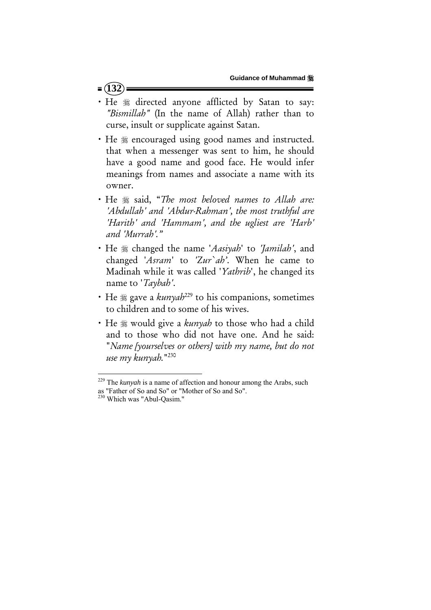#### $= (132)$

- He  $*$  directed anyone afflicted by Satan to say: *"Bismillah"* (In the name of Allah) rather than to curse, insult or supplicate against Satan.
- He  $*$  encouraged using good names and instructed. that when a messenger was sent to him, he should have a good name and good face. He would infer meanings from names and associate a name with its owner.
- x He said, "*The most beloved names to Allah are: 'Abdullah' and 'Abdur-Rahman', the most truthful are 'Harith' and 'Hammam', and the ugliest are 'Harb' and 'Murrah'."*
- x He changed the name '*Aasiyah*' to *'Jamilah'*, and changed '*Asram*' to *'Zur`ah'*. When he came to Madinah while it was called '*Yathrib*', he changed its name to '*Taybah'*.
- He  $\frac{1}{28}$  gave a *kunyah*<sup>229</sup> to his companions, sometimes to children and to some of his wives.
- He  $\frac{1}{28}$  would give a *kunyah* to those who had a child and to those who did not have one. And he said: "*Name [yourselves or others] with my name, but do not use my kunyah.*"230

<sup>229</sup> The *kunyah* is a name of affection and honour among the Arabs, such as "Father of So and So" or "Mother of So and So".

<sup>&</sup>lt;sup>230</sup> Which was "Abul-Qasim."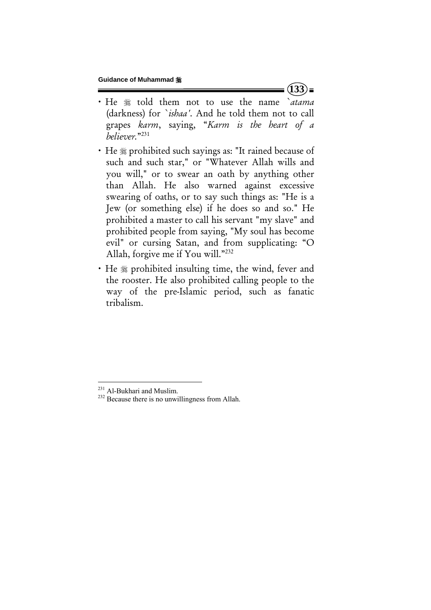- x He told them not to use the name *`atama* (darkness) for *`ishaa'*. And he told them not to call grapes *karm*, saying, "*Karm is the heart of a believer.*"231
- He  $*$  prohibited such sayings as: "It rained because of such and such star," or "Whatever Allah wills and you will," or to swear an oath by anything other than Allah. He also warned against excessive swearing of oaths, or to say such things as: "He is a Jew (or something else) if he does so and so." He prohibited a master to call his servant "my slave" and prohibited people from saying, "My soul has become evil" or cursing Satan, and from supplicating: "O Allah, forgive me if You will."232
- He  $*$  prohibited insulting time, the wind, fever and the rooster. He also prohibited calling people to the way of the pre-Islamic period, such as fanatic tribalism.

 $(133)$ =

<sup>&</sup>lt;sup>231</sup> Al-Bukhari and Muslim.<br><sup>232</sup> Because there is no unwillingness from Allah.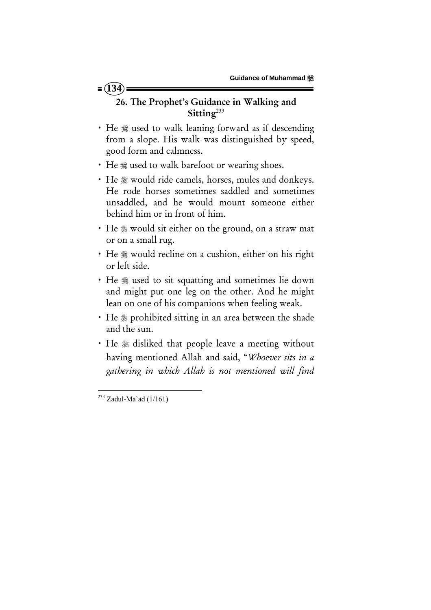# $= (134)$

# 26. The Prophet's Guidance in Walking and Sitting<sup>233</sup>

- He  $*$  used to walk leaning forward as if descending from a slope. His walk was distinguished by speed, good form and calmness.
- He  $*$  used to walk barefoot or wearing shoes.
- He  $\frac{1}{2}$  would ride camels, horses, mules and donkeys. He rode horses sometimes saddled and sometimes unsaddled, and he would mount someone either behind him or in front of him.
- He  $*$  would sit either on the ground, on a straw mat or on a small rug.
- He \* would recline on a cushion, either on his right or left side.
- He  $\frac{1}{2}$  used to sit squatting and sometimes lie down and might put one leg on the other. And he might lean on one of his companions when feeling weak.
- He  $*$  prohibited sitting in an area between the shade and the sun.
- He  $\frac{1}{2}$  disliked that people leave a meeting without having mentioned Allah and said, "*Whoever sits in a gathering in which Allah is not mentioned will find*

  $^{233}$  Zadul-Ma`ad (1/161)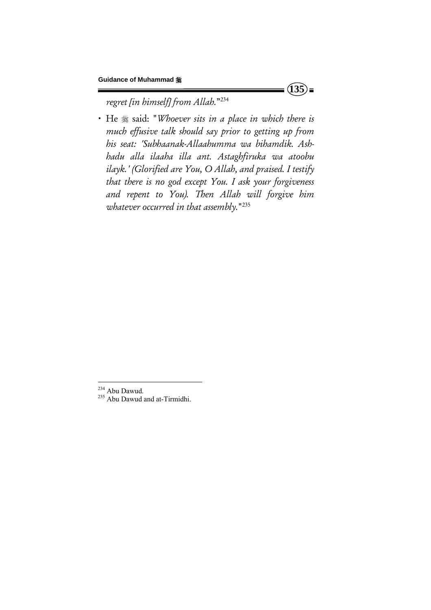$(135)$ =

*regret [in himself] from Allah.*"234

x He said: "*Whoever sits in a place in which there is much effusive talk should say prior to getting up from his seat: 'Subhaanak-Allaahumma wa bihamdik. Ashhadu alla ilaaha illa ant. Astaghfiruka wa atoobu ilayk.' (Glorified are You, O Allah, and praised. I testify that there is no god except You. I ask your forgiveness and repent to You). Then Allah will forgive him whatever occurred in that assembly.*"235

<sup>&</sup>lt;sup>234</sup> Abu Dawud.<br><sup>235</sup> Abu Dawud and at-Tirmidhi.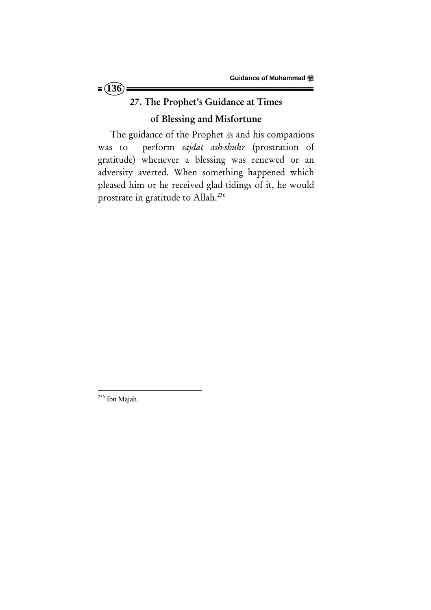

# 27. The Prophet's Guidance at Times

# of Blessing and Misfortune

The guidance of the Prophet  $*$  and his companions was to perform *sajdat ash-shukr* (prostration of gratitude) whenever a blessing was renewed or an adversity averted. When something happened which pleased him or he received glad tidings of it, he would prostrate in gratitude to Allah.236

 <sup>236</sup> Ibn Majah.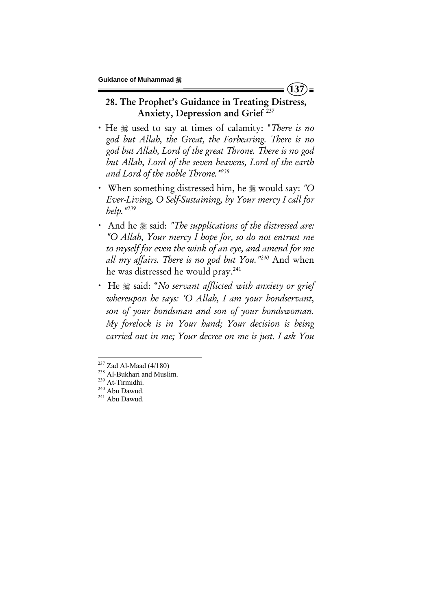28. The Prophet's Guidance in Treating Distress, Anxiety, Depression and Grief<sup>237</sup>

**137**

- x He used to say at times of calamity: "*There is no god but Allah, the Great, the Forbearing. There is no god but Allah, Lord of the great Throne. There is no god but Allah, Lord of the seven heavens, Lord of the earth and Lord of the noble Throne."238*
- When something distressed him, he  $*$  would say: "O *Ever-Living, O Self-Sustaining, by Your mercy I call for help."239*
- And he  $\equiv$  said: *"The supplications of the distressed are: "O Allah, Your mercy I hope for, so do not entrust me to myself for even the wink of an eye, and amend for me all my affairs. There is no god but You."240* And when he was distressed he would pray.241
- He  $\frac{1}{2}$  said: "*No servant afflicted with anxiety or grief whereupon he says: 'O Allah, I am your bondservant, son of your bondsman and son of your bondswoman. My forelock is in Your hand; Your decision is being carried out in me; Your decree on me is just. I ask You*

<sup>&</sup>lt;sup>237</sup> Zad Al-Maad (4/180)<br><sup>238</sup> Al-Bukhari and Muslim.<br><sup>239</sup> At-Tirmidhi.<br><sup>240</sup> Abu Dawud. <sup>241</sup> Abu Dawud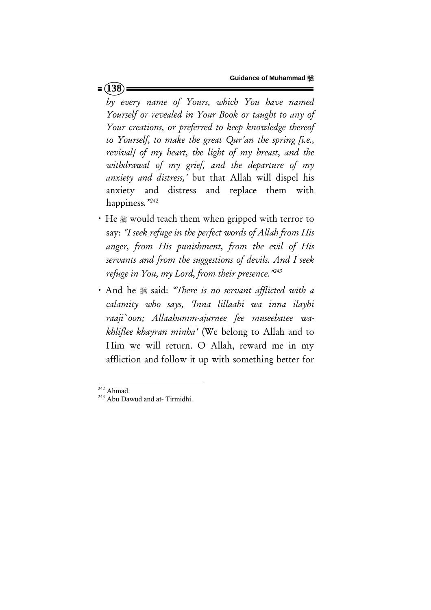*by every name of Yours, which You have named Yourself or revealed in Your Book or taught to any of Your creations, or preferred to keep knowledge thereof to Yourself, to make the great Qur'an the spring [i.e., revival] of my heart, the light of my breast, and the withdrawal of my grief, and the departure of my anxiety and distress,'* but that Allah will dispel his anxiety and distress and replace them with happiness*."242* 

- He  $*$  would teach them when gripped with terror to say: *"I seek refuge in the perfect words of Allah from His anger, from His punishment, from the evil of His servants and from the suggestions of devils. And I seek refuge in You, my Lord, from their presence."243*
- And he  $*$  said: *"There is no servant afflicted with a calamity who says, 'Inna lillaahi wa inna ilayhi raaji`oon; Allaahumm-ajurnee fee museebatee wakhliflee khayran minha'* (We belong to Allah and to Him we will return. O Allah, reward me in my affliction and follow it up with something better for

 $242$  Ahmad.

 $243$  Abu Dawud and at- Tirmidhi.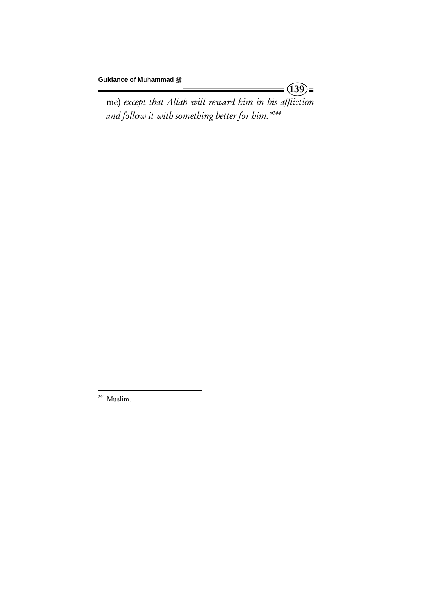me) *except that Allah will reward him in his affliction and follow it with something better for him."244*

 $(39)$ 

 <sup>244</sup> Muslim.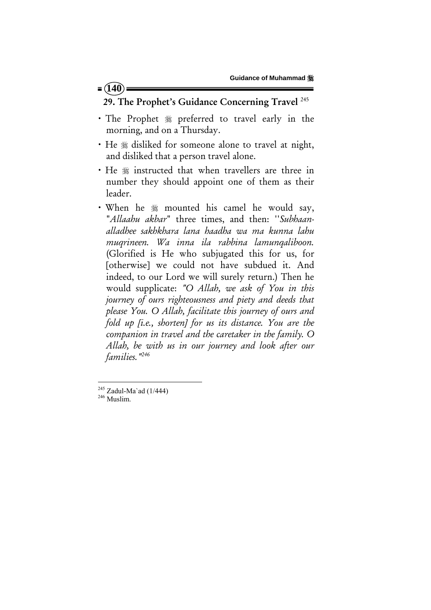#### $= (140)$

### 29. The Prophet's Guidance Concerning Travel<sup>245</sup>

- · The Prophet  $*$  preferred to travel early in the morning, and on a Thursday.
- He  $*$  disliked for someone alone to travel at night, and disliked that a person travel alone.
- He  $*$  instructed that when travellers are three in number they should appoint one of them as their leader.
- When he  $*$  mounted his camel he would say, "*Allaahu akbar*" three times, and then: ''*Subhaanalladhee sakhkhara lana haadha wa ma kunna lahu muqrineen. Wa inna ila rabbina lamunqaliboon.*  (Glorified is He who subjugated this for us, for [otherwise] we could not have subdued it. And indeed, to our Lord we will surely return.) Then he would supplicate: *"O Allah, we ask of You in this journey of ours righteousness and piety and deeds that please You. O Allah, facilitate this journey of ours and fold up [i.e., shorten] for us its distance. You are the companion in travel and the caretaker in the family. O Allah, be with us in our journey and look after our families."246*

<sup>245</sup> Zadul-Ma`ad (1/444)<br><sup>246</sup> Muslim.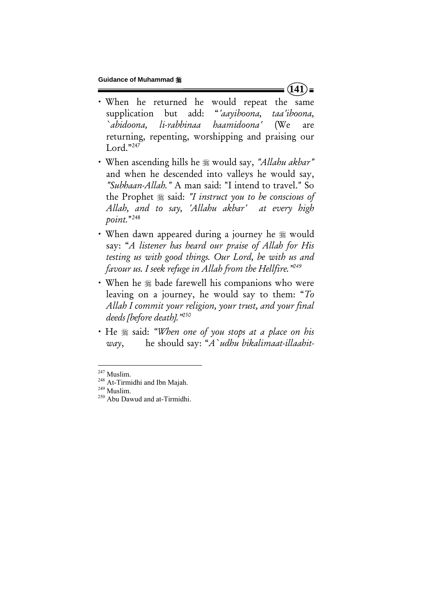- x When he returned he would repeat the same supplication but add: "*'aayiboona, taa'iboona, `abidoona, li-rabbinaa haamidoona'* (We are returning, repenting, worshipping and praising our Lord."247
- x When ascending hills he would say, *"Allahu akbar"*  and when he descended into valleys he would say, *"Subhaan-Allah."* A man said: "I intend to travel." So the Prophet  $\frac{1}{2}$  said: *"I instruct you to be conscious of Allah, and to say, 'Allahu akbar' at every high point.*"248
- When dawn appeared during a journey he  $\frac{1}{20}$  would say: "*A listener has heard our praise of Allah for His testing us with good things. Our Lord, be with us and favour us. I seek refuge in Allah from the Hellfire."249*
- When he  $\frac{1}{2}$  bade farewell his companions who were leaving on a journey, he would say to them: "*To Allah I commit your religion, your trust, and your final deeds [before death]."250*
- He  $*$  said: *"When one of you stops at a place on his way*, he should say: "*A`udhu bikalimaat-illaahit-*

 $(141)$ =

<sup>&</sup>lt;sup>247</sup> Muslim.

<sup>&</sup>lt;sup>248</sup> At-Tirmidhi and Ibn Majah.<br><sup>249</sup> Muslim. <sup>250</sup> Abu Dawud and at-Tirmidhi.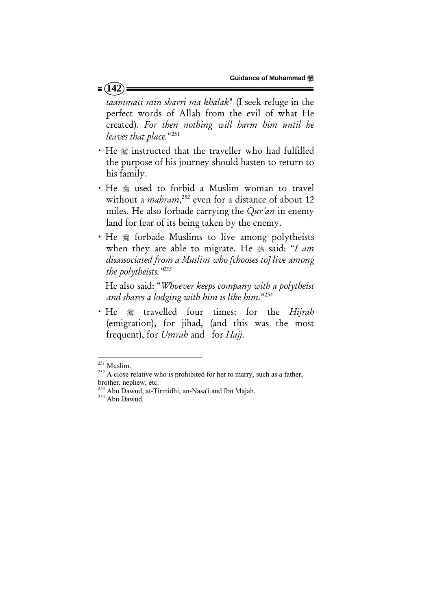#### $= (142)$

*taammati min sharri ma khalak*" (I seek refuge in the perfect words of Allah from the evil of what He created). *For then nothing will harm him until he leaves that place.*"251

- He  $*$  instructed that the traveller who had fulfilled the purpose of his journey should hasten to return to his family.
- He  $*$  used to forbid a Muslim woman to travel without a *mahram*, 252 even for a distance of about 12 miles. He also forbade carrying the *Qur'an* in enemy land for fear of its being taken by the enemy.
- He  $*$  forbade Muslims to live among polytheists when they are able to migrate. He  $\frac{1}{2}$  said: "*I am disassociated from a Muslim who [chooses to] live among the polytheists."253*

 He also said: "*Whoever keeps company with a polytheist and shares a lodging with him is like him.*"254

x He travelled four times: for the *Hijrah* (emigration), for jihad, (and this was the most frequent), for *Umrah* and for *Hajj*.

<sup>&</sup>lt;sup>251</sup> Muslim.

 $252$  A close relative who is prohibited for her to marry, such as a father, brother, nephew, etc.

<sup>253</sup> Abu Dawud, at-Tirmidhi, an-Nasa'i and Ibn Majah.<br><sup>254</sup> Abu Dawud.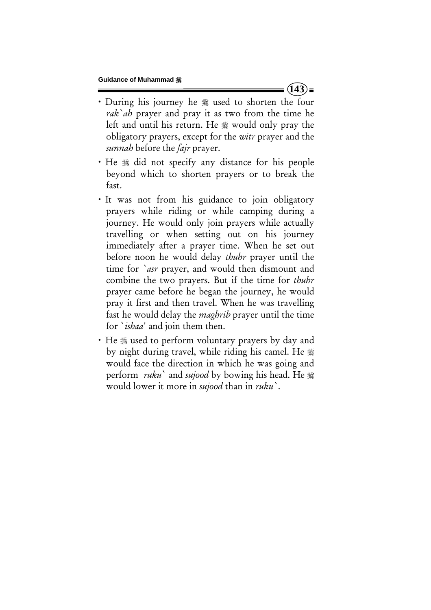• During his journey he  $*$  used to shorten the four *rak`ah* prayer and pray it as two from the time he left and until his return. He  $\frac{1}{20}$  would only pray the obligatory prayers, except for the *witr* prayer and the *sunnah* before the *fajr* prayer.

 $(143)$ 

- He  $*$  did not specify any distance for his people beyond which to shorten prayers or to break the fast.
- It was not from his guidance to join obligatory prayers while riding or while camping during a journey. He would only join prayers while actually travelling or when setting out on his journey immediately after a prayer time. When he set out before noon he would delay *thuhr* prayer until the time for *`asr* prayer, and would then dismount and combine the two prayers. But if the time for *thuhr* prayer came before he began the journey, he would pray it first and then travel. When he was travelling fast he would delay the *maghrib* prayer until the time for `*ishaa*' and join them then.
- He  $*$  used to perform voluntary prayers by day and by night during travel, while riding his camel. He would face the direction in which he was going and perform *ruku*` and *sujood* by bowing his head. He would lower it more in *sujood* than in *ruku`*.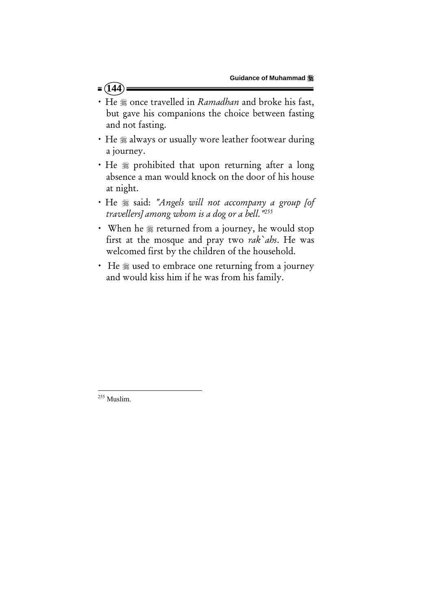#### $= (144)$

- He  $*$  once travelled in *Ramadhan* and broke his fast, but gave his companions the choice between fasting and not fasting.
- He  $*$  always or usually wore leather footwear during a journey.
- He  $*$  prohibited that upon returning after a long absence a man would knock on the door of his house at night.
- $\cdot$  He  $\frac{1}{26}$  said: "Angels will not accompany a group [of *travellers] among whom is a dog or a bell."255*
- When he  $*$  returned from a journey, he would stop first at the mosque and pray two *rak`ahs*. He was welcomed first by the children of the household.
- He  $\frac{1}{2}$  used to embrace one returning from a journey and would kiss him if he was from his family.

 <sup>255</sup> Muslim.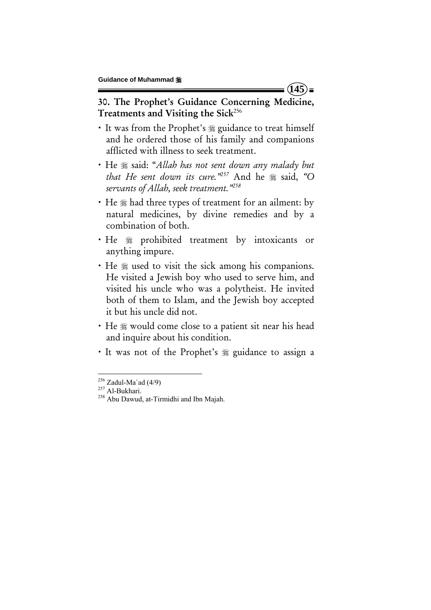30. The Prophet's Guidance Concerning Medicine, Treatments and Visiting the Sick<sup>256</sup>

**145**

- It was from the Prophet's  $\frac{1}{2}$  guidance to treat himself and he ordered those of his family and companions afflicted with illness to seek treatment.
- $\cdot$  He  $*$  said: "Allah has not sent down any malady but *that He sent down its cure.*"<sup>257</sup> And he  $\frac{1}{28}$  said, "O *servants of Allah, seek treatment."258*
- He  $*$  had three types of treatment for an ailment: by natural medicines, by divine remedies and by a combination of both.
- · He  $*$  prohibited treatment by intoxicants or anything impure.
- He  $\frac{1}{2}$  used to visit the sick among his companions. He visited a Jewish boy who used to serve him, and visited his uncle who was a polytheist. He invited both of them to Islam, and the Jewish boy accepted it but his uncle did not.
- He  $\frac{1}{2}$  would come close to a patient sit near his head and inquire about his condition.
- It was not of the Prophet's  $\frac{1}{20}$  guidance to assign a

<sup>&</sup>lt;sup>256</sup> Zadul-Ma`ad (4/9)<br><sup>257</sup> Al-Bukhari.<br><sup>258</sup> Abu Dawud, at-Tirmidhi and Ibn Majah.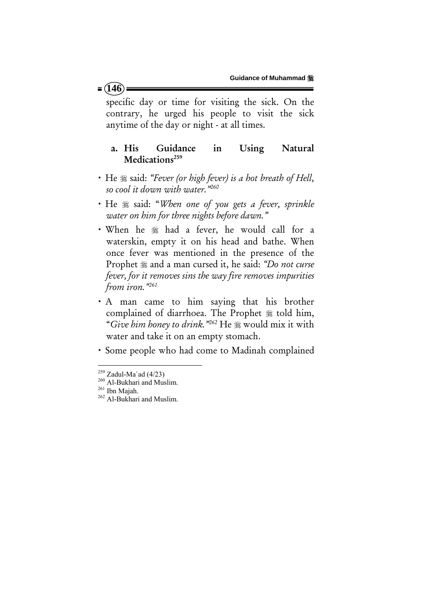specific day or time for visiting the sick. On the contrary, he urged his people to visit the sick anytime of the day or night - at all times.

### a. His Guidance in Using Natural Medications $259$

- He  $*$  said: "Fever (or high fever) is a hot breath of Hell, *so cool it down with water."260*
- x He said: "*When one of you gets a fever, sprinkle water on him for three nights before dawn."*
- When he  $*$  had a fever, he would call for a waterskin, empty it on his head and bathe. When once fever was mentioned in the presence of the Prophet  $*$  and a man cursed it, he said: *"Do not curse fever, for it removes sins the way fire removes impurities from iron."261*
- A man came to him saying that his brother complained of diarrhoea. The Prophet  $*$  told him, "*Give him honey to drink.*"<sup>262</sup> He  $\frac{1}{26}$  would mix it with water and take it on an empty stomach.
- x Some people who had come to Madinah complained

#### $= (146)$

 $^{259}$  Zadul-Ma'ad (4/23)

 $\frac{260}{261}$  Al-Bukhari and Muslim.<br><sup>261</sup> Ibn Majah. <sup>262</sup> Al-Bukhari and Muslim.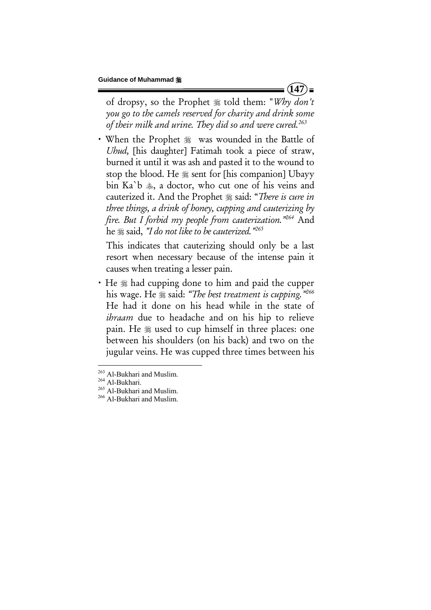of dropsy, so the Prophet told them: "*Why don't you go to the camels reserved for charity and drink some of their milk and urine. They did so and were cured.263* 

• When the Prophet  $*$  was wounded in the Battle of *Uhud,* [his daughter] Fatimah took a piece of straw, burned it until it was ash and pasted it to the wound to stop the blood. He  $\frac{1}{20}$  sent for [his companion] Ubayy bin Ka'b  $\ast$ , a doctor, who cut one of his veins and cauterized it. And the Prophet  $*$  said: "*There is cure in three things, a drink of honey, cupping and cauterizing by fire. But I forbid my people from cauterization."264* And he  $\equiv$  said, *"I do not like to be cauterized."*<sup>265</sup>

This indicates that cauterizing should only be a last resort when necessary because of the intense pain it causes when treating a lesser pain.

• He  $\frac{1}{2}$  had cupping done to him and paid the cupper his wage. He  $\frac{1}{26}$  said: *"The best treatment is cupping.*"<sup>266</sup> He had it done on his head while in the state of *ihraam* due to headache and on his hip to relieve pain. He  $\&$  used to cup himself in three places: one between his shoulders (on his back) and two on the jugular veins. He was cupped three times between his

 $(147)$ 

<sup>&</sup>lt;sup>263</sup> Al-Bukhari and Muslim.

<sup>&</sup>lt;sup>264</sup> Al-Bukhari.<br><sup>265</sup> Al-Bukhari and Muslim.<br><sup>266</sup> Al-Bukhari and Muslim.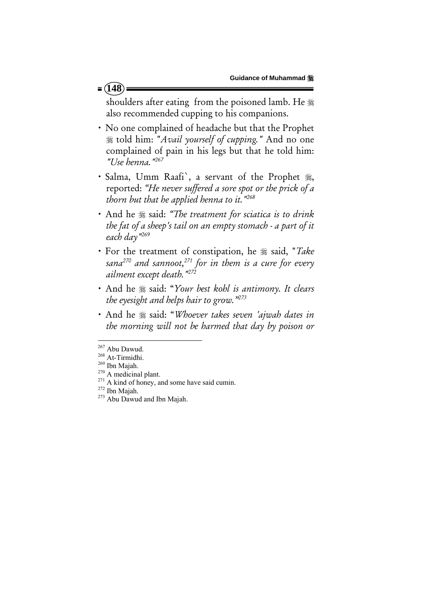# shoulders after eating from the poisoned lamb. He  $\frac{1}{26}$ also recommended cupping to his companions.

- x No one complained of headache but that the Prophet told him: "*Avail yourself of cupping."* And no one complained of pain in his legs but that he told him: *"Use henna."267*
- · Salma, Umm Raafi', a servant of the Prophet , reported: *"He never suffered a sore spot or the prick of a thorn but that he applied henna to it."268*
- And he  $*$  said: "The treatment for sciatica is to drink *the fat of a sheep's tail on an empty stomach - a part of it each day"269*
- $\cdot$  For the treatment of constipation, he  $\frac{1}{2}$  said, "*Take sana270 and sannoot,271 for in them is a cure for every ailment except death."272*
- x And he said: "*Your best kohl is antimony. It clears the eyesight and helps hair to grow."273*
- x And he said: "*Whoever takes seven 'ajwah dates in the morning will not be harmed that day by poison or*

<sup>&</sup>lt;sup>267</sup> Abu Dawud.

<sup>&</sup>lt;sup>268</sup> At-Tirmidhi.<br><sup>270</sup> A medicinal plant.<br><sup>270</sup> A medicinal plant.<br><sup>271</sup> A kind of honey, and some have said cumin.<br><sup>272</sup> Ibn Majah.<br><sup>273</sup> Abu Dawud and Ibn Majah.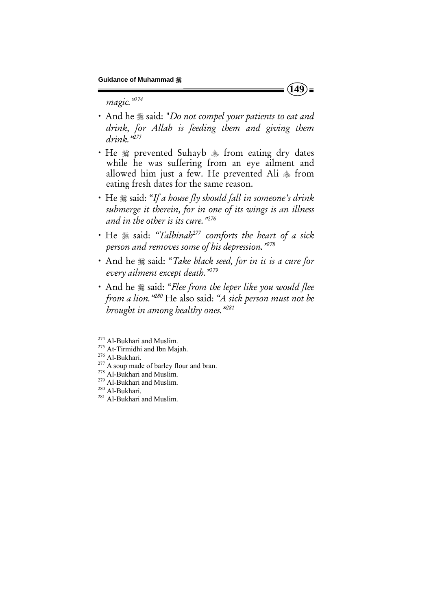*magic."274*

- And he  $\frac{1}{2}$  said: "*Do not compel your patients to eat and drink, for Allah is feeding them and giving them drink."275*
- He  $*$  prevented Suhayb  $*$  from eating dry dates while he was suffering from an eye ailment and allowed him just a few. He prevented Ali  $\ast$  from eating fresh dates for the same reason.
- He  $\frac{1}{2}$  said: "If a house fly should fall in someone's drink *submerge it therein, for in one of its wings is an illness and in the other is its cure."276*
- x He said: *"Talbinah*<sup>277</sup> *comforts the heart of a sick person and removes some of his depression."278*
- And he  $*$  said: "*Take black seed, for in it is a cure for every ailment except death."279*
- And he  $*$  said: "Flee from the leper like you would flee *from a lion."280* He also said: *"A sick person must not be brought in among healthy ones."281*

 $(149)$ 

<sup>&</sup>lt;sup>274</sup> Al-Bukhari and Muslim.<br><sup>275</sup> At-Tirmidhi and Ibn Majah.<br><sup>275</sup> Al-Bukhari.<br><sup>277</sup> A soup made of barley flour and bran.<br><sup>278</sup> Al-Bukhari and Muslim.<br><sup>280</sup> Al-Bukhari. <sup>281</sup> Al-Bukhari and Muslim.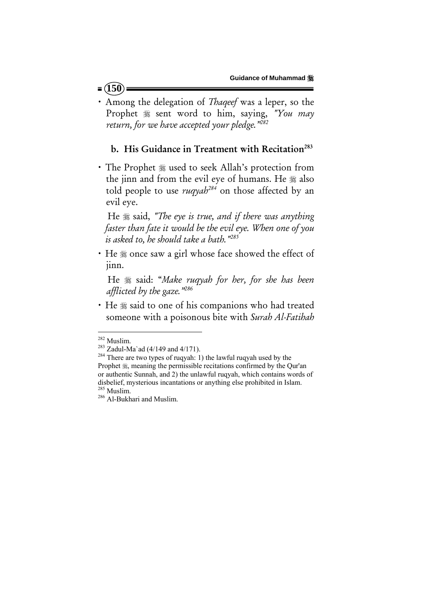- $= (150)$
- x Among the delegation of *Thaqeef* was a leper, so the Prophet  $*$  sent word to him, saying, "You may *return, for we have accepted your pledge."282*

#### b. His Guidance in Treatment with Recitation<sup>283</sup>

• The Prophet  $*$  used to seek Allah's protection from the jinn and from the evil eye of humans. He  $*$  also told people to use *ruqyah284* on those affected by an evil eye.

He  $\frac{1}{28}$  said, "The eye is true, and if there was anything *faster than fate it would be the evil eye. When one of you is asked to, he should take a bath."285*

• He  $*$  once saw a girl whose face showed the effect of jinn.

He  $*$  said: "Make ruqyah for her, for she has been *afflicted by the gaze."286* 

• He  $*$  said to one of his companions who had treated someone with a poisonous bite with *Surah Al-Fatihah*

<sup>&</sup>lt;sup>282</sup> Muslim.<br><sup>283</sup> Zadul-Ma`ad (4/149 and 4/171).<br><sup>284</sup> There are two types of ruqyah: 1) the lawful ruqyah used by the Prophet  $\frac{4}{36}$ , meaning the permissible recitations confirmed by the Qur'an or authentic Sunnah, and 2) the unlawful ruqyah, which contains words of disbelief, mysterious incantations or anything else prohibited in Islam.  $\frac{285}{286}$  Muslim.<br> $\frac{286}{286}$  Al-Bukhari and Muslim.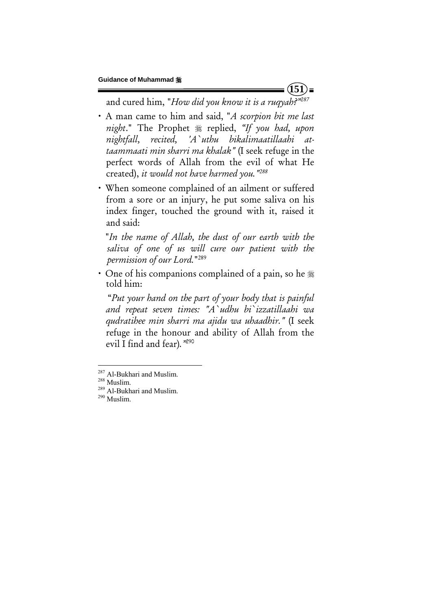$(151)$ 

and cured him, "*How did you know it is a ruqyah?"287*

- x A man came to him and said, "*A scorpion bit me last night.*" The Prophet  $*$  replied, "If you had, upon *nightfall, recited, 'A`uthu bikalimaatillaahi attaammaati min sharri ma khalak"* (I seek refuge in the perfect words of Allah from the evil of what He created), *it would not have harmed you."288*
- x When someone complained of an ailment or suffered from a sore or an injury, he put some saliva on his index finger, touched the ground with it, raised it and said:

 "*In the name of Allah, the dust of our earth with the saliva of one of us will cure our patient with the permission of our Lord.*"289

• One of his companions complained of a pain, so he  $\frac{1}{26}$ told him:

 "*Put your hand on the part of your body that is painful and repeat seven times: "A`udhu bi`izzatillaahi wa qudratihee min sharri ma ajidu wa uhaadhir."* (I seek refuge in the honour and ability of Allah from the evil I find and fear)*."*290

<sup>&</sup>lt;sup>287</sup> Al-Bukhari and Muslim.

<sup>&</sup>lt;sup>288</sup> Muslim.<br><sup>289</sup> Al-Bukhari and Muslim.<br><sup>290</sup> Muslim.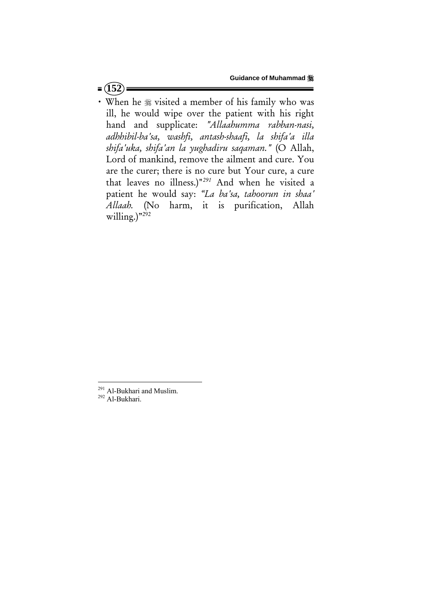### $=$   $(152)$

• When he  $*$  visited a member of his family who was ill, he would wipe over the patient with his right hand and supplicate: *"Allaahumma rabban-nasi, adhhibil-ba'sa, washfi, antash-shaafi, la shifa'a illa shifa'uka, shifa'an la yughadiru saqaman."* (O Allah, Lord of mankind, remove the ailment and cure. You are the curer; there is no cure but Your cure, a cure that leaves no illness.)"*<sup>291</sup>* And when he visited a patient he would say: *"La ba'sa, tahoorun in shaa' Allaah.* (No harm, it is purification, Allah willing.) $v^{292}$ 

 $^{291}$  Al-Bukhari and Muslim.<br> $^{292}$  Al-Bukhari.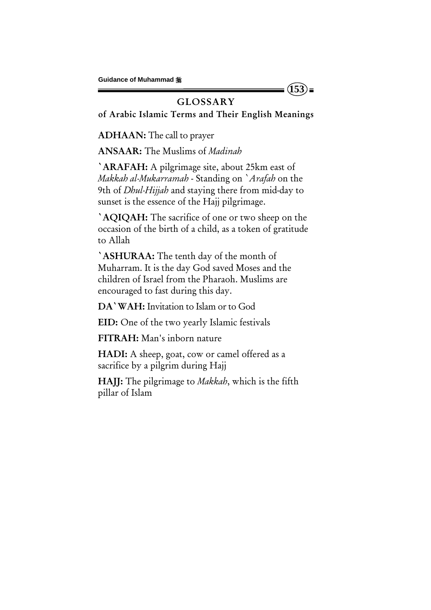## **GLOSSARY**

 $(153)$ 

of Arabic Islamic Terms and Their English Meanings

ADHAAN: The call to prayer

ANSAAR: The Muslims of *Madinah*

`ARAFAH: A pilgrimage site, about 25km east of *Makkah al-Mukarramah* - Standing on `*Arafah* on the 9th of *Dhul-Hijjah* and staying there from mid-day to sunset is the essence of the Hajj pilgrimage.

`AQIQAH: The sacrifice of one or two sheep on the occasion of the birth of a child, as a token of gratitude to Allah

`ASHURAA: The tenth day of the month of Muharram. It is the day God saved Moses and the children of Israel from the Pharaoh. Muslims are encouraged to fast during this day.

DA`WAH: Invitation to Islam or to God

EID: One of the two yearly Islamic festivals

FITRAH: Man's inborn nature

HADI: A sheep, goat, cow or camel offered as a sacrifice by a pilgrim during Hajj

HAJJ: The pilgrimage to *Makkah*, which is the fifth pillar of Islam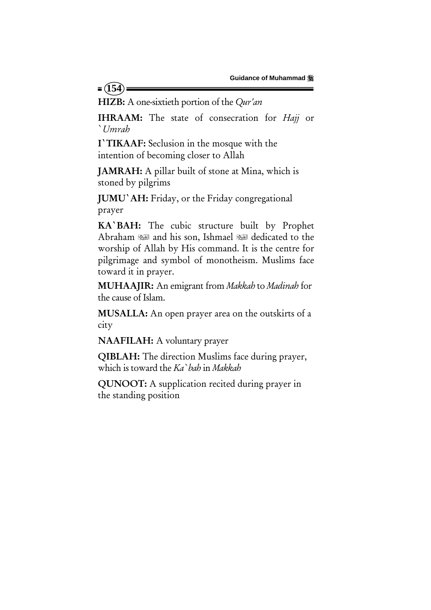HIZB: A one-sixtieth portion of the *Qur'an*

 $= (154)$ 

IHRAAM: The state of consecration for *Hajj* or `*Umrah*

I`TIKAAF: Seclusion in the mosque with the intention of becoming closer to Allah

JAMRAH: A pillar built of stone at Mina, which is stoned by pilgrims

JUMU`AH: Friday, or the Friday congregational prayer

KA`BAH: The cubic structure built by Prophet Abraham and his son, Ishmael dedicated to the worship of Allah by His command. It is the centre for pilgrimage and symbol of monotheism. Muslims face toward it in prayer.

MUHAAJIR: An emigrant from *Makkah* to *Madinah* for the cause of Islam.

MUSALLA: An open prayer area on the outskirts of a city

NAAFILAH: A voluntary prayer

QIBLAH: The direction Muslims face during prayer, which is toward the *Ka`bah* in *Makkah*

QUNOOT: A supplication recited during prayer in the standing position